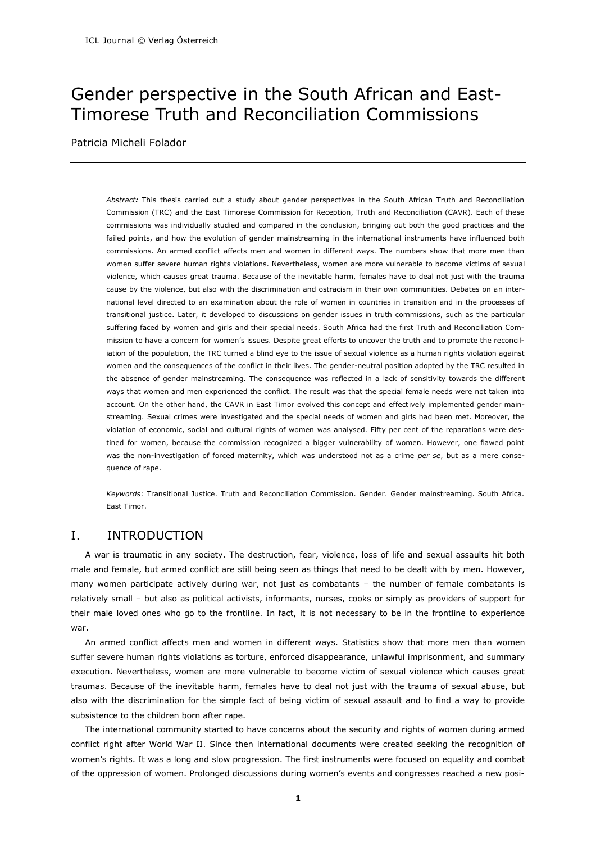# Gender perspective in the South African and East-Timorese Truth and Reconciliation Commissions

Patricia Micheli Folador

*Abstract:* This thesis carried out a study about gender perspectives in the South African Truth and Reconciliation Commission (TRC) and the East Timorese Commission for Reception, Truth and Reconciliation (CAVR). Each of these commissions was individually studied and compared in the conclusion, bringing out both the good practices and the failed points, and how the evolution of gender mainstreaming in the international instruments have influenced both commissions. An armed conflict affects men and women in different ways. The numbers show that more men than women suffer severe human rights violations. Nevertheless, women are more vulnerable to become victims of sexual violence, which causes great trauma. Because of the inevitable harm, females have to deal not just with the trauma cause by the violence, but also with the discrimination and ostracism in their own communities. Debates on an international level directed to an examination about the role of women in countries in transition and in the processes of transitional justice. Later, it developed to discussions on gender issues in truth commissions, such as the particular suffering faced by women and girls and their special needs. South Africa had the first Truth and Reconciliation Commission to have a concern for women's issues. Despite great efforts to uncover the truth and to promote the reconciliation of the population, the TRC turned a blind eye to the issue of sexual violence as a human rights violation against women and the consequences of the conflict in their lives. The gender-neutral position adopted by the TRC resulted in the absence of gender mainstreaming. The consequence was reflected in a lack of sensitivity towards the different ways that women and men experienced the conflict. The result was that the special female needs were not taken into account. On the other hand, the CAVR in East Timor evolved this concept and effectively implemented gender mainstreaming. Sexual crimes were investigated and the special needs of women and girls had been met. Moreover, the violation of economic, social and cultural rights of women was analysed. Fifty per cent of the reparations were destined for women, because the commission recognized a bigger vulnerability of women. However, one flawed point was the non-investigation of forced maternity, which was understood not as a crime *per se*, but as a mere consequence of rape.

*Keywords*: Transitional Justice. Truth and Reconciliation Commission. Gender. Gender mainstreaming. South Africa. East Timor.

# I. INTRODUCTION

A war is traumatic in any society. The destruction, fear, violence, loss of life and sexual assaults hit both male and female, but armed conflict are still being seen as things that need to be dealt with by men. However, many women participate actively during war, not just as combatants – the number of female combatants is relatively small – but also as political activists, informants, nurses, cooks or simply as providers of support for their male loved ones who go to the frontline. In fact, it is not necessary to be in the frontline to experience war.

An armed conflict affects men and women in different ways. Statistics show that more men than women suffer severe human rights violations as torture, enforced disappearance, unlawful imprisonment, and summary execution. Nevertheless, women are more vulnerable to become victim of sexual violence which causes great traumas. Because of the inevitable harm, females have to deal not just with the trauma of sexual abuse, but also with the discrimination for the simple fact of being victim of sexual assault and to find a way to provide subsistence to the children born after rape.

The international community started to have concerns about the security and rights of women during armed conflict right after World War II. Since then international documents were created seeking the recognition of women's rights. It was a long and slow progression. The first instruments were focused on equality and combat of the oppression of women. Prolonged discussions during women's events and congresses reached a new posi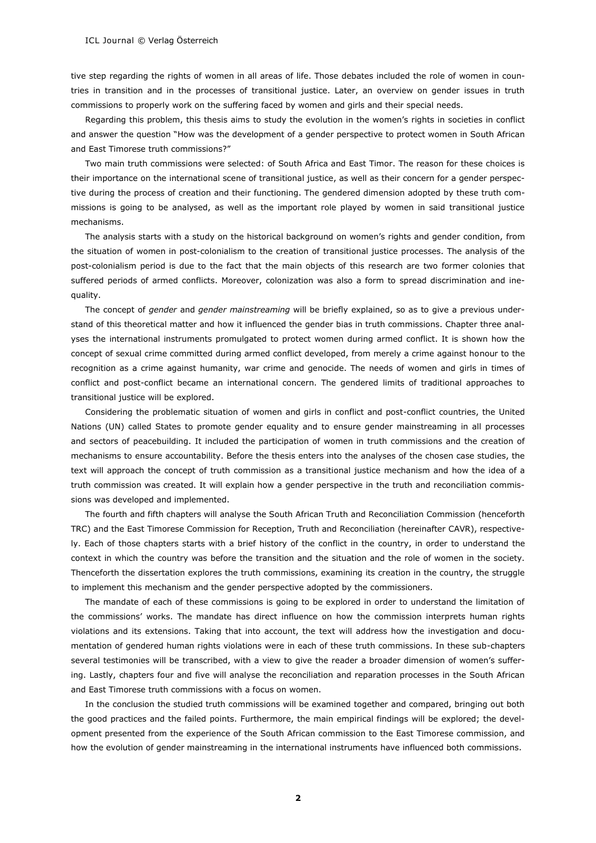tive step regarding the rights of women in all areas of life. Those debates included the role of women in countries in transition and in the processes of transitional justice. Later, an overview on gender issues in truth commissions to properly work on the suffering faced by women and girls and their special needs.

Regarding this problem, this thesis aims to study the evolution in the women's rights in societies in conflict and answer the question "How was the development of a gender perspective to protect women in South African and East Timorese truth commissions?"

Two main truth commissions were selected: of South Africa and East Timor. The reason for these choices is their importance on the international scene of transitional justice, as well as their concern for a gender perspective during the process of creation and their functioning. The gendered dimension adopted by these truth commissions is going to be analysed, as well as the important role played by women in said transitional justice mechanisms.

The analysis starts with a study on the historical background on women's rights and gender condition, from the situation of women in post-colonialism to the creation of transitional justice processes. The analysis of the post-colonialism period is due to the fact that the main objects of this research are two former colonies that suffered periods of armed conflicts. Moreover, colonization was also a form to spread discrimination and inequality.

The concept of *gender* and *gender mainstreaming* will be briefly explained, so as to give a previous understand of this theoretical matter and how it influenced the gender bias in truth commissions. Chapter three analyses the international instruments promulgated to protect women during armed conflict. It is shown how the concept of sexual crime committed during armed conflict developed, from merely a crime against honour to the recognition as a crime against humanity, war crime and genocide. The needs of women and girls in times of conflict and post-conflict became an international concern. The gendered limits of traditional approaches to transitional justice will be explored.

Considering the problematic situation of women and girls in conflict and post-conflict countries, the United Nations (UN) called States to promote gender equality and to ensure gender mainstreaming in all processes and sectors of peacebuilding. It included the participation of women in truth commissions and the creation of mechanisms to ensure accountability. Before the thesis enters into the analyses of the chosen case studies, the text will approach the concept of truth commission as a transitional justice mechanism and how the idea of a truth commission was created. It will explain how a gender perspective in the truth and reconciliation commissions was developed and implemented.

The fourth and fifth chapters will analyse the South African Truth and Reconciliation Commission (henceforth TRC) and the East Timorese Commission for Reception, Truth and Reconciliation (hereinafter CAVR), respectively. Each of those chapters starts with a brief history of the conflict in the country, in order to understand the context in which the country was before the transition and the situation and the role of women in the society. Thenceforth the dissertation explores the truth commissions, examining its creation in the country, the struggle to implement this mechanism and the gender perspective adopted by the commissioners.

The mandate of each of these commissions is going to be explored in order to understand the limitation of the commissions' works. The mandate has direct influence on how the commission interprets human rights violations and its extensions. Taking that into account, the text will address how the investigation and documentation of gendered human rights violations were in each of these truth commissions. In these sub-chapters several testimonies will be transcribed, with a view to give the reader a broader dimension of women's suffering. Lastly, chapters four and five will analyse the reconciliation and reparation processes in the South African and East Timorese truth commissions with a focus on women.

In the conclusion the studied truth commissions will be examined together and compared, bringing out both the good practices and the failed points. Furthermore, the main empirical findings will be explored; the development presented from the experience of the South African commission to the East Timorese commission, and how the evolution of gender mainstreaming in the international instruments have influenced both commissions.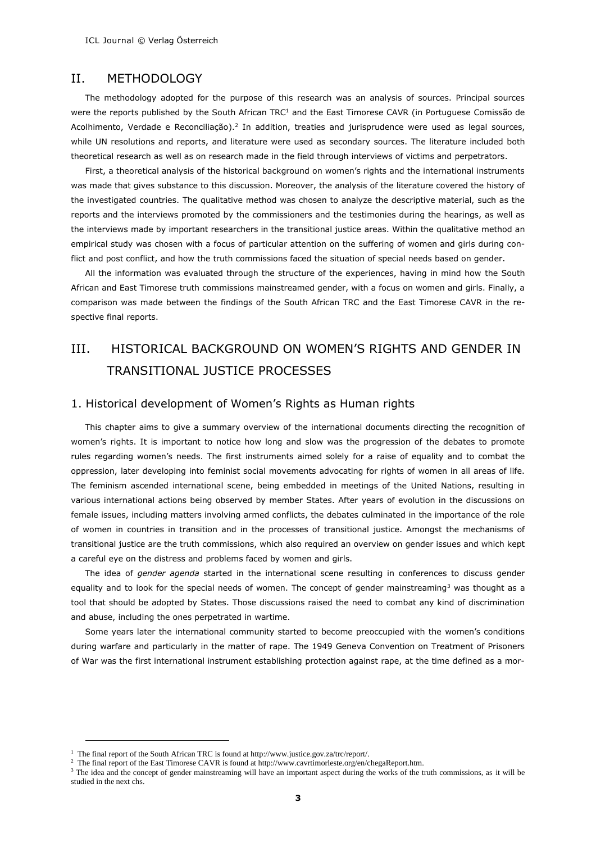# II. METHODOLOGY

The methodology adopted for the purpose of this research was an analysis of sources. Principal sources were the reports published by the South African TRC<sup>1</sup> and the East Timorese CAVR (in Portuguese Comissão de Acolhimento, Verdade e Reconciliação).<sup>2</sup> In addition, treaties and jurisprudence were used as legal sources, while UN resolutions and reports, and literature were used as secondary sources. The literature included both theoretical research as well as on research made in the field through interviews of victims and perpetrators.

First, a theoretical analysis of the historical background on women's rights and the international instruments was made that gives substance to this discussion. Moreover, the analysis of the literature covered the history of the investigated countries. The qualitative method was chosen to analyze the descriptive material, such as the reports and the interviews promoted by the commissioners and the testimonies during the hearings, as well as the interviews made by important researchers in the transitional justice areas. Within the qualitative method an empirical study was chosen with a focus of particular attention on the suffering of women and girls during conflict and post conflict, and how the truth commissions faced the situation of special needs based on gender.

All the information was evaluated through the structure of the experiences, having in mind how the South African and East Timorese truth commissions mainstreamed gender, with a focus on women and girls. Finally, a comparison was made between the findings of the South African TRC and the East Timorese CAVR in the respective final reports.

# III. HISTORICAL BACKGROUND ON WOMEN'S RIGHTS AND GENDER IN TRANSITIONAL JUSTICE PROCESSES

#### 1. Historical development of Women's Rights as Human rights

This chapter aims to give a summary overview of the international documents directing the recognition of women's rights. It is important to notice how long and slow was the progression of the debates to promote rules regarding women's needs. The first instruments aimed solely for a raise of equality and to combat the oppression, later developing into feminist social movements advocating for rights of women in all areas of life. The feminism ascended international scene, being embedded in meetings of the United Nations, resulting in various international actions being observed by member States. After years of evolution in the discussions on female issues, including matters involving armed conflicts, the debates culminated in the importance of the role of women in countries in transition and in the processes of transitional justice. Amongst the mechanisms of transitional justice are the truth commissions, which also required an overview on gender issues and which kept a careful eye on the distress and problems faced by women and girls.

The idea of *gender agenda* started in the international scene resulting in conferences to discuss gender equality and to look for the special needs of women. The concept of gender mainstreaming<sup>3</sup> was thought as a tool that should be adopted by States. Those discussions raised the need to combat any kind of discrimination and abuse, including the ones perpetrated in wartime.

Some years later the international community started to become preoccupied with the women's conditions during warfare and particularly in the matter of rape. The 1949 Geneva Convention on Treatment of Prisoners of War was the first international instrument establishing protection against rape, at the time defined as a mor-

<sup>&</sup>lt;sup>1</sup> The final report of the South African TRC is found at http://www.justice.gov.za/trc/report/.

<sup>&</sup>lt;sup>2</sup> The final report of the East Timorese CAVR is found at http://www.cavrtimorleste.org/en/chegaReport.htm.

<sup>&</sup>lt;sup>3</sup> The idea and the concept of gender mainstreaming will have an important aspect during the works of the truth commissions, as it will be studied in the next chs.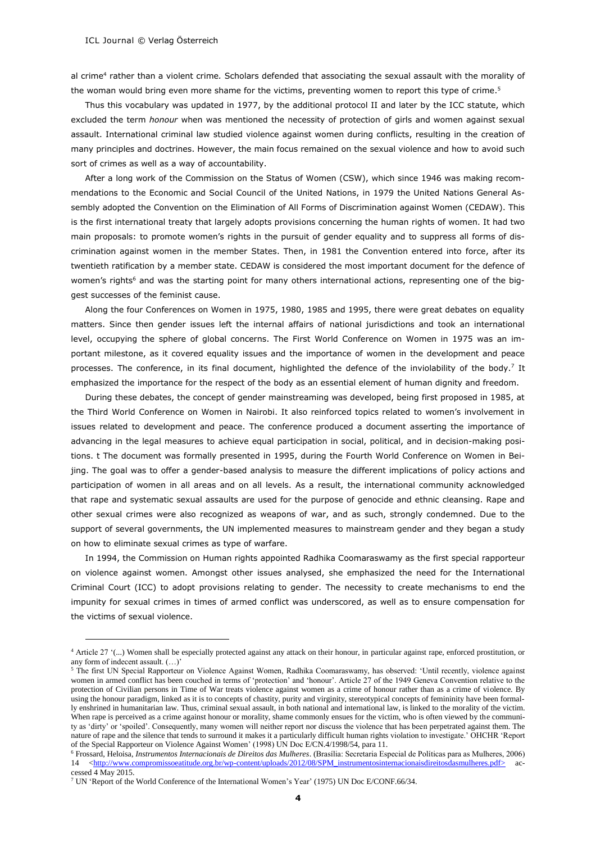-

al crime<sup>4</sup> rather than a violent crime. Scholars defended that associating the sexual assault with the morality of the woman would bring even more shame for the victims, preventing women to report this type of crime.<sup>5</sup>

Thus this vocabulary was updated in 1977, by the additional protocol II and later by the ICC statute, which excluded the term *honour* when was mentioned the necessity of protection of girls and women against sexual assault. International criminal law studied violence against women during conflicts, resulting in the creation of many principles and doctrines. However, the main focus remained on the sexual violence and how to avoid such sort of crimes as well as a way of accountability.

After a long work of the Commission on the Status of Women (CSW), which since 1946 was making recommendations to the Economic and Social Council of the United Nations, in 1979 the United Nations General Assembly adopted the Convention on the Elimination of All Forms of Discrimination against Women (CEDAW). This is the first international treaty that largely adopts provisions concerning the human rights of women. It had two main proposals: to promote women's rights in the pursuit of gender equality and to suppress all forms of discrimination against women in the member States. Then, in 1981 the Convention entered into force, after its twentieth ratification by a member state. CEDAW is considered the most important document for the defence of women's rights<sup>6</sup> and was the starting point for many others international actions, representing one of the biggest successes of the feminist cause.

Along the four Conferences on Women in 1975, 1980, 1985 and 1995, there were great debates on equality matters. Since then gender issues left the internal affairs of national jurisdictions and took an international level, occupying the sphere of global concerns. The First World Conference on Women in 1975 was an important milestone, as it covered equality issues and the importance of women in the development and peace processes. The conference, in its final document, highlighted the defence of the inviolability of the body.<sup>7</sup> It emphasized the importance for the respect of the body as an essential element of human dignity and freedom.

During these debates, the concept of gender mainstreaming was developed, being first proposed in 1985, at the Third World Conference on Women in Nairobi. It also reinforced topics related to women's involvement in issues related to development and peace. The conference produced a document asserting the importance of advancing in the legal measures to achieve equal participation in social, political, and in decision-making positions. t The document was formally presented in 1995, during the Fourth World Conference on Women in Beijing. The goal was to offer a gender-based analysis to measure the different implications of policy actions and participation of women in all areas and on all levels. As a result, the international community acknowledged that rape and systematic sexual assaults are used for the purpose of genocide and ethnic cleansing. Rape and other sexual crimes were also recognized as weapons of war, and as such, strongly condemned. Due to the support of several governments, the UN implemented measures to mainstream gender and they began a study on how to eliminate sexual crimes as type of warfare.

In 1994, the Commission on Human rights appointed Radhika Coomaraswamy as the first special rapporteur on violence against women. Amongst other issues analysed, she emphasized the need for the International Criminal Court (ICC) to adopt provisions relating to gender. The necessity to create mechanisms to end the impunity for sexual crimes in times of armed conflict was underscored, as well as to ensure compensation for the victims of sexual violence.

<sup>4</sup> Article 27 '(...) Women shall be especially protected against any attack on their honour, in particular against rape, enforced prostitution, or any form of indecent assault. (…)'

<sup>&</sup>lt;sup>5</sup> The first UN Special Rapporteur on Violence Against Women, Radhika Coomaraswamy, has observed: 'Until recently, violence against women in armed conflict has been couched in terms of 'protection' and 'honour'. Article 27 of the 1949 Geneva Convention relative to the protection of Civilian persons in Time of War treats violence against women as a crime of honour rather than as a crime of violence. By using the honour paradigm, linked as it is to concepts of chastity, purity and virginity, stereotypical concepts of femininity have been formally enshrined in humanitarian law. Thus, criminal sexual assault, in both national and international law, is linked to the morality of the victim. When rape is perceived as a crime against honour or morality, shame commonly ensues for the victim, who is often viewed by the community as 'dirty' or 'spoiled'. Consequently, many women will neither report nor discuss the violence that has been perpetrated against them. The nature of rape and the silence that tends to surround it makes it a particularly difficult human rights violation to investigate.' OHCHR 'Report of the Special Rapporteur on Violence Against Women' (1998) UN Doc E/CN.4/1998/54, para 11.

<sup>6</sup> Frossard, Heloisa, *Instrumentos Internacionais de Direitos das Mulheres*. (Brasília: Secretaria Especial de Políticas para as Mulheres, 2006) 14 [<http://www.compromissoeatitude.org.br/wp-content/uploads/2012/08/SPM\\_instrumentosinternacionaisdireitosdasmulheres.pdf>](http://www.compromissoeatitude.org.br/wp-content/uploads/2012/08/SPM_instrumentosinternacionaisdireitosdasmulheres.pdf) accessed 4 May 2015.

<sup>7</sup> UN 'Report of the World Conference of the International Women's Year' (1975) UN Doc E/CONF.66/34.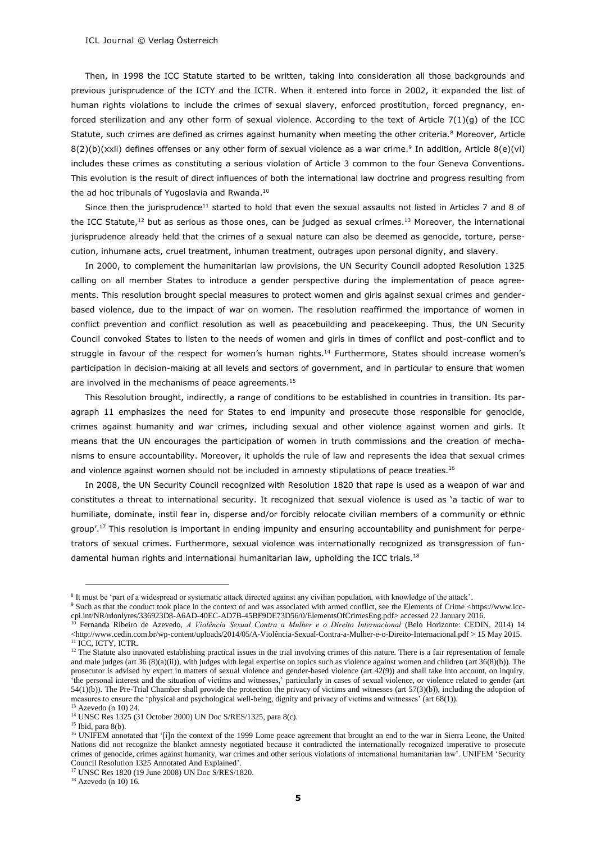Then, in 1998 the ICC Statute started to be written, taking into consideration all those backgrounds and previous jurisprudence of the ICTY and the ICTR. When it entered into force in 2002, it expanded the list of human rights violations to include the crimes of sexual slavery, enforced prostitution, forced pregnancy, enforced sterilization and any other form of sexual violence. According to the text of Article 7(1)(g) of the ICC Statute, such crimes are defined as crimes against humanity when meeting the other criteria.<sup>8</sup> Moreover, Article  $8(2)(b)(xxii)$  defines offenses or any other form of sexual violence as a war crime.<sup>9</sup> In addition, Article  $8(e)(vi)$ includes these crimes as constituting a serious violation of Article 3 common to the four Geneva Conventions. This evolution is the result of direct influences of both the international law doctrine and progress resulting from the ad hoc tribunals of Yugoslavia and Rwanda.<sup>10</sup>

Since then the jurisprudence<sup>11</sup> started to hold that even the sexual assaults not listed in Articles 7 and 8 of the ICC Statute,<sup>12</sup> but as serious as those ones, can be judged as sexual crimes.<sup>13</sup> Moreover, the international jurisprudence already held that the crimes of a sexual nature can also be deemed as genocide, torture, persecution, inhumane acts, cruel treatment, inhuman treatment, outrages upon personal dignity, and slavery.

In 2000, to complement the humanitarian law provisions, the UN Security Council adopted Resolution 1325 calling on all member States to introduce a gender perspective during the implementation of peace agreements. This resolution brought special measures to protect women and girls against sexual crimes and genderbased violence, due to the impact of war on women. The resolution reaffirmed the importance of women in conflict prevention and conflict resolution as well as peacebuilding and peacekeeping. Thus, the UN Security Council convoked States to listen to the needs of women and girls in times of conflict and post-conflict and to struggle in favour of the respect for women's human rights.<sup>14</sup> Furthermore, States should increase women's participation in decision-making at all levels and sectors of government, and in particular to ensure that women are involved in the mechanisms of peace agreements.<sup>15</sup>

This Resolution brought, indirectly, a range of conditions to be established in countries in transition. Its paragraph 11 emphasizes the need for States to end impunity and prosecute those responsible for genocide, crimes against humanity and war crimes, including sexual and other violence against women and girls. It means that the UN encourages the participation of women in truth commissions and the creation of mechanisms to ensure accountability. Moreover, it upholds the rule of law and represents the idea that sexual crimes and violence against women should not be included in amnesty stipulations of peace treaties.<sup>16</sup>

In 2008, the UN Security Council recognized with Resolution 1820 that rape is used as a weapon of war and constitutes a threat to international security. It recognized that sexual violence is used as 'a tactic of war to humiliate, dominate, instil fear in, disperse and/or forcibly relocate civilian members of a community or ethnic group'.<sup>17</sup> This resolution is important in ending impunity and ensuring accountability and punishment for perpetrators of sexual crimes. Furthermore, sexual violence was internationally recognized as transgression of fundamental human rights and international humanitarian law, upholding the ICC trials.<sup>18</sup>

<sup>&</sup>lt;sup>8</sup> It must be 'part of a widespread or systematic attack directed against any civilian population, with knowledge of the attack'.

<sup>9</sup> Such as that the conduct took place in the context of and was associated with armed conflict, see the Elements of Crime <https://www.icccpi.int/NR/rdonlyres/336923D8-A6AD-40EC-AD7B-45BF9DE73D56/0/ElementsOfCrimesEng.pdf> accessed 22 January 2016.

<sup>10</sup> Fernanda Ribeiro de Azevedo, *A Violência Sexual Contra a Mulher e o Direito Internacional* (Belo Horizonte: CEDIN, 2014) 14 <http://www.cedin.com.br/wp-content/uploads/2014/05/A-Violência-Sexual-Contra-a-Mulher-e-o-Direito-Internacional.pdf > 15 May 2015. <sup>11</sup> ICC, ICTY, ICTR.

<sup>&</sup>lt;sup>12</sup> The Statute also innovated establishing practical issues in the trial involving crimes of this nature. There is a fair representation of female and male judges (art 36 (8)(a)(ii)), with judges with legal expertise on topics such as violence against women and children (art 36(8)(b)). The prosecutor is advised by expert in matters of sexual violence and gender-based violence (art 42(9)) and shall take into account, on inquiry, 'the personal interest and the situation of victims and witnesses,' particularly in cases of sexual violence, or violence related to gender (art 54(1)(b)). The Pre-Trial Chamber shall provide the protection the privacy of victims and witnesses (art 57(3)(b)), including the adoption of measures to ensure the 'physical and psychological well-being, dignity and privacy of victims and witnesses' (art 68(1)).

<sup>13</sup> Azevedo (n 10) 24.

<sup>14</sup> UNSC Res 1325 (31 October 2000) UN Doc S/RES/1325, para 8(c).

 $15$  Ibid, para 8(b).

<sup>&</sup>lt;sup>16</sup> UNIFEM annotated that '[i]n the context of the 1999 Lome peace agreement that brought an end to the war in Sierra Leone, the United Nations did not recognize the blanket amnesty negotiated because it contradicted the internationally recognized imperative to prosecute crimes of genocide, crimes against humanity, war crimes and other serious violations of international humanitarian law'. UNIFEM 'Security Council Resolution 1325 Annotated And Explained'.

<sup>17</sup> UNSC Res 1820 (19 June 2008) UN Doc S/RES/1820.

 $18$  Azevedo (n 10) 16.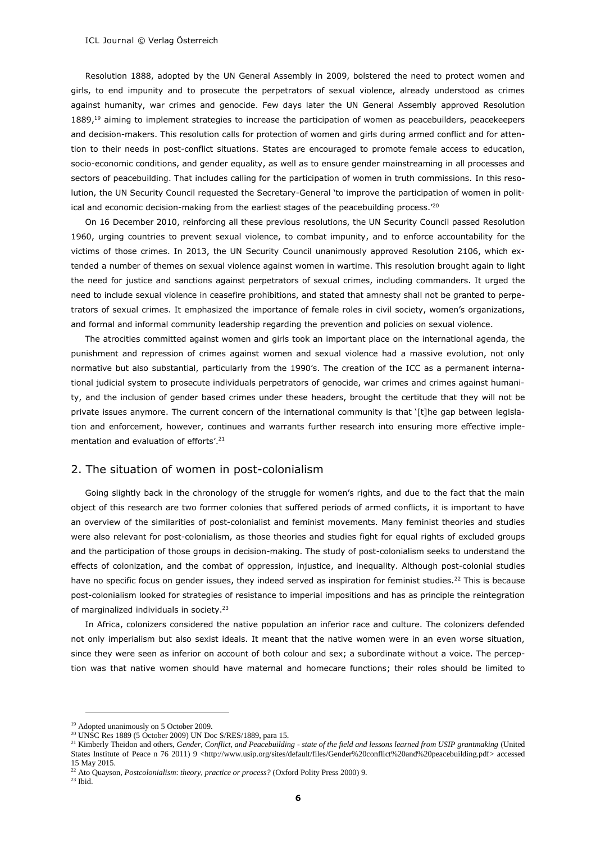Resolution 1888, adopted by the UN General Assembly in 2009, bolstered the need to protect women and girls, to end impunity and to prosecute the perpetrators of sexual violence, already understood as crimes against humanity, war crimes and genocide. Few days later the UN General Assembly approved Resolution 1889,<sup>19</sup> aiming to implement strategies to increase the participation of women as peacebuilders, peacekeepers and decision-makers. This resolution calls for protection of women and girls during armed conflict and for attention to their needs in post-conflict situations. States are encouraged to promote female access to education, socio-economic conditions, and gender equality, as well as to ensure gender mainstreaming in all processes and sectors of peacebuilding. That includes calling for the participation of women in truth commissions. In this resolution, the UN Security Council requested the Secretary-General 'to improve the participation of women in political and economic decision-making from the earliest stages of the peacebuilding process.'<sup>20</sup>

On 16 December 2010, reinforcing all these previous resolutions, the UN Security Council passed Resolution 1960, urging countries to prevent sexual violence, to combat impunity, and to enforce accountability for the victims of those crimes. In 2013, the UN Security Council unanimously approved Resolution 2106, which extended a number of themes on sexual violence against women in wartime. This resolution brought again to light the need for justice and sanctions against perpetrators of sexual crimes, including commanders. It urged the need to include sexual violence in ceasefire prohibitions, and stated that amnesty shall not be granted to perpetrators of sexual crimes. It emphasized the importance of female roles in civil society, women's organizations, and formal and informal community leadership regarding the prevention and policies on sexual violence.

The atrocities committed against women and girls took an important place on the international agenda, the punishment and repression of crimes against women and sexual violence had a massive evolution, not only normative but also substantial, particularly from the 1990's. The creation of the ICC as a permanent international judicial system to prosecute individuals perpetrators of genocide, war crimes and crimes against humanity, and the inclusion of gender based crimes under these headers, brought the certitude that they will not be private issues anymore. The current concern of the international community is that '[t]he gap between legislation and enforcement, however, continues and warrants further research into ensuring more effective implementation and evaluation of efforts'. 21

#### 2. The situation of women in post-colonialism

Going slightly back in the chronology of the struggle for women's rights, and due to the fact that the main object of this research are two former colonies that suffered periods of armed conflicts, it is important to have an overview of the similarities of post-colonialist and feminist movements. Many feminist theories and studies were also relevant for post-colonialism, as those theories and studies fight for equal rights of excluded groups and the participation of those groups in decision-making. The study of post-colonialism seeks to understand the effects of colonization, and the combat of oppression, injustice, and inequality. Although post-colonial studies have no specific focus on gender issues, they indeed served as inspiration for feminist studies.<sup>22</sup> This is because post-colonialism looked for strategies of resistance to imperial impositions and has as principle the reintegration of marginalized individuals in society.<sup>23</sup>

In Africa, colonizers considered the native population an inferior race and culture. The colonizers defended not only imperialism but also sexist ideals. It meant that the native women were in an even worse situation, since they were seen as inferior on account of both colour and sex; a subordinate without a voice. The perception was that native women should have maternal and homecare functions; their roles should be limited to

<sup>&</sup>lt;sup>19</sup> Adopted unanimously on 5 October 2009.

<sup>20</sup> UNSC Res 1889 (5 October 2009) UN Doc S/RES/1889, para 15.

<sup>21</sup> Kimberly Theidon and others, *Gender, Conflict, and Peacebuilding - state of the field and lessons learned from USIP grantmaking* (United States Institute of Peace n 76 2011) 9 <http://www.usip.org/sites/default/files/Gender%20conflict%20and%20peacebuilding.pdf> accessed 15 May 2015.

<sup>22</sup> Ato Quayson, *Postcolonialism*: *theory, practice or process?* (Oxford Polity Press 2000) 9.

<sup>23</sup> Ibid.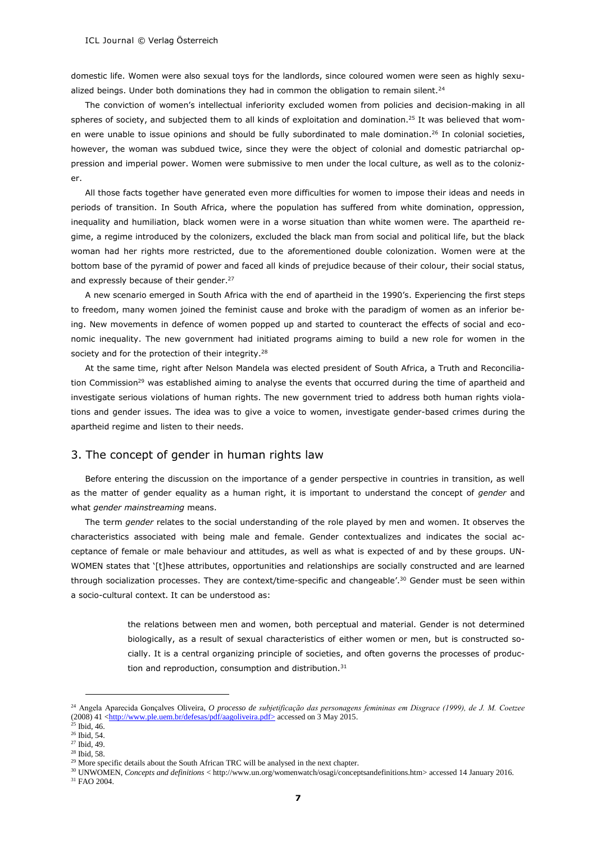domestic life. Women were also sexual toys for the landlords, since coloured women were seen as highly sexualized beings. Under both dominations they had in common the obligation to remain silent.<sup>24</sup>

The conviction of women's intellectual inferiority excluded women from policies and decision-making in all spheres of society, and subjected them to all kinds of exploitation and domination.<sup>25</sup> It was believed that women were unable to issue opinions and should be fully subordinated to male domination. <sup>26</sup> In colonial societies, however, the woman was subdued twice, since they were the object of colonial and domestic patriarchal oppression and imperial power. Women were submissive to men under the local culture, as well as to the colonizer.

All those facts together have generated even more difficulties for women to impose their ideas and needs in periods of transition. In South Africa, where the population has suffered from white domination, oppression, inequality and humiliation, black women were in a worse situation than white women were. The apartheid regime, a regime introduced by the colonizers, excluded the black man from social and political life, but the black woman had her rights more restricted, due to the aforementioned double colonization. Women were at the bottom base of the pyramid of power and faced all kinds of prejudice because of their colour, their social status, and expressly because of their gender.<sup>27</sup>

A new scenario emerged in South Africa with the end of apartheid in the 1990's. Experiencing the first steps to freedom, many women joined the feminist cause and broke with the paradigm of women as an inferior being. New movements in defence of women popped up and started to counteract the effects of social and economic inequality. The new government had initiated programs aiming to build a new role for women in the society and for the protection of their integrity.<sup>28</sup>

At the same time, right after Nelson Mandela was elected president of South Africa, a Truth and Reconciliation Commission<sup>29</sup> was established aiming to analyse the events that occurred during the time of apartheid and investigate serious violations of human rights. The new government tried to address both human rights violations and gender issues. The idea was to give a voice to women, investigate gender-based crimes during the apartheid regime and listen to their needs.

# 3. The concept of gender in human rights law

Before entering the discussion on the importance of a gender perspective in countries in transition, as well as the matter of gender equality as a human right, it is important to understand the concept of *gender* and what *gender mainstreaming* means.

The term *gender* relates to the social understanding of the role played by men and women. It observes the characteristics associated with being male and female. Gender contextualizes and indicates the social acceptance of female or male behaviour and attitudes, as well as what is expected of and by these groups. UN-WOMEN states that '[t]hese attributes, opportunities and relationships are socially constructed and are learned through socialization processes. They are context/time-specific and changeable'.<sup>30</sup> Gender must be seen within a socio-cultural context. It can be understood as:

> the relations between men and women, both perceptual and material. Gender is not determined biologically, as a result of sexual characteristics of either women or men, but is constructed socially. It is a central organizing principle of societies, and often governs the processes of production and reproduction, consumption and distribution.<sup>31</sup>

-

<sup>28</sup> Ibid, 58.

<sup>24</sup> Angela Aparecida Gonçalves Oliveira, *O processo de subjetificação das personagens femininas em Disgrace (1999), de J. M. Coetzee* (2008) 41 [<http://www.ple.uem.br/defesas/pdf/aagoliveira.pdf>](http://www.ple.uem.br/defesas/pdf/aagoliveira.pdf) accessed on 3 May 2015.

<sup>25</sup> Ibid, 46. <sup>26</sup> Ibid, 54.

<sup>27</sup> Ibid, 49.

<sup>&</sup>lt;sup>29</sup> More specific details about the South African TRC will be analysed in the next chapter.

<sup>30</sup> UNWOMEN, *Concepts and definitions* < http://www.un.org/womenwatch/osagi/conceptsandefinitions.htm> accessed 14 January 2016. <sup>31</sup> FAO 2004.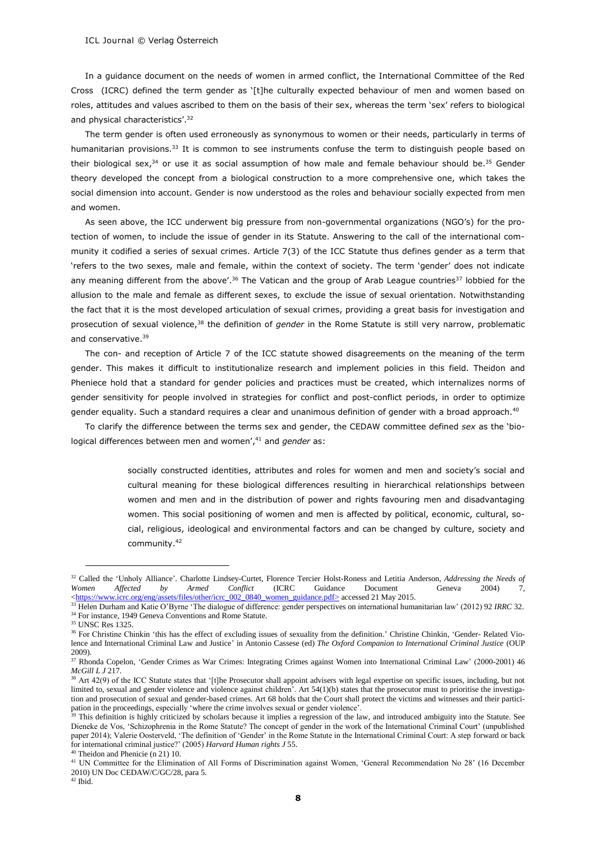In a guidance document on the needs of women in armed conflict, the International Committee of the Red Cross (ICRC) defined the term gender as '[t]he culturally expected behaviour of men and women based on roles, attitudes and values ascribed to them on the basis of their sex, whereas the term 'sex' refers to biological and physical characteristics'.<sup>32</sup>

The term gender is often used erroneously as synonymous to women or their needs, particularly in terms of humanitarian provisions.<sup>33</sup> It is common to see instruments confuse the term to distinguish people based on their biological sex, $34$  or use it as social assumption of how male and female behaviour should be. 35 Gender theory developed the concept from a biological construction to a more comprehensive one, which takes the social dimension into account. Gender is now understood as the roles and behaviour socially expected from men and women.

As seen above, the ICC underwent big pressure from non-governmental organizations (NGO's) for the protection of women, to include the issue of gender in its Statute. Answering to the call of the international community it codified a series of sexual crimes. Article 7(3) of the ICC Statute thus defines gender as a term that 'refers to the two sexes, male and female, within the context of society. The term 'gender' does not indicate any meaning different from the above'.<sup>36</sup> The Vatican and the group of Arab League countries<sup>37</sup> lobbied for the allusion to the male and female as different sexes, to exclude the issue of sexual orientation. Notwithstanding the fact that it is the most developed articulation of sexual crimes, providing a great basis for investigation and prosecution of sexual violence,<sup>38</sup> the definition of *gender* in the Rome Statute is still very narrow, problematic and conservative.<sup>39</sup>

The con- and reception of Article 7 of the ICC statute showed disagreements on the meaning of the term gender. This makes it difficult to institutionalize research and implement policies in this field. Theidon and Pheniece hold that a standard for gender policies and practices must be created, which internalizes norms of gender sensitivity for people involved in strategies for conflict and post-conflict periods, in order to optimize gender equality. Such a standard requires a clear and unanimous definition of gender with a broad approach.<sup>40</sup>

To clarify the difference between the terms sex and gender, the CEDAW committee defined *sex* as the 'biological differences between men and women', <sup>41</sup> and *gender* as:

> socially constructed identities, attributes and roles for women and men and society's social and cultural meaning for these biological differences resulting in hierarchical relationships between women and men and in the distribution of power and rights favouring men and disadvantaging women. This social positioning of women and men is affected by political, economic, cultural, social, religious, ideological and environmental factors and can be changed by culture, society and community.<sup>42</sup>

<sup>32</sup> Called the 'Unholy Alliance'. Charlotte Lindsey-Curtet, Florence Tercier Holst-Roness and Letitia Anderson, *Addressing the Needs of Women Affected by Armed Conflict* (ICRC Guidance Document Geneva 2004) 7, [<https://www.icrc.org/eng/assets/files/other/icrc\\_002\\_0840\\_women\\_guidance.pdf>](https://www.icrc.org/eng/assets/files/other/icrc_002_0840_women_guidance.pdf) accessed 21 May 2015.

<sup>33</sup> Helen Durham and Katie O'Byrne 'The dialogue of difference: gender perspectives on international humanitarian law' (2012) 92 *IRRC* 32. <sup>34</sup> For instance, 1949 Geneva Conventions and Rome Statute.

<sup>35</sup> UNSC Res 1325.

<sup>&</sup>lt;sup>36</sup> For Christine Chinkin 'this has the effect of excluding issues of sexuality from the definition.' Christine Chinkin, 'Gender- Related Violence and International Criminal Law and Justice' in Antonio Cassese (ed) *The Oxford Companion to International Criminal Justice* (OUP 2009).

<sup>&</sup>lt;sup>37</sup> Rhonda Copelon, 'Gender Crimes as War Crimes: Integrating Crimes against Women into International Criminal Law' (2000-2001) 46 *McGill L J* 217.

<sup>&</sup>lt;sup>38</sup> Art 42(9) of the ICC Statute states that '[t]he Prosecutor shall appoint advisers with legal expertise on specific issues, including, but not limited to, sexual and gender violence and violence against children'. Art 54(1)(b) states that the prosecutor must to prioritise the investigation and prosecution of sexual and gender-based crimes. Art 68 holds that the Court shall protect the victims and witnesses and their participation in the proceedings, especially 'where the crime involves sexual or gender violence'.

<sup>&</sup>lt;sup>39</sup> This definition is highly criticized by scholars because it implies a regression of the law, and introduced ambiguity into the Statute. See Dieneke de Vos, 'Schizophrenia in the Rome Statute? The concept of gender in the work of the International Criminal Court' (unpublished paper 2014); Valerie Oosterveld, 'The definition of 'Gender' in the Rome Statute in the International Criminal Court: A step forward or back for international criminal justice?' (2005) *Harvard Human rights J* 55.

Theidon and Phenicie (n 21) 10.

<sup>41</sup> UN Committee for the Elimination of All Forms of Discrimination against Women, 'General Recommendation No 28' (16 December 2010) UN Doc CEDAW/C/GC/28, para 5.

 $42$  Ibid.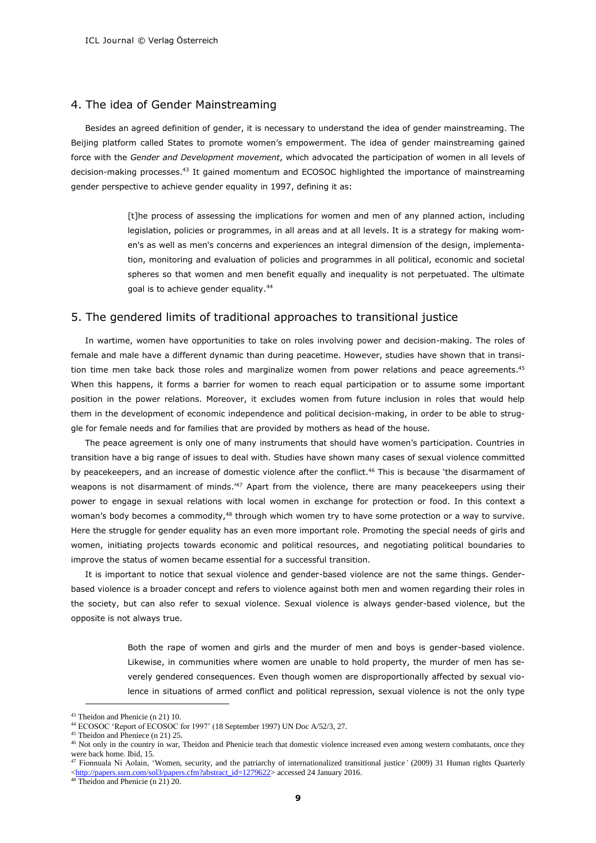#### 4. The idea of Gender Mainstreaming

Besides an agreed definition of gender, it is necessary to understand the idea of gender mainstreaming. The Beijing platform called States to promote women's empowerment. The idea of gender mainstreaming gained force with the *Gender and Development movement*, which advocated the participation of women in all levels of decision-making processes.<sup>43</sup> It gained momentum and ECOSOC highlighted the importance of mainstreaming gender perspective to achieve gender equality in 1997, defining it as:

> [t]he process of assessing the implications for women and men of any planned action, including legislation, policies or programmes, in all areas and at all levels. It is a strategy for making women's as well as men's concerns and experiences an integral dimension of the design, implementation, monitoring and evaluation of policies and programmes in all political, economic and societal spheres so that women and men benefit equally and inequality is not perpetuated. The ultimate goal is to achieve gender equality.<sup>44</sup>

#### 5. The gendered limits of traditional approaches to transitional justice

In wartime, women have opportunities to take on roles involving power and decision-making. The roles of female and male have a different dynamic than during peacetime. However, studies have shown that in transition time men take back those roles and marginalize women from power relations and peace agreements.<sup>45</sup> When this happens, it forms a barrier for women to reach equal participation or to assume some important position in the power relations. Moreover, it excludes women from future inclusion in roles that would help them in the development of economic independence and political decision-making, in order to be able to struggle for female needs and for families that are provided by mothers as head of the house.

The peace agreement is only one of many instruments that should have women's participation. Countries in transition have a big range of issues to deal with. Studies have shown many cases of sexual violence committed by peacekeepers, and an increase of domestic violence after the conflict.<sup>46</sup> This is because 'the disarmament of weapons is not disarmament of minds.<sup>47</sup> Apart from the violence, there are many peacekeepers using their power to engage in sexual relations with local women in exchange for protection or food. In this context a woman's body becomes a commodity,<sup>48</sup> through which women try to have some protection or a way to survive. Here the struggle for gender equality has an even more important role. Promoting the special needs of girls and women, initiating projects towards economic and political resources, and negotiating political boundaries to improve the status of women became essential for a successful transition.

It is important to notice that sexual violence and gender-based violence are not the same things. Genderbased violence is a broader concept and refers to violence against both men and women regarding their roles in the society, but can also refer to sexual violence. Sexual violence is always gender-based violence, but the opposite is not always true.

> Both the rape of women and girls and the murder of men and boys is gender-based violence. Likewise, in communities where women are unable to hold property, the murder of men has severely gendered consequences. Even though women are disproportionally affected by sexual violence in situations of armed conflict and political repression, sexual violence is not the only type

<sup>43</sup> Theidon and Phenicie (n 21) 10.

<sup>44</sup> ECOSOC 'Report of ECOSOC for 1997' (18 September 1997) UN Doc A/52/3, 27.

<sup>&</sup>lt;sup>45</sup> Theidon and Pheniece (n 21) 25.

<sup>&</sup>lt;sup>46</sup> Not only in the country in war, Theidon and Phenicie teach that domestic violence increased even among western combatants, once they were back home. Ibid, 15.

<sup>47</sup> Fionnuala Ni Aolain, ['Women, security, and the patriarchy of internationalized transitional justice](http://eprints.ulster.ac.uk/9166)*'* (2009) 31 Human rights Quarterly [<http://papers.ssrn.com/sol3/papers.cfm?abstract\\_id=1279622>](http://papers.ssrn.com/sol3/papers.cfm?abstract_id=1279622) accessed 24 January 2016.

 $48$  Theidon and Phenicie (n 21) 20.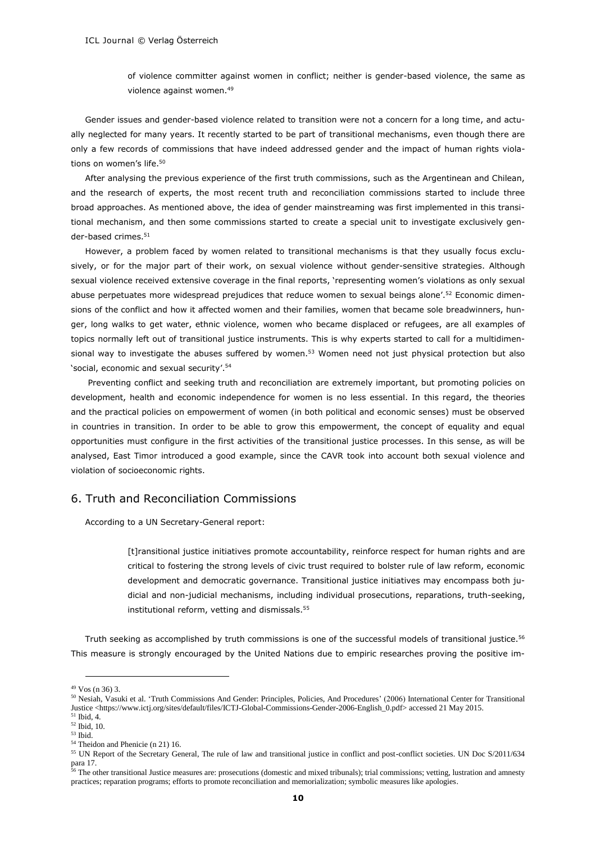of violence committer against women in conflict; neither is gender-based violence, the same as violence against women.<sup>49</sup>

Gender issues and gender-based violence related to transition were not a concern for a long time, and actually neglected for many years. It recently started to be part of transitional mechanisms, even though there are only a few records of commissions that have indeed addressed gender and the impact of human rights violations on women's life.<sup>50</sup>

After analysing the previous experience of the first truth commissions, such as the Argentinean and Chilean, and the research of experts, the most recent truth and reconciliation commissions started to include three broad approaches. As mentioned above, the idea of gender mainstreaming was first implemented in this transitional mechanism, and then some commissions started to create a special unit to investigate exclusively gender-based crimes.<sup>51</sup>

However, a problem faced by women related to transitional mechanisms is that they usually focus exclusively, or for the major part of their work, on sexual violence without gender-sensitive strategies. Although sexual violence received extensive coverage in the final reports, 'representing women's violations as only sexual abuse perpetuates more widespread prejudices that reduce women to sexual beings alone'.<sup>52</sup> Economic dimensions of the conflict and how it affected women and their families, women that became sole breadwinners, hunger, long walks to get water, ethnic violence, women who became displaced or refugees, are all examples of topics normally left out of transitional justice instruments. This is why experts started to call for a multidimensional way to investigate the abuses suffered by women.<sup>53</sup> Women need not just physical protection but also 'social, economic and sexual security'. 54

Preventing conflict and seeking truth and reconciliation are extremely important, but promoting policies on development, health and economic independence for women is no less essential. In this regard, the theories and the practical policies on empowerment of women (in both political and economic senses) must be observed in countries in transition. In order to be able to grow this empowerment, the concept of equality and equal opportunities must configure in the first activities of the transitional justice processes. In this sense, as will be analysed, East Timor introduced a good example, since the CAVR took into account both sexual violence and violation of socioeconomic rights.

#### 6. Truth and Reconciliation Commissions

According to a UN Secretary-General report:

[t]ransitional justice initiatives promote accountability, reinforce respect for human rights and are critical to fostering the strong levels of civic trust required to bolster rule of law reform, economic development and democratic governance. Transitional justice initiatives may encompass both judicial and non-judicial mechanisms, including individual prosecutions, reparations, truth-seeking, institutional reform, vetting and dismissals.<sup>55</sup>

Truth seeking as accomplished by truth commissions is one of the successful models of transitional justice.<sup>56</sup> This measure is strongly encouraged by the United Nations due to empiric researches proving the positive im-

<sup>49</sup> Vos (n 36) 3.

<sup>50</sup> Nesiah, Vasuki et al. 'Truth Commissions And Gender: Principles, Policies, And Procedures' (2006) International Center for Transitional Justice <https://www.ictj.org/sites/default/files/ICTJ-Global-Commissions-Gender-2006-English\_0.pdf> accessed 21 May 2015. <sup>51</sup> Ibid, 4.

<sup>52</sup> Ibid, 10.

<sup>53</sup> Ibid.

<sup>54</sup> Theidon and Phenicie (n 21) 16.

<sup>55</sup> UN Report of the Secretary General, The rule of law and transitional justice in conflict and post-conflict societies. UN Doc S/2011/634 para 17.

<sup>&</sup>lt;sup>56</sup> The other transitional Justice measures are: prosecutions (domestic and mixed tribunals); trial commissions; vetting, lustration and amnesty practices; reparation programs; efforts to promote reconciliation and memorialization; symbolic measures like apologies.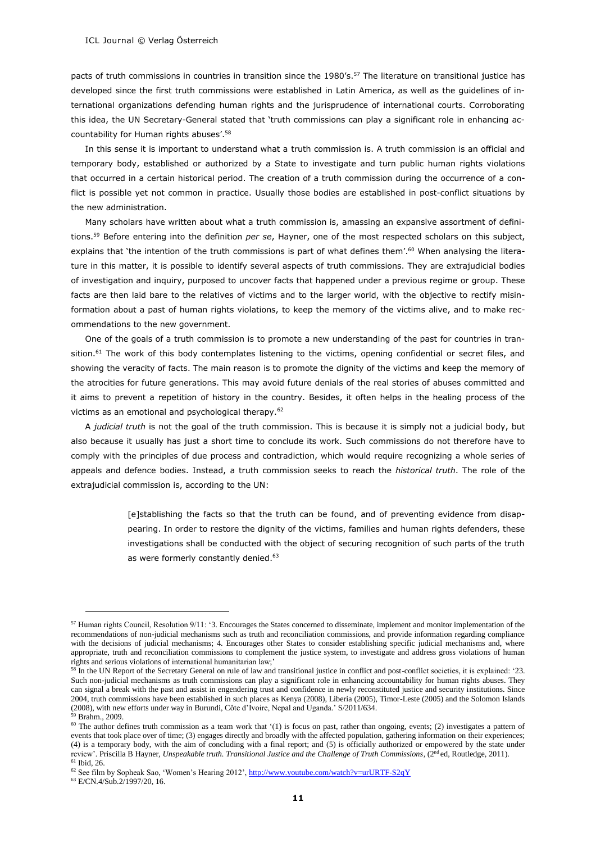pacts of truth commissions in countries in transition since the 1980's.<sup>57</sup> The literature on transitional justice has developed since the first truth commissions were established in Latin America, as well as the guidelines of international organizations defending human rights and the jurisprudence of international courts. Corroborating this idea, the UN Secretary-General stated that 'truth commissions can play a significant role in enhancing accountability for Human rights abuses'. 58

In this sense it is important to understand what a truth commission is. A truth commission is an official and temporary body, established or authorized by a State to investigate and turn public human rights violations that occurred in a certain historical period. The creation of a truth commission during the occurrence of a conflict is possible yet not common in practice. Usually those bodies are established in post-conflict situations by the new administration.

Many scholars have written about what a truth commission is, amassing an expansive assortment of definitions.<sup>59</sup> Before entering into the definition *per se*, Hayner, one of the most respected scholars on this subject, explains that 'the intention of the truth commissions is part of what defines them'. <sup>60</sup> When analysing the literature in this matter, it is possible to identify several aspects of truth commissions. They are extrajudicial bodies of investigation and inquiry, purposed to uncover facts that happened under a previous regime or group. These facts are then laid bare to the relatives of victims and to the larger world, with the objective to rectify misinformation about a past of human rights violations, to keep the memory of the victims alive, and to make recommendations to the new government.

One of the goals of a truth commission is to promote a new understanding of the past for countries in transition.<sup>61</sup> The work of this body contemplates listening to the victims, opening confidential or secret files, and showing the veracity of facts. The main reason is to promote the dignity of the victims and keep the memory of the atrocities for future generations. This may avoid future denials of the real stories of abuses committed and it aims to prevent a repetition of history in the country. Besides, it often helps in the healing process of the victims as an emotional and psychological therapy.<sup>62</sup>

A *judicial truth* is not the goal of the truth commission. This is because it is simply not a judicial body, but also because it usually has just a short time to conclude its work. Such commissions do not therefore have to comply with the principles of due process and contradiction, which would require recognizing a whole series of appeals and defence bodies. Instead, a truth commission seeks to reach the *historical truth*. The role of the extrajudicial commission is, according to the UN:

> [e]stablishing the facts so that the truth can be found, and of preventing evidence from disappearing. In order to restore the dignity of the victims, families and human rights defenders, these investigations shall be conducted with the object of securing recognition of such parts of the truth as were formerly constantly denied.<sup>63</sup>

 $57$  Human rights Council, Resolution 9/11: '3. Encourages the States concerned to disseminate, implement and monitor implementation of the recommendations of non-judicial mechanisms such as truth and reconciliation commissions, and provide information regarding compliance with the decisions of judicial mechanisms; 4. Encourages other States to consider establishing specific judicial mechanisms and, where appropriate, truth and reconciliation commissions to complement the justice system, to investigate and address gross violations of human rights and serious violations of international humanitarian law;'

<sup>58</sup> In the UN Report of the Secretary General on rule of law and transitional justice in conflict and post-conflict societies, it is explained: '23. Such non-judicial mechanisms as truth commissions can play a significant role in enhancing accountability for human rights abuses. They can signal a break with the past and assist in engendering trust and confidence in newly reconstituted justice and security institutions. Since 2004, truth commissions have been established in such places as Kenya (2008), Liberia (2005), Timor-Leste (2005) and the Solomon Islands (2008), with new efforts under way in Burundi, Côte d'Ivoire, Nepal and Uganda.' S/2011/634.

<sup>59</sup> Brahm., 2009.

 $60$  The author defines truth commission as a team work that '(1) is focus on past, rather than ongoing, events; (2) investigates a pattern of events that took place over of time; (3) engages directly and broadly with the affected population, gathering information on their experiences; (4) is a temporary body, with the aim of concluding with a final report; and (5) is officially authorized or empowered by the state under review'. Priscilla B Hayner, *Unspeakable truth. Transitional Justice and the Challenge of Truth Commissions*, (2<sup>nd</sup> ed, Routledge, 2011).  $61$  Ibid, 26.

<sup>62</sup> See film by Sopheak Sao, 'Women's Hearing 2012', http://www.youtube.com/watch?v=urURTF-S2qY

<sup>63</sup> E/CN.4/Sub.2/1997/20, 16.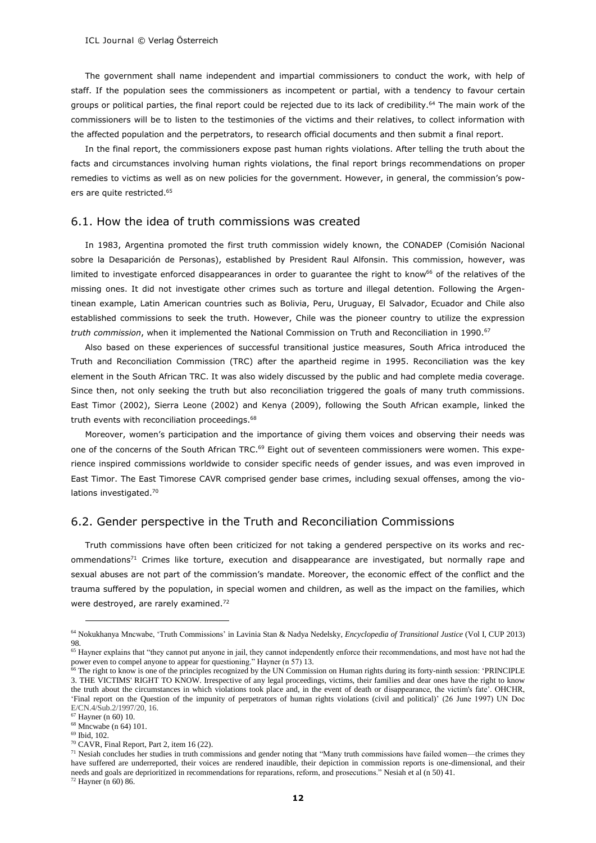The government shall name independent and impartial commissioners to conduct the work, with help of staff. If the population sees the commissioners as incompetent or partial, with a tendency to favour certain groups or political parties, the final report could be rejected due to its lack of credibility.<sup>64</sup> The main work of the commissioners will be to listen to the testimonies of the victims and their relatives, to collect information with the affected population and the perpetrators, to research official documents and then submit a final report.

In the final report, the commissioners expose past human rights violations. After telling the truth about the facts and circumstances involving human rights violations, the final report brings recommendations on proper remedies to victims as well as on new policies for the government. However, in general, the commission's powers are quite restricted. 65

#### 6.1. How the idea of truth commissions was created

In 1983, Argentina promoted the first truth commission widely known, the CONADEP (Comisión Nacional sobre la Desaparición de Personas), established by President Raul Alfonsin. This commission, however, was limited to investigate enforced disappearances in order to guarantee the right to know<sup>66</sup> of the relatives of the missing ones. It did not investigate other crimes such as torture and illegal detention. Following the Argentinean example, Latin American countries such as Bolivia, Peru, Uruguay, El Salvador, Ecuador and Chile also established commissions to seek the truth. However, Chile was the pioneer country to utilize the expression *truth commission*, when it implemented the National Commission on Truth and Reconciliation in 1990.<sup>67</sup>

Also based on these experiences of successful transitional justice measures, South Africa introduced the Truth and Reconciliation Commission (TRC) after the apartheid regime in 1995. Reconciliation was the key element in the South African TRC. It was also widely discussed by the public and had complete media coverage. Since then, not only seeking the truth but also reconciliation triggered the goals of many truth commissions. East Timor (2002), Sierra Leone (2002) and Kenya (2009), following the South African example, linked the truth events with reconciliation proceedings.<sup>68</sup>

Moreover, women's participation and the importance of giving them voices and observing their needs was one of the concerns of the South African TRC.<sup>69</sup> Eight out of seventeen commissioners were women. This experience inspired commissions worldwide to consider specific needs of gender issues, and was even improved in East Timor. The East Timorese CAVR comprised gender base crimes, including sexual offenses, among the violations investigated.<sup>70</sup>

# 6.2. Gender perspective in the Truth and Reconciliation Commissions

Truth commissions have often been criticized for not taking a gendered perspective on its works and recommendations<sup>71</sup> Crimes like torture, execution and disappearance are investigated, but normally rape and sexual abuses are not part of the commission's mandate. Moreover, the economic effect of the conflict and the trauma suffered by the population, in special women and children, as well as the impact on the families, which were destroyed, are rarely examined.<sup>72</sup>

<sup>64</sup> Nokukhanya Mncwabe, 'Truth Commissions' in Lavinia Stan & Nadya Nedelsky, *Encyclopedia of Transitional Justice* (Vol I, CUP 2013) 98.

<sup>&</sup>lt;sup>65</sup> Hayner explains that "they cannot put anyone in jail, they cannot independently enforce their recommendations, and most have not had the power even to compel anyone to appear for questioning." Hayner (n 57) 13.

<sup>&</sup>lt;sup>66</sup> The right to know is one of the principles recognized by the UN Commission on Human rights during its forty-ninth session: 'PRINCIPLE 3. THE VICTIMS' RIGHT TO KNOW. Irrespective of any legal proceedings, victims, their families and dear ones have the right to know the truth about the circumstances in which violations took place and, in the event of death or disappearance, the victim's fate'. OHCHR, 'Final report on the Question of the impunity of perpetrators of human rights violations (civil and political)' (26 June 1997) UN Doc E/CN.4/Sub.2/1997/20, 16.

<sup>67</sup> Hayner (n 60) 10.

<sup>68</sup> Mncwabe (n 64) 101.

<sup>69</sup> Ibid, 102.

<sup>70</sup> CAVR, Final Report, Part 2, item 16 (22).

 $71$  Nesiah concludes her studies in truth commissions and gender noting that "Many truth commissions have failed women—the crimes they have suffered are underreported, their voices are rendered inaudible, their depiction in commission reports is one-dimensional, and their needs and goals are deprioritized in recommendations for reparations, reform, and prosecutions." Nesiah et al (n 50) 41. <sup>72</sup> Hayner (n 60) 86.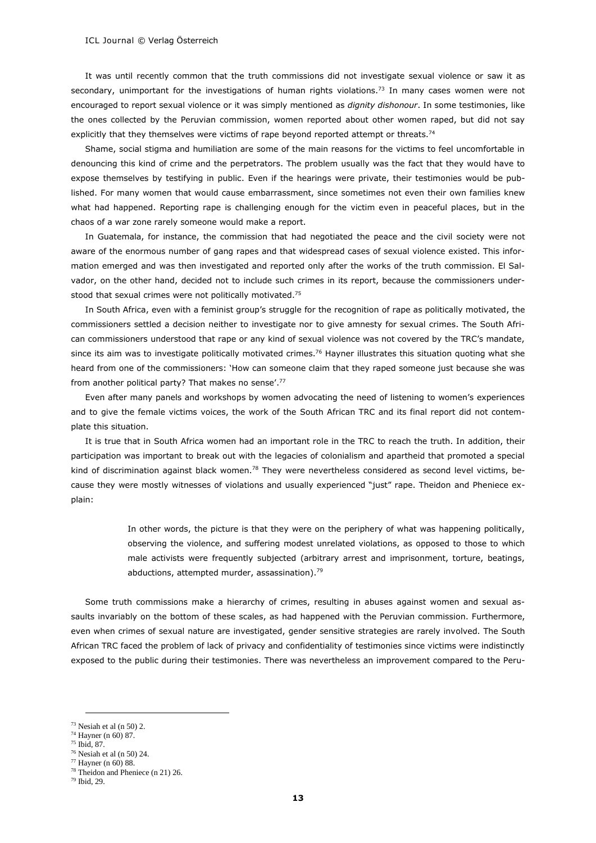It was until recently common that the truth commissions did not investigate sexual violence or saw it as secondary, unimportant for the investigations of human rights violations.<sup>73</sup> In many cases women were not encouraged to report sexual violence or it was simply mentioned as *dignity dishonour*. In some testimonies, like the ones collected by the Peruvian commission, women reported about other women raped, but did not say explicitly that they themselves were victims of rape beyond reported attempt or threats.<sup>74</sup>

Shame, social stigma and humiliation are some of the main reasons for the victims to feel uncomfortable in denouncing this kind of crime and the perpetrators. The problem usually was the fact that they would have to expose themselves by testifying in public. Even if the hearings were private, their testimonies would be published. For many women that would cause embarrassment, since sometimes not even their own families knew what had happened. Reporting rape is challenging enough for the victim even in peaceful places, but in the chaos of a war zone rarely someone would make a report.

In Guatemala, for instance, the commission that had negotiated the peace and the civil society were not aware of the enormous number of gang rapes and that widespread cases of sexual violence existed. This information emerged and was then investigated and reported only after the works of the truth commission. El Salvador, on the other hand, decided not to include such crimes in its report, because the commissioners understood that sexual crimes were not politically motivated.<sup>75</sup>

In South Africa, even with a feminist group's struggle for the recognition of rape as politically motivated, the commissioners settled a decision neither to investigate nor to give amnesty for sexual crimes. The South African commissioners understood that rape or any kind of sexual violence was not covered by the TRC's mandate, since its aim was to investigate politically motivated crimes.<sup>76</sup> Hayner illustrates this situation quoting what she heard from one of the commissioners: 'How can someone claim that they raped someone just because she was from another political party? That makes no sense'. 77

Even after many panels and workshops by women advocating the need of listening to women's experiences and to give the female victims voices, the work of the South African TRC and its final report did not contemplate this situation.

It is true that in South Africa women had an important role in the TRC to reach the truth. In addition, their participation was important to break out with the legacies of colonialism and apartheid that promoted a special kind of discrimination against black women.<sup>78</sup> They were nevertheless considered as second level victims, because they were mostly witnesses of violations and usually experienced "just" rape. Theidon and Pheniece explain:

> In other words, the picture is that they were on the periphery of what was happening politically, observing the violence, and suffering modest unrelated violations, as opposed to those to which male activists were frequently subjected (arbitrary arrest and imprisonment, torture, beatings, abductions, attempted murder, assassination).<sup>79</sup>

Some truth commissions make a hierarchy of crimes, resulting in abuses against women and sexual assaults invariably on the bottom of these scales, as had happened with the Peruvian commission. Furthermore, even when crimes of sexual nature are investigated, gender sensitive strategies are rarely involved. The South African TRC faced the problem of lack of privacy and confidentiality of testimonies since victims were indistinctly exposed to the public during their testimonies. There was nevertheless an improvement compared to the Peru-

 $73$  Nesiah et al (n 50) 2.

<sup>74</sup> Hayner (n 60) 87.

<sup>75</sup> Ibid, 87.

<sup>76</sup> Nesiah et al (n 50) 24.

<sup>77</sup> Hayner (n 60) 88.

<sup>78</sup> Theidon and Pheniece (n 21) 26.

<sup>79</sup> Ibid, 29.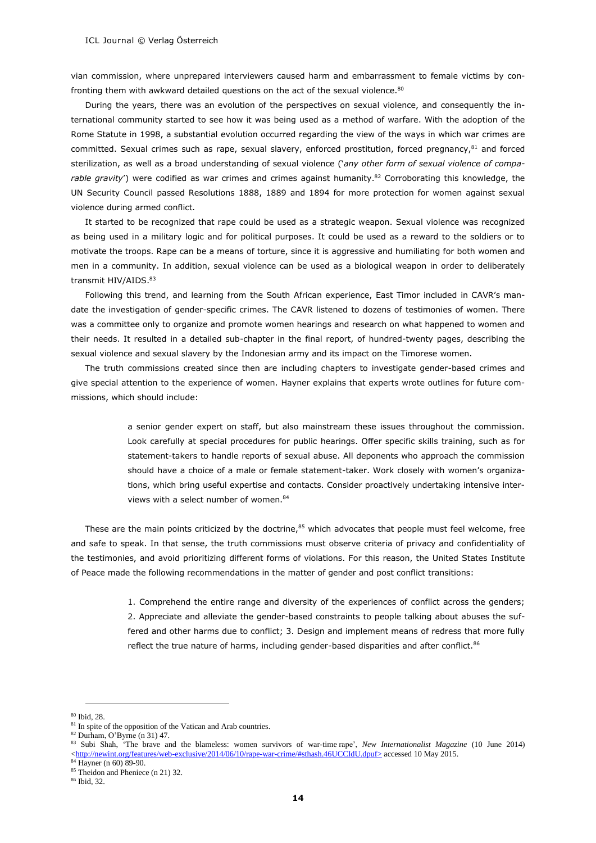vian commission, where unprepared interviewers caused harm and embarrassment to female victims by confronting them with awkward detailed questions on the act of the sexual violence.<sup>80</sup>

During the years, there was an evolution of the perspectives on sexual violence, and consequently the international community started to see how it was being used as a method of warfare. With the adoption of the Rome Statute in 1998, a substantial evolution occurred regarding the view of the ways in which war crimes are committed. Sexual crimes such as rape, sexual slavery, enforced prostitution, forced pregnancy,<sup>81</sup> and forced sterilization, as well as a broad understanding of sexual violence ('*any other form of sexual violence of compa*rable gravity') were codified as war crimes and crimes against humanity.<sup>82</sup> Corroborating this knowledge, the UN Security Council passed Resolutions 1888, 1889 and 1894 for more protection for women against sexual violence during armed conflict.

It started to be recognized that rape could be used as a strategic weapon. Sexual violence was recognized as being used in a military logic and for political purposes. It could be used as a reward to the soldiers or to motivate the troops. Rape can be a means of torture, since it is aggressive and humiliating for both women and men in a community. In addition, sexual violence can be used as a biological weapon in order to deliberately transmit HIV/AIDS.<sup>83</sup>

Following this trend, and learning from the South African experience, East Timor included in CAVR's mandate the investigation of gender-specific crimes. The CAVR listened to dozens of testimonies of women. There was a committee only to organize and promote women hearings and research on what happened to women and their needs. It resulted in a detailed sub-chapter in the final report, of hundred-twenty pages, describing the sexual violence and sexual slavery by the Indonesian army and its impact on the Timorese women.

The truth commissions created since then are including chapters to investigate gender-based crimes and give special attention to the experience of women. Hayner explains that experts wrote outlines for future commissions, which should include:

> a senior gender expert on staff, but also mainstream these issues throughout the commission. Look carefully at special procedures for public hearings. Offer specific skills training, such as for statement-takers to handle reports of sexual abuse. All deponents who approach the commission should have a choice of a male or female statement-taker. Work closely with women's organizations, which bring useful expertise and contacts. Consider proactively undertaking intensive interviews with a select number of women.<sup>84</sup>

These are the main points criticized by the doctrine, $85$  which advocates that people must feel welcome, free and safe to speak. In that sense, the truth commissions must observe criteria of privacy and confidentiality of the testimonies, and avoid prioritizing different forms of violations. For this reason, the United States Institute of Peace made the following recommendations in the matter of gender and post conflict transitions:

> 1. Comprehend the entire range and diversity of the experiences of conflict across the genders; 2. Appreciate and alleviate the gender-based constraints to people talking about abuses the suffered and other harms due to conflict; 3. Design and implement means of redress that more fully reflect the true nature of harms, including gender-based disparities and after conflict.<sup>86</sup>

<sup>-</sup><sup>80</sup> Ibid, 28.

<sup>&</sup>lt;sup>81</sup> In spite of the opposition of the Vatican and Arab countries.

<sup>82</sup> Durham, O'Byrne (n 31) 47.

<sup>83</sup> Subi Shah, 'The brave and the blameless: women survivors of war-time rape', *New Internationalist Magazine* (10 June 2014) [<http://newint.org/features/web-exclusive/2014/06/10/rape-war-crime/#sthash.46UCCIdU.dpuf>](http://newint.org/features/web-exclusive/2014/06/10/rape-war-crime/#sthash.46UCCIdU.dpuf) accessed 10 May 2015.

 $\frac{34}{14}$  Hayner (n 60) 89-90.

<sup>85</sup> Theidon and Pheniece (n 21) 32.

<sup>86</sup> Ibid, 32.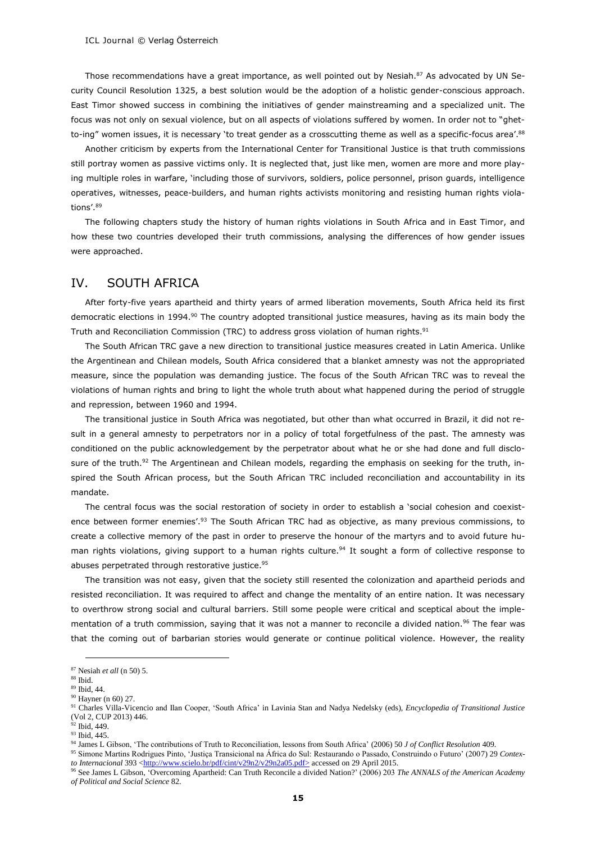Those recommendations have a great importance, as well pointed out by Nesiah.<sup>87</sup> As advocated by UN Security Council Resolution 1325, a best solution would be the adoption of a holistic gender-conscious approach. East Timor showed success in combining the initiatives of gender mainstreaming and a specialized unit. The focus was not only on sexual violence, but on all aspects of violations suffered by women. In order not to "ghetto-ing" women issues, it is necessary `to treat gender as a crosscutting theme as well as a specific-focus area'.<sup>88</sup>

Another criticism by experts from the International Center for Transitional Justice is that truth commissions still portray women as passive victims only. It is neglected that, just like men, women are more and more playing multiple roles in warfare, 'including those of survivors, soldiers, police personnel, prison guards, intelligence operatives, witnesses, peace-builders, and human rights activists monitoring and resisting human rights violations'. 89

The following chapters study the history of human rights violations in South Africa and in East Timor, and how these two countries developed their truth commissions, analysing the differences of how gender issues were approached.

# IV. SOUTH AFRICA

After forty-five years apartheid and thirty years of armed liberation movements, South Africa held its first democratic elections in 1994.<sup>90</sup> The country adopted transitional justice measures, having as its main body the Truth and Reconciliation Commission (TRC) to address gross violation of human rights.<sup>91</sup>

The South African TRC gave a new direction to transitional justice measures created in Latin America. Unlike the Argentinean and Chilean models, South Africa considered that a blanket amnesty was not the appropriated measure, since the population was demanding justice. The focus of the South African TRC was to reveal the violations of human rights and bring to light the whole truth about what happened during the period of struggle and repression, between 1960 and 1994.

The transitional justice in South Africa was negotiated, but other than what occurred in Brazil, it did not result in a general amnesty to perpetrators nor in a policy of total forgetfulness of the past. The amnesty was conditioned on the public acknowledgement by the perpetrator about what he or she had done and full disclosure of the truth.<sup>92</sup> The Argentinean and Chilean models, regarding the emphasis on seeking for the truth, inspired the South African process, but the South African TRC included reconciliation and accountability in its mandate.

The central focus was the social restoration of society in order to establish a 'social cohesion and coexistence between former enemies'.<sup>93</sup> The South African TRC had as objective, as many previous commissions, to create a collective memory of the past in order to preserve the honour of the martyrs and to avoid future human rights violations, giving support to a human rights culture.<sup>94</sup> It sought a form of collective response to abuses perpetrated through restorative justice.<sup>95</sup>

The transition was not easy, given that the society still resented the colonization and apartheid periods and resisted reconciliation. It was required to affect and change the mentality of an entire nation. It was necessary to overthrow strong social and cultural barriers. Still some people were critical and sceptical about the implementation of a truth commission, saying that it was not a manner to reconcile a divided nation.<sup>96</sup> The fear was that the coming out of barbarian stories would generate or continue political violence. However, the reality

<sup>87</sup> Nesiah *et all* (n 50) 5.

<sup>88</sup> Ibid.

<sup>89</sup> Ibid, 44.

<sup>90</sup> Hayner (n 60) 27.

<sup>91</sup> Charles Villa-Vicencio and Ilan Cooper, 'South Africa' in Lavinia Stan and Nadya Nedelsky (eds), *Encyclopedia of Transitional Justice* (Vol 2, CUP 2013) 446.  $^{92}$  Ibid,  $449$ .

<sup>93</sup> Ibid, 445.

<sup>94</sup> James L Gibson, 'The contributions of Truth to Reconciliation, lessons from South Africa' (2006) 50 *J of Conflict Resolution* 409.

<sup>95</sup> Simone Martins Rodrigues Pinto, 'Justiça Transicional na África do Sul: Restaurando o Passado, Construindo o Futuro' (2007) 29 *Contexto Internacional* 393 [<http://www.scielo.br/pdf/cint/v29n2/v29n2a05.pdf>](http://www.scielo.br/pdf/cint/v29n2/v29n2a05.pdf) accessed on 29 April 2015.

<sup>96</sup> See James L Gibson, 'Overcoming Apartheid: Can Truth Reconcile a divided Nation?' (2006) 203 *The ANNALS of the American Academy of Political and Social Science* 82.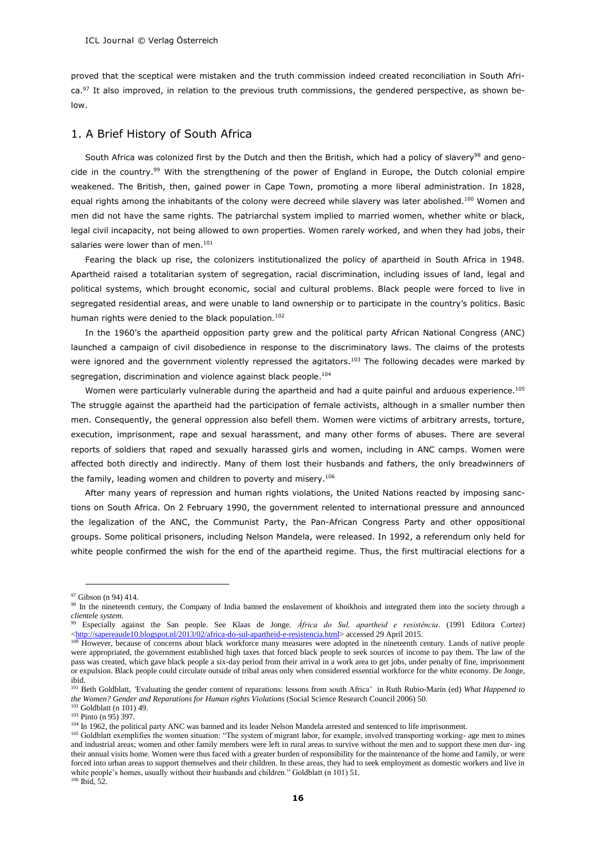proved that the sceptical were mistaken and the truth commission indeed created reconciliation in South Africa.<sup>97</sup> It also improved, in relation to the previous truth commissions, the gendered perspective, as shown below.

#### 1. A Brief History of South Africa

South Africa was colonized first by the Dutch and then the British, which had a policy of slavery<sup>98</sup> and genocide in the country.<sup>99</sup> With the strengthening of the power of England in Europe, the Dutch colonial empire weakened. The British, then, gained power in Cape Town, promoting a more liberal administration. In 1828, equal rights among the inhabitants of the colony were decreed while slavery was later abolished.<sup>100</sup> Women and men did not have the same rights. The patriarchal system implied to married women, whether white or black, legal civil incapacity, not being allowed to own properties. Women rarely worked, and when they had jobs, their salaries were lower than of men.<sup>101</sup>

Fearing the black up rise, the colonizers institutionalized the policy of apartheid in South Africa in 1948. Apartheid raised a totalitarian system of segregation, racial discrimination, including issues of land, legal and political systems, which brought economic, social and cultural problems. Black people were forced to live in segregated residential areas, and were unable to land ownership or to participate in the country's politics. Basic human rights were denied to the black population.<sup>102</sup>

In the 1960's the apartheid opposition party grew and the political party African National Congress (ANC) launched a campaign of civil disobedience in response to the discriminatory laws. The claims of the protests were ignored and the government violently repressed the agitators.<sup>103</sup> The following decades were marked by segregation, discrimination and violence against black people.<sup>104</sup>

Women were particularly vulnerable during the apartheid and had a quite painful and arduous experience.<sup>105</sup> The struggle against the apartheid had the participation of female activists, although in a smaller number then men. Consequently, the general oppression also befell them. Women were victims of arbitrary arrests, torture, execution, imprisonment, rape and sexual harassment, and many other forms of abuses. There are several reports of soldiers that raped and sexually harassed girls and women, including in ANC camps. Women were affected both directly and indirectly. Many of them lost their husbands and fathers, the only breadwinners of the family, leading women and children to poverty and misery.<sup>106</sup>

After many years of repression and human rights violations, the United Nations reacted by imposing sanctions on South Africa. On 2 February 1990, the government relented to international pressure and announced the legalization of the ANC, the Communist Party, the Pan-African Congress Party and other oppositional groups. Some political prisoners, including Nelson Mandela, were released. In 1992, a referendum only held for white people confirmed the wish for the end of the apartheid regime. Thus, the first multiracial elections for a

<sup>97</sup> Gibson (n 94) 414.

<sup>&</sup>lt;sup>98</sup> In the nineteenth century, the Company of India banned the enslavement of khoikhois and integrated them into the society through a *clientele system*.

<sup>99</sup> Especially against the San people. See Klaas de Jonge. *África do Sul, apartheid e resistência*. (1991 Editora Cortez) [<http://sapereaude10.blogspot.nl/2013/02/africa-do-sul-apartheid-e-resistencia.html>](http://sapereaude10.blogspot.nl/2013/02/africa-do-sul-apartheid-e-resistencia.html) accessed 29 April 2015.

<sup>&</sup>lt;sup>100</sup> However, because of concerns about black workforce many measures were adopted in the nineteenth century. Lands of native people were appropriated, the government established high taxes that forced black people to seek sources of income to pay them. The law of the pass was created, which gave black people a six-day period from their arrival in a work area to get jobs, under penalty of fine, imprisonment or expulsion. Black people could circulate outside of tribal areas only when considered essential workforce for the white economy. De Jonge, ibid.

<sup>101</sup> Beth Goldblatt, *'*Evaluating the gender content of reparations: lessons from south Africa' in Ruth Rubio-Marín (ed) *What Happened to the Women? Gender and Reparations for Human rights Violations* (Social Science Research Council 2006) 50.

 $102$  Goldblatt (n 101) 49.

<sup>103</sup> Pinto (n 95) 397.

<sup>&</sup>lt;sup>104</sup> In 1962, the political party ANC was banned and its leader Nelson Mandela arrested and sentenced to life imprisonment.

<sup>&</sup>lt;sup>105</sup> Goldblatt exemplifies the women situation: "The system of migrant labor, for example, involved transporting working- age men to mines and industrial areas; women and other family members were left in rural areas to survive without the men and to support these men dur- ing their annual visits home. Women were thus faced with a greater burden of responsibility for the maintenance of the home and family, or were forced into urban areas to support themselves and their children. In these areas, they had to seek employment as domestic workers and live in white people's homes, usually without their husbands and children." Goldblatt (n 101) 51.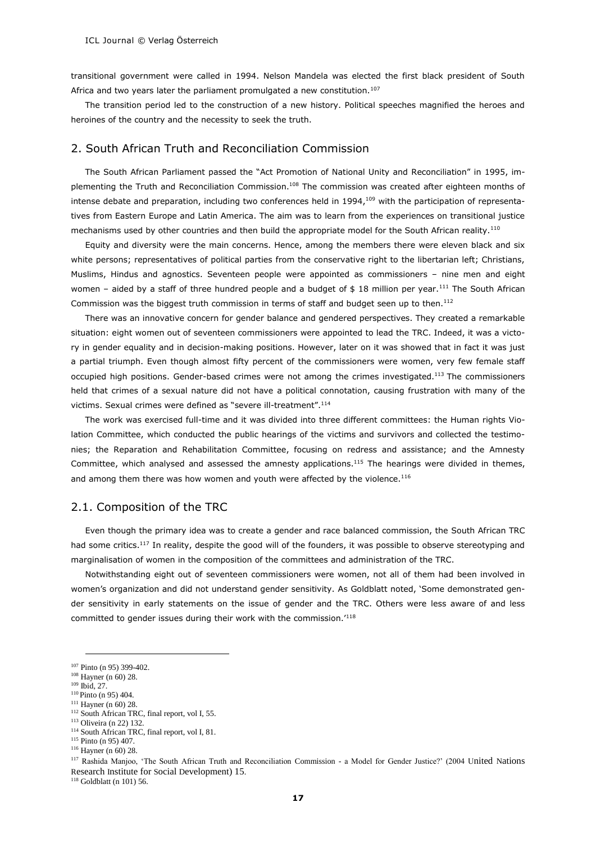transitional government were called in 1994. Nelson Mandela was elected the first black president of South Africa and two years later the parliament promulgated a new constitution.<sup>107</sup>

The transition period led to the construction of a new history. Political speeches magnified the heroes and heroines of the country and the necessity to seek the truth.

## 2. South African Truth and Reconciliation Commission

The South African Parliament passed the "Act Promotion of National Unity and Reconciliation" in 1995, implementing the Truth and Reconciliation Commission.<sup>108</sup> The commission was created after eighteen months of intense debate and preparation, including two conferences held in  $1994$ ,<sup>109</sup> with the participation of representatives from Eastern Europe and Latin America. The aim was to learn from the experiences on transitional justice mechanisms used by other countries and then build the appropriate model for the South African reality.<sup>110</sup>

Equity and diversity were the main concerns. Hence, among the members there were eleven black and six white persons; representatives of political parties from the conservative right to the libertarian left; Christians, Muslims, Hindus and agnostics. Seventeen people were appointed as commissioners – nine men and eight women – aided by a staff of three hundred people and a budget of  $$18$  million per year.<sup>111</sup> The South African Commission was the biggest truth commission in terms of staff and budget seen up to then.<sup>112</sup>

There was an innovative concern for gender balance and gendered perspectives. They created a remarkable situation: eight women out of seventeen commissioners were appointed to lead the TRC. Indeed, it was a victory in gender equality and in decision-making positions. However, later on it was showed that in fact it was just a partial triumph. Even though almost fifty percent of the commissioners were women, very few female staff occupied high positions. Gender-based crimes were not among the crimes investigated.<sup>113</sup> The commissioners held that crimes of a sexual nature did not have a political connotation, causing frustration with many of the victims. Sexual crimes were defined as "severe ill-treatment". 114

The work was exercised full-time and it was divided into three different committees: the Human rights Violation Committee, which conducted the public hearings of the victims and survivors and collected the testimonies; the Reparation and Rehabilitation Committee, focusing on redress and assistance; and the Amnesty Committee, which analysed and assessed the amnesty applications.<sup>115</sup> The hearings were divided in themes, and among them there was how women and youth were affected by the violence.<sup>116</sup>

## 2.1. Composition of the TRC

Even though the primary idea was to create a gender and race balanced commission, the South African TRC had some critics.<sup>117</sup> In reality, despite the good will of the founders, it was possible to observe stereotyping and marginalisation of women in the composition of the committees and administration of the TRC.

Notwithstanding eight out of seventeen commissioners were women, not all of them had been involved in women's organization and did not understand gender sensitivity. As Goldblatt noted, 'Some demonstrated gender sensitivity in early statements on the issue of gender and the TRC. Others were less aware of and less committed to gender issues during their work with the commission.'<sup>118</sup>

-

<sup>117</sup> Rashida Manjoo, 'The South African Truth and Reconciliation Commission - a Model for Gender Justice?' (2004 United Nations Research Institute for Social Development) 15.

 $118$  Goldblatt (n 101) 56.

<sup>107</sup> Pinto (n 95) 399-402.

<sup>108</sup> Hayner (n 60) 28.

<sup>109</sup> Ibid, 27.

<sup>110</sup> Pinto (n 95) 404. <sup>111</sup> Hayner (n 60) 28.

<sup>&</sup>lt;sup>112</sup> South African TRC, final report, vol I, 55.

<sup>113</sup> Oliveira (n 22) 132.

<sup>114</sup> South African TRC, final report, vol I, 81.

<sup>&</sup>lt;sup>115</sup> Pinto (n 95) 407.

<sup>116</sup> Hayner (n 60) 28.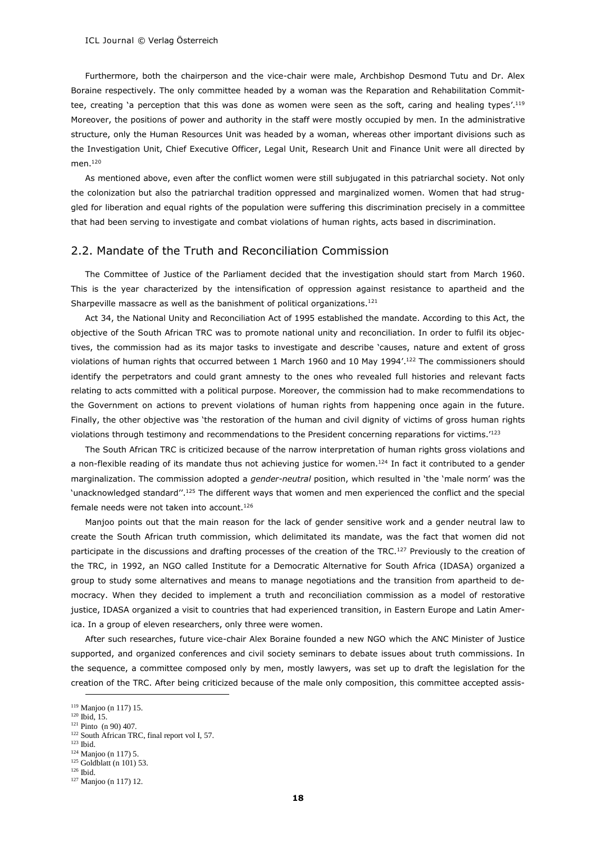Furthermore, both the chairperson and the vice-chair were male, Archbishop Desmond Tutu and Dr. Alex Boraine respectively. The only committee headed by a woman was the Reparation and Rehabilitation Committee, creating 'a perception that this was done as women were seen as the soft, caring and healing types'.<sup>119</sup> Moreover, the positions of power and authority in the staff were mostly occupied by men. In the administrative structure, only the Human Resources Unit was headed by a woman, whereas other important divisions such as the Investigation Unit, Chief Executive Officer, Legal Unit, Research Unit and Finance Unit were all directed by men.<sup>120</sup>

As mentioned above, even after the conflict women were still subjugated in this patriarchal society. Not only the colonization but also the patriarchal tradition oppressed and marginalized women. Women that had struggled for liberation and equal rights of the population were suffering this discrimination precisely in a committee that had been serving to investigate and combat violations of human rights, acts based in discrimination.

## 2.2. Mandate of the Truth and Reconciliation Commission

The Committee of Justice of the Parliament decided that the investigation should start from March 1960. This is the year characterized by the intensification of oppression against resistance to apartheid and the Sharpeville massacre as well as the banishment of political organizations.<sup>121</sup>

Act 34, the National Unity and Reconciliation Act of 1995 established the mandate. According to this Act, the objective of the South African TRC was to promote national unity and reconciliation. In order to fulfil its objectives, the commission had as its major tasks to investigate and describe 'causes, nature and extent of gross violations of human rights that occurred between 1 March 1960 and 10 May 1994'. <sup>122</sup> The commissioners should identify the perpetrators and could grant amnesty to the ones who revealed full histories and relevant facts relating to acts committed with a political purpose. Moreover, the commission had to make recommendations to the Government on actions to prevent violations of human rights from happening once again in the future. Finally, the other objective was 'the restoration of the human and civil dignity of victims of gross human rights violations through testimony and recommendations to the President concerning reparations for victims.'<sup>123</sup>

The South African TRC is criticized because of the narrow interpretation of human rights gross violations and a non-flexible reading of its mandate thus not achieving justice for women.<sup>124</sup> In fact it contributed to a gender marginalization. The commission adopted a *gender-neutral* position, which resulted in 'the 'male norm' was the 'unacknowledged standard".<sup>125</sup> The different ways that women and men experienced the conflict and the special female needs were not taken into account.<sup>126</sup>

Manjoo points out that the main reason for the lack of gender sensitive work and a gender neutral law to create the South African truth commission, which delimitated its mandate, was the fact that women did not participate in the discussions and drafting processes of the creation of the TRC.<sup>127</sup> Previously to the creation of the TRC, in 1992, an NGO called Institute for a Democratic Alternative for South Africa (IDASA) organized a group to study some alternatives and means to manage negotiations and the transition from apartheid to democracy. When they decided to implement a truth and reconciliation commission as a model of restorative justice, IDASA organized a visit to countries that had experienced transition, in Eastern Europe and Latin America. In a group of eleven researchers, only three were women.

After such researches, future vice-chair Alex Boraine founded a new NGO which the ANC Minister of Justice supported, and organized conferences and civil society seminars to debate issues about truth commissions. In the sequence, a committee composed only by men, mostly lawyers, was set up to draft the legislation for the creation of the TRC. After being criticized because of the male only composition, this committee accepted assis-

-

<sup>124</sup> Manjoo (n 117) 5.

<sup>119</sup> Manjoo (n 117) 15.

<sup>120</sup> Ibid, 15.

 $121$  Pinto (n 90) 407. <sup>122</sup> South African TRC, final report vol I, 57.

<sup>123</sup> Ibid.

 $125$  Goldblatt (n 101) 53.

<sup>126</sup> Ibid.

<sup>127</sup> Manjoo (n 117) 12.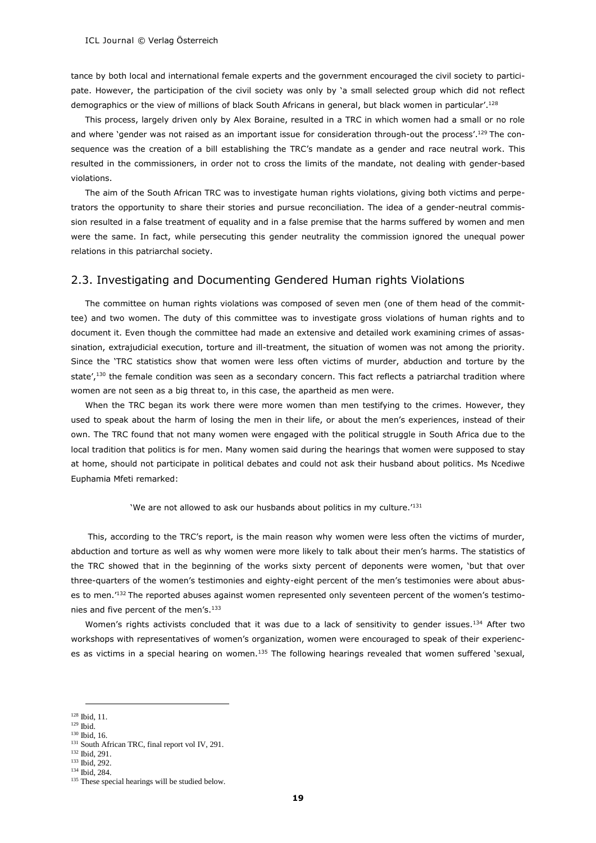tance by both local and international female experts and the government encouraged the civil society to participate. However, the participation of the civil society was only by 'a small selected group which did not reflect demographics or the view of millions of black South Africans in general, but black women in particular'.<sup>128</sup>

This process, largely driven only by Alex Boraine, resulted in a TRC in which women had a small or no role and where 'gender was not raised as an important issue for consideration through-out the process'.<sup>129</sup> The consequence was the creation of a bill establishing the TRC's mandate as a gender and race neutral work. This resulted in the commissioners, in order not to cross the limits of the mandate, not dealing with gender-based violations.

The aim of the South African TRC was to investigate human rights violations, giving both victims and perpetrators the opportunity to share their stories and pursue reconciliation. The idea of a gender-neutral commission resulted in a false treatment of equality and in a false premise that the harms suffered by women and men were the same. In fact, while persecuting this gender neutrality the commission ignored the unequal power relations in this patriarchal society.

## 2.3. Investigating and Documenting Gendered Human rights Violations

The committee on human rights violations was composed of seven men (one of them head of the committee) and two women. The duty of this committee was to investigate gross violations of human rights and to document it. Even though the committee had made an extensive and detailed work examining crimes of assassination, extrajudicial execution, torture and ill-treatment, the situation of women was not among the priority. Since the 'TRC statistics show that women were less often victims of murder, abduction and torture by the state',<sup>130</sup> the female condition was seen as a secondary concern. This fact reflects a patriarchal tradition where women are not seen as a big threat to, in this case, the apartheid as men were.

When the TRC began its work there were more women than men testifying to the crimes. However, they used to speak about the harm of losing the men in their life, or about the men's experiences, instead of their own. The TRC found that not many women were engaged with the political struggle in South Africa due to the local tradition that politics is for men. Many women said during the hearings that women were supposed to stay at home, should not participate in political debates and could not ask their husband about politics. Ms Ncediwe Euphamia Mfeti remarked:

#### 'We are not allowed to ask our husbands about politics in my culture.'<sup>131</sup>

This, according to the TRC's report, is the main reason why women were less often the victims of murder, abduction and torture as well as why women were more likely to talk about their men's harms. The statistics of the TRC showed that in the beginning of the works sixty percent of deponents were women, 'but that over three-quarters of the women's testimonies and eighty-eight percent of the men's testimonies were about abuses to men.'<sup>132</sup> The reported abuses against women represented only seventeen percent of the women's testimonies and five percent of the men's.<sup>133</sup>

Women's rights activists concluded that it was due to a lack of sensitivity to gender issues.<sup>134</sup> After two workshops with representatives of women's organization, women were encouraged to speak of their experiences as victims in a special hearing on women.<sup>135</sup> The following hearings revealed that women suffered 'sexual,

<sup>-</sup><sup>128</sup> Ibid, 11.

 $129$  Ibid.

<sup>130</sup> Ibid, 16.

<sup>&</sup>lt;sup>131</sup> South African TRC, final report vol IV, 291.

<sup>132</sup> Ibid, 291.

<sup>133</sup> Ibid, 292.

<sup>134</sup> Ibid, 284.

<sup>&</sup>lt;sup>135</sup> These special hearings will be studied below.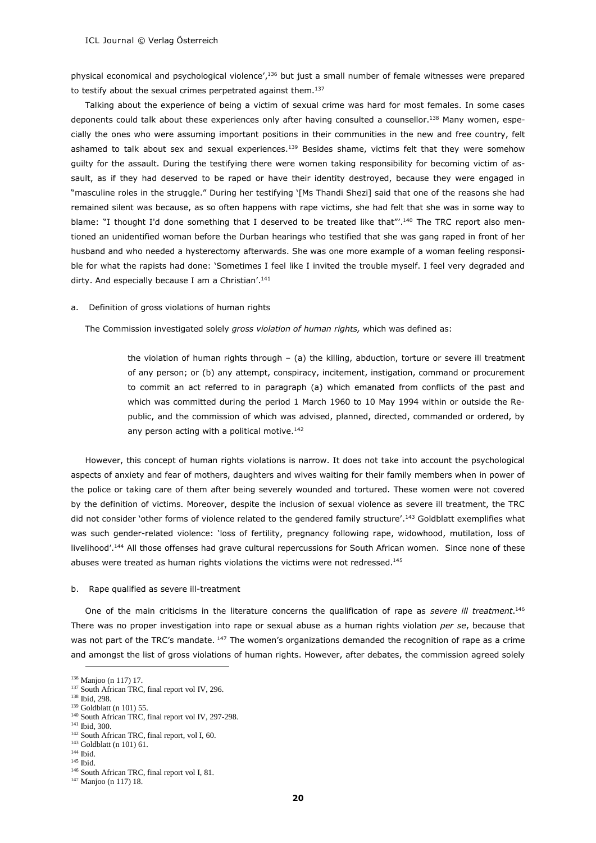physical economical and psychological violence',<sup>136</sup> but just a small number of female witnesses were prepared to testify about the sexual crimes perpetrated against them.<sup>137</sup>

Talking about the experience of being a victim of sexual crime was hard for most females. In some cases deponents could talk about these experiences only after having consulted a counsellor.<sup>138</sup> Many women, especially the ones who were assuming important positions in their communities in the new and free country, felt ashamed to talk about sex and sexual experiences.<sup>139</sup> Besides shame, victims felt that they were somehow guilty for the assault. During the testifying there were women taking responsibility for becoming victim of assault, as if they had deserved to be raped or have their identity destroyed, because they were engaged in "masculine roles in the struggle." During her testifying '[Ms Thandi Shezi] said that one of the reasons she had remained silent was because, as so often happens with rape victims, she had felt that she was in some way to blame: "I thought I'd done something that I deserved to be treated like that"'.<sup>140</sup> The TRC report also mentioned an unidentified woman before the Durban hearings who testified that she was gang raped in front of her husband and who needed a hysterectomy afterwards. She was one more example of a woman feeling responsible for what the rapists had done: 'Sometimes I feel like I invited the trouble myself. I feel very degraded and dirty. And especially because I am a Christian'.<sup>141</sup>

a. Definition of gross violations of human rights

The Commission investigated solely *gross violation of human rights,* which was defined as:

the violation of human rights through – (a) the killing, abduction, torture or severe ill treatment of any person; or (b) any attempt, conspiracy, incitement, instigation, command or procurement to commit an act referred to in paragraph (a) which emanated from conflicts of the past and which was committed during the period 1 March 1960 to 10 May 1994 within or outside the Republic, and the commission of which was advised, planned, directed, commanded or ordered, by any person acting with a political motive.<sup>142</sup>

However, this concept of human rights violations is narrow. It does not take into account the psychological aspects of anxiety and fear of mothers, daughters and wives waiting for their family members when in power of the police or taking care of them after being severely wounded and tortured. These women were not covered by the definition of victims. Moreover, despite the inclusion of sexual violence as severe ill treatment, the TRC did not consider 'other forms of violence related to the gendered family structure'.<sup>143</sup> Goldblatt exemplifies what was such gender-related violence: 'loss of fertility, pregnancy following rape, widowhood, mutilation, loss of livelihood'.<sup>144</sup> All those offenses had grave cultural repercussions for South African women. Since none of these abuses were treated as human rights violations the victims were not redressed.<sup>145</sup>

#### b. Rape qualified as severe ill-treatment

One of the main criticisms in the literature concerns the qualification of rape as *severe ill treatment*. 146 There was no proper investigation into rape or sexual abuse as a human rights violation *per se*, because that was not part of the TRC's mandate. <sup>147</sup> The women's organizations demanded the recognition of rape as a crime and amongst the list of gross violations of human rights. However, after debates, the commission agreed solely

<sup>136</sup> Manjoo (n 117) 17.

<sup>&</sup>lt;sup>137</sup> South African TRC, final report vol IV, 296.

<sup>138</sup> Ibid, 298.

 $139$  Goldblatt (n 101) 55.

<sup>&</sup>lt;sup>140</sup> South African TRC, final report vol IV, 297-298.

<sup>141</sup> Ibid, 300.

<sup>&</sup>lt;sup>142</sup> South African TRC, final report, vol I, 60.

<sup>&</sup>lt;sup>143</sup> Goldblatt (n 101) 61.

<sup>144</sup> Ibid. <sup>145</sup> Ibid.

<sup>&</sup>lt;sup>146</sup> South African TRC, final report vol I, 81.

<sup>147</sup> Manjoo (n 117) 18.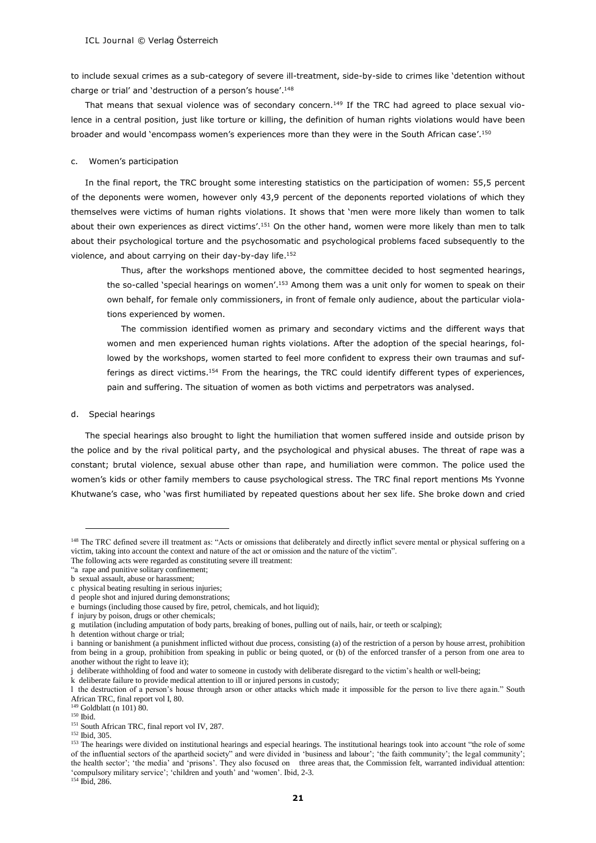to include sexual crimes as a sub-category of severe ill-treatment, side-by-side to crimes like 'detention without charge or trial' and 'destruction of a person's house'. 148

That means that sexual violence was of secondary concern.<sup>149</sup> If the TRC had agreed to place sexual violence in a central position, just like torture or killing, the definition of human rights violations would have been broader and would `encompass women's experiences more than they were in the South African case'.<sup>150</sup>

#### c. Women's participation

In the final report, the TRC brought some interesting statistics on the participation of women: 55,5 percent of the deponents were women, however only 43,9 percent of the deponents reported violations of which they themselves were victims of human rights violations. It shows that 'men were more likely than women to talk about their own experiences as direct victims'.<sup>151</sup> On the other hand, women were more likely than men to talk about their psychological torture and the psychosomatic and psychological problems faced subsequently to the violence, and about carrying on their day-by-day life.<sup>152</sup>

Thus, after the workshops mentioned above, the committee decided to host segmented hearings, the so-called `special hearings on women'.<sup>153</sup> Among them was a unit only for women to speak on their own behalf, for female only commissioners, in front of female only audience, about the particular violations experienced by women.

The commission identified women as primary and secondary victims and the different ways that women and men experienced human rights violations. After the adoption of the special hearings, followed by the workshops, women started to feel more confident to express their own traumas and sufferings as direct victims.<sup>154</sup> From the hearings, the TRC could identify different types of experiences, pain and suffering. The situation of women as both victims and perpetrators was analysed.

#### d. Special hearings

The special hearings also brought to light the humiliation that women suffered inside and outside prison by the police and by the rival political party, and the psychological and physical abuses. The threat of rape was a constant; brutal violence, sexual abuse other than rape, and humiliation were common. The police used the women's kids or other family members to cause psychological stress. The TRC final report mentions Ms Yvonne Khutwane's case, who 'was first humiliated by repeated questions about her sex life. She broke down and cried

f injury by poison, drugs or other chemicals;

h detention without charge or trial;

k deliberate failure to provide medical attention to ill or injured persons in custody;

 $149$  Goldblatt (n 101) 80.

-

<sup>154</sup> Ibid, 286.

<sup>&</sup>lt;sup>148</sup> The TRC defined severe ill treatment as: "Acts or omissions that deliberately and directly inflict severe mental or physical suffering on a victim, taking into account the context and nature of the act or omission and the nature of the victim".

The following acts were regarded as constituting severe ill treatment:

<sup>&</sup>quot;a rape and punitive solitary confinement;

b sexual assault, abuse or harassment;

c physical beating resulting in serious injuries;

d people shot and injured during demonstrations;

e burnings (including those caused by fire, petrol, chemicals, and hot liquid);

g mutilation (including amputation of body parts, breaking of bones, pulling out of nails, hair, or teeth or scalping);

i banning or banishment (a punishment inflicted without due process, consisting (a) of the restriction of a person by house arrest, prohibition from being in a group, prohibition from speaking in public or being quoted, or (b) of the enforced transfer of a person from one area to another without the right to leave it);

j deliberate withholding of food and water to someone in custody with deliberate disregard to the victim's health or well-being;

l the destruction of a person's house through arson or other attacks which made it impossible for the person to live there again." South African TRC, final report vol I, 80.

<sup>150</sup> Ibid.

<sup>&</sup>lt;sup>151</sup> South African TRC, final report vol IV, 287.

<sup>152</sup> Ibid, 305.

<sup>&</sup>lt;sup>153</sup> The hearings were divided on institutional hearings and especial hearings. The institutional hearings took into account "the role of some of the influential sectors of the apartheid society" and were divided in 'business and labour'; 'the faith community'; the legal community'; the health sector'; 'the media' and 'prisons'. They also focused on three areas that, the Commission felt, warranted individual attention: 'compulsory military service'; 'children and youth' and 'women'. Ibid, 2-3.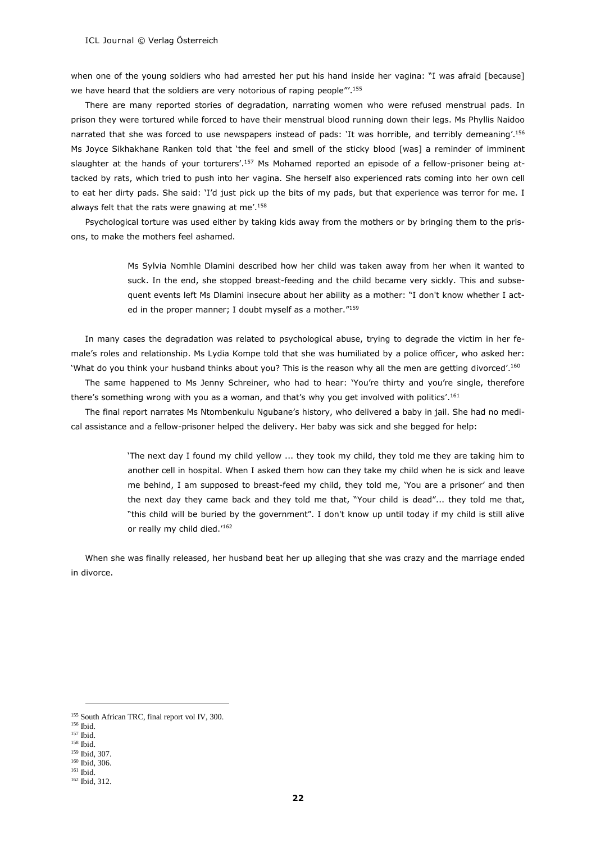when one of the young soldiers who had arrested her put his hand inside her vagina: "I was afraid [because] we have heard that the soldiers are very notorious of raping people"'.<sup>155</sup>

There are many reported stories of degradation, narrating women who were refused menstrual pads. In prison they were tortured while forced to have their menstrual blood running down their legs. Ms Phyllis Naidoo narrated that she was forced to use newspapers instead of pads: 'It was horrible, and terribly demeaning'. 156 Ms Joyce Sikhakhane Ranken told that 'the feel and smell of the sticky blood [was] a reminder of imminent slaughter at the hands of your torturers'.<sup>157</sup> Ms Mohamed reported an episode of a fellow-prisoner being attacked by rats, which tried to push into her vagina. She herself also experienced rats coming into her own cell to eat her dirty pads. She said: 'I'd just pick up the bits of my pads, but that experience was terror for me. I always felt that the rats were gnawing at me'.<sup>158</sup>

Psychological torture was used either by taking kids away from the mothers or by bringing them to the prisons, to make the mothers feel ashamed.

> Ms Sylvia Nomhle Dlamini described how her child was taken away from her when it wanted to suck. In the end, she stopped breast-feeding and the child became very sickly. This and subsequent events left Ms Dlamini insecure about her ability as a mother: "I don't know whether I acted in the proper manner; I doubt myself as a mother."<sup>159</sup>

In many cases the degradation was related to psychological abuse, trying to degrade the victim in her female's roles and relationship. Ms Lydia Kompe told that she was humiliated by a police officer, who asked her: 'What do you think your husband thinks about you? This is the reason why all the men are getting divorced'. 160

The same happened to Ms Jenny Schreiner, who had to hear: 'You're thirty and you're single, therefore there's something wrong with you as a woman, and that's why you get involved with politics'.<sup>161</sup>

The final report narrates Ms Ntombenkulu Ngubane's history, who delivered a baby in jail. She had no medical assistance and a fellow-prisoner helped the delivery. Her baby was sick and she begged for help:

> 'The next day I found my child yellow ... they took my child, they told me they are taking him to another cell in hospital. When I asked them how can they take my child when he is sick and leave me behind, I am supposed to breast-feed my child, they told me, 'You are a prisoner' and then the next day they came back and they told me that, "Your child is dead"... they told me that, "this child will be buried by the government". I don't know up until today if my child is still alive or really my child died.<sup>'162</sup>

When she was finally released, her husband beat her up alleging that she was crazy and the marriage ended in divorce.

<sup>&</sup>lt;sup>155</sup> South African TRC, final report vol IV, 300.

<sup>156</sup> Ibid. <sup>157</sup> Ibid.

<sup>158</sup> Ibid. <sup>159</sup> Ibid, 307.

<sup>160</sup> Ibid, 306.

<sup>161</sup> Ibid.

<sup>162</sup> Ibid, 312.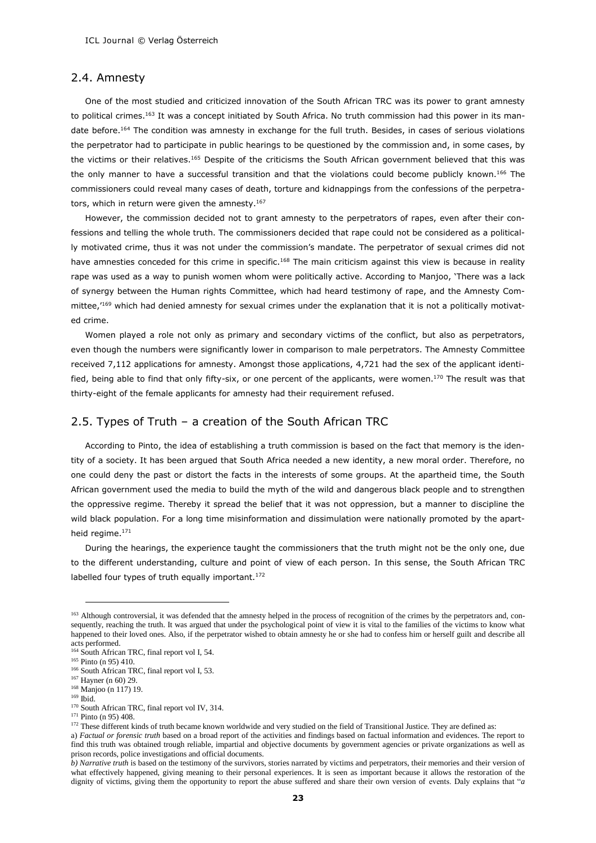#### 2.4. Amnesty

One of the most studied and criticized innovation of the South African TRC was its power to grant amnesty to political crimes.<sup>163</sup> It was a concept initiated by South Africa. No truth commission had this power in its mandate before.<sup>164</sup> The condition was amnesty in exchange for the full truth. Besides, in cases of serious violations the perpetrator had to participate in public hearings to be questioned by the commission and, in some cases, by the victims or their relatives.<sup>165</sup> Despite of the criticisms the South African government believed that this was the only manner to have a successful transition and that the violations could become publicly known.<sup>166</sup> The commissioners could reveal many cases of death, torture and kidnappings from the confessions of the perpetrators, which in return were given the amnesty.<sup>167</sup>

However, the commission decided not to grant amnesty to the perpetrators of rapes, even after their confessions and telling the whole truth. The commissioners decided that rape could not be considered as a politically motivated crime, thus it was not under the commission's mandate. The perpetrator of sexual crimes did not have amnesties conceded for this crime in specific.<sup>168</sup> The main criticism against this view is because in reality rape was used as a way to punish women whom were politically active. According to Manjoo, 'There was a lack of synergy between the Human rights Committee, which had heard testimony of rape, and the Amnesty Committee,<sup>169</sup> which had denied amnesty for sexual crimes under the explanation that it is not a politically motivated crime.

Women played a role not only as primary and secondary victims of the conflict, but also as perpetrators, even though the numbers were significantly lower in comparison to male perpetrators. The Amnesty Committee received 7,112 applications for amnesty. Amongst those applications, 4,721 had the sex of the applicant identified, being able to find that only fifty-six, or one percent of the applicants, were women.<sup>170</sup> The result was that thirty-eight of the female applicants for amnesty had their requirement refused.

# 2.5. Types of Truth – a creation of the South African TRC

According to Pinto, the idea of establishing a truth commission is based on the fact that memory is the identity of a society. It has been argued that South Africa needed a new identity, a new moral order. Therefore, no one could deny the past or distort the facts in the interests of some groups. At the apartheid time, the South African government used the media to build the myth of the wild and dangerous black people and to strengthen the oppressive regime. Thereby it spread the belief that it was not oppression, but a manner to discipline the wild black population. For a long time misinformation and dissimulation were nationally promoted by the apartheid regime.<sup>171</sup>

During the hearings, the experience taught the commissioners that the truth might not be the only one, due to the different understanding, culture and point of view of each person. In this sense, the South African TRC labelled four types of truth equally important.<sup>172</sup>

<sup>&</sup>lt;sup>163</sup> Although controversial, it was defended that the amnesty helped in the process of recognition of the crimes by the perpetrators and, consequently, reaching the truth. It was argued that under the psychological point of view it is vital to the families of the victims to know what happened to their loved ones. Also, if the perpetrator wished to obtain amnesty he or she had to confess him or herself guilt and describe all acts performed.

<sup>&</sup>lt;sup>164</sup> South African TRC, final report vol I, 54.

<sup>&</sup>lt;sup>165</sup> Pinto (n 95) 410.

<sup>166</sup> South African TRC, final report vol I, 53.

<sup>167</sup> Hayner (n 60) 29.

<sup>168</sup> Manjoo (n 117) 19. <sup>169</sup> Ibid.

<sup>170</sup> South African TRC, final report vol IV, 314.

<sup>171</sup> Pinto (n 95) 408.

<sup>&</sup>lt;sup>172</sup> These different kinds of truth became known worldwide and very studied on the field of Transitional Justice. They are defined as:

a) *Factual or forensic truth* based on a broad report of the activities and findings based on factual information and evidences. The report to find this truth was obtained trough reliable, impartial and objective documents by government agencies or private organizations as well as prison records, police investigations and official documents.

*b) Narrative truth* is based on the testimony of the survivors, stories narrated by victims and perpetrators, their memories and their version of what effectively happened, giving meaning to their personal experiences. It is seen as important because it allows the restoration of the dignity of victims, giving them the opportunity to report the abuse suffered and share their own version of events. Daly explains that "*a*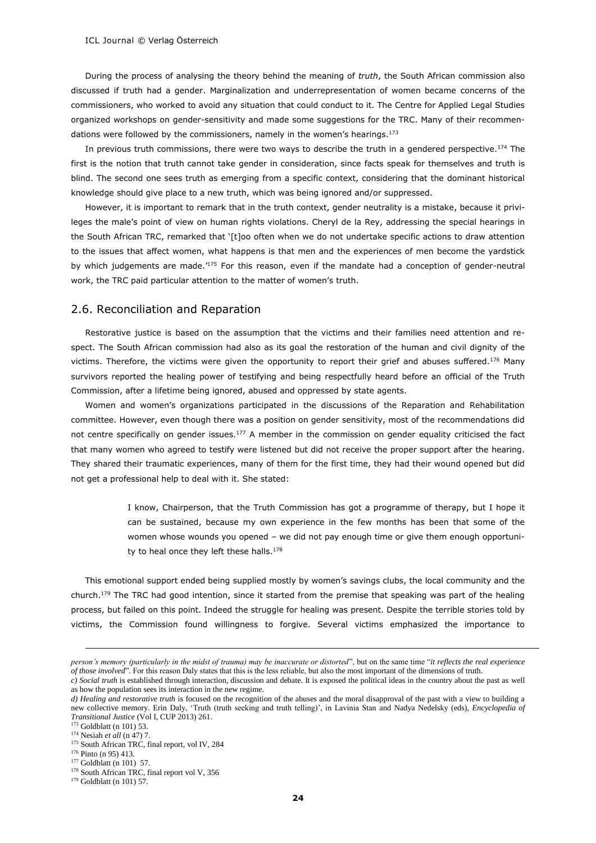During the process of analysing the theory behind the meaning of *truth*, the South African commission also discussed if truth had a gender. Marginalization and underrepresentation of women became concerns of the commissioners, who worked to avoid any situation that could conduct to it. The Centre for Applied Legal Studies organized workshops on gender-sensitivity and made some suggestions for the TRC. Many of their recommendations were followed by the commissioners, namely in the women's hearings. $173$ 

In previous truth commissions, there were two ways to describe the truth in a gendered perspective.<sup>174</sup> The first is the notion that truth cannot take gender in consideration, since facts speak for themselves and truth is blind. The second one sees truth as emerging from a specific context, considering that the dominant historical knowledge should give place to a new truth, which was being ignored and/or suppressed.

However, it is important to remark that in the truth context, gender neutrality is a mistake, because it privileges the male's point of view on human rights violations. Cheryl de la Rey, addressing the special hearings in the South African TRC, remarked that '[t]oo often when we do not undertake specific actions to draw attention to the issues that affect women, what happens is that men and the experiences of men become the yardstick by which judgements are made.'<sup>175</sup> For this reason, even if the mandate had a conception of gender-neutral work, the TRC paid particular attention to the matter of women's truth.

#### 2.6. Reconciliation and Reparation

Restorative justice is based on the assumption that the victims and their families need attention and respect. The South African commission had also as its goal the restoration of the human and civil dignity of the victims. Therefore, the victims were given the opportunity to report their grief and abuses suffered.<sup>176</sup> Many survivors reported the healing power of testifying and being respectfully heard before an official of the Truth Commission, after a lifetime being ignored, abused and oppressed by state agents.

Women and women's organizations participated in the discussions of the Reparation and Rehabilitation committee. However, even though there was a position on gender sensitivity, most of the recommendations did not centre specifically on gender issues.<sup>177</sup> A member in the commission on gender equality criticised the fact that many women who agreed to testify were listened but did not receive the proper support after the hearing. They shared their traumatic experiences, many of them for the first time, they had their wound opened but did not get a professional help to deal with it. She stated:

> I know, Chairperson, that the Truth Commission has got a programme of therapy, but I hope it can be sustained, because my own experience in the few months has been that some of the women whose wounds you opened – we did not pay enough time or give them enough opportunity to heal once they left these halls.<sup>178</sup>

This emotional support ended being supplied mostly by women's savings clubs, the local community and the church.<sup>179</sup> The TRC had good intention, since it started from the premise that speaking was part of the healing process, but failed on this point. Indeed the struggle for healing was present. Despite the terrible stories told by victims, the Commission found willingness to forgive. Several victims emphasized the importance to

<sup>173</sup> Goldblatt (n 101) 53.

*person's memory (particularly in the midst of trauma) may be inaccurate or distorted*", but on the same time "*it reflects the real experience of those involved*". For this reason Daly states that this is the less reliable, but also the most important of the dimensions of truth.

*c) Social truth* is established through interaction, discussion and debate. It is exposed the political ideas in the country about the past as well as how the population sees its interaction in the new regime.

*d) Healing and restorative truth* is focused on the recognition of the abuses and the moral disapproval of the past with a view to building a new collective memory. Erin Daly, 'Truth (truth seeking and truth telling)', in Lavinia Stan and Nadya Nedelsky (eds), *Encyclopedia of Transitional Justice* (Vol I, CUP 2013) 261.

<sup>174</sup> Nesiah *et all* (n 47) 7.

<sup>&</sup>lt;sup>175</sup> South African TRC, final report, vol IV, 284

<sup>176</sup> Pinto (n 95) 413.

<sup>&</sup>lt;sup>177</sup> Goldblatt (n 101) 57.

<sup>&</sup>lt;sup>178</sup> South African TRC, final report vol V, 356

<sup>179</sup> Goldblatt (n 101) 57.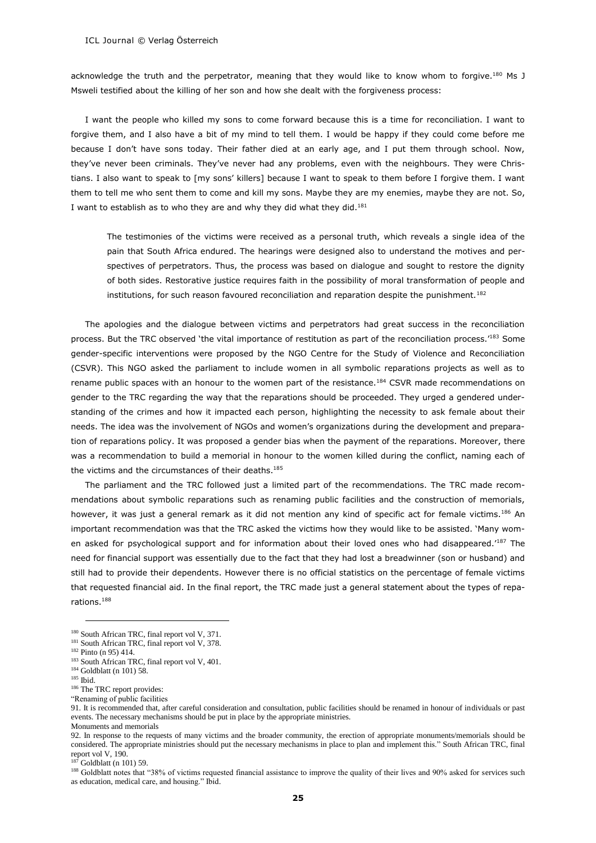acknowledge the truth and the perpetrator, meaning that they would like to know whom to forgive.<sup>180</sup> Ms J Msweli testified about the killing of her son and how she dealt with the forgiveness process:

I want the people who killed my sons to come forward because this is a time for reconciliation. I want to forgive them, and I also have a bit of my mind to tell them. I would be happy if they could come before me because I don't have sons today. Their father died at an early age, and I put them through school. Now, they've never been criminals. They've never had any problems, even with the neighbours. They were Christians. I also want to speak to [my sons' killers] because I want to speak to them before I forgive them. I want them to tell me who sent them to come and kill my sons. Maybe they are my enemies, maybe they are not. So, I want to establish as to who they are and why they did what they did.<sup>181</sup>

The testimonies of the victims were received as a personal truth, which reveals a single idea of the pain that South Africa endured. The hearings were designed also to understand the motives and perspectives of perpetrators. Thus, the process was based on dialogue and sought to restore the dignity of both sides. Restorative justice requires faith in the possibility of moral transformation of people and institutions, for such reason favoured reconciliation and reparation despite the punishment.<sup>182</sup>

The apologies and the dialogue between victims and perpetrators had great success in the reconciliation process. But the TRC observed 'the vital importance of restitution as part of the reconciliation process.<sup>'183</sup> Some gender-specific interventions were proposed by the NGO Centre for the Study of Violence and Reconciliation (CSVR). This NGO asked the parliament to include women in all symbolic reparations projects as well as to rename public spaces with an honour to the women part of the resistance.<sup>184</sup> CSVR made recommendations on gender to the TRC regarding the way that the reparations should be proceeded. They urged a gendered understanding of the crimes and how it impacted each person, highlighting the necessity to ask female about their needs. The idea was the involvement of NGOs and women's organizations during the development and preparation of reparations policy. It was proposed a gender bias when the payment of the reparations. Moreover, there was a recommendation to build a memorial in honour to the women killed during the conflict, naming each of the victims and the circumstances of their deaths.<sup>185</sup>

The parliament and the TRC followed just a limited part of the recommendations. The TRC made recommendations about symbolic reparations such as renaming public facilities and the construction of memorials, however, it was just a general remark as it did not mention any kind of specific act for female victims.<sup>186</sup> An important recommendation was that the TRC asked the victims how they would like to be assisted. 'Many women asked for psychological support and for information about their loved ones who had disappeared.<sup>'187</sup> The need for financial support was essentially due to the fact that they had lost a breadwinner (son or husband) and still had to provide their dependents. However there is no official statistics on the percentage of female victims that requested financial aid. In the final report, the TRC made just a general statement about the types of reparations.<sup>188</sup>

<sup>185</sup> Ibid.

<sup>&</sup>lt;sup>180</sup> South African TRC, final report vol V, 371.

<sup>&</sup>lt;sup>181</sup> South African TRC, final report vol V, 378.

<sup>182</sup> Pinto (n 95) 414.

<sup>&</sup>lt;sup>183</sup> South African TRC, final report vol V, 401. <sup>184</sup> Goldblatt (n 101) 58.

<sup>186</sup> The TRC report provides:

<sup>&</sup>quot;Renaming of public facilities

<sup>91.</sup> It is recommended that, after careful consideration and consultation, public facilities should be renamed in honour of individuals or past events. The necessary mechanisms should be put in place by the appropriate ministries. Monuments and memorials

<sup>92.</sup> In response to the requests of many victims and the broader community, the erection of appropriate monuments/memorials should be considered. The appropriate ministries should put the necessary mechanisms in place to plan and implement this." South African TRC, final report vol V, 190.

 $^{187}$  Goldblatt (n 101) 59.

<sup>188</sup> Goldblatt notes that "38% of victims requested financial assistance to improve the quality of their lives and 90% asked for services such as education, medical care, and housing." Ibid.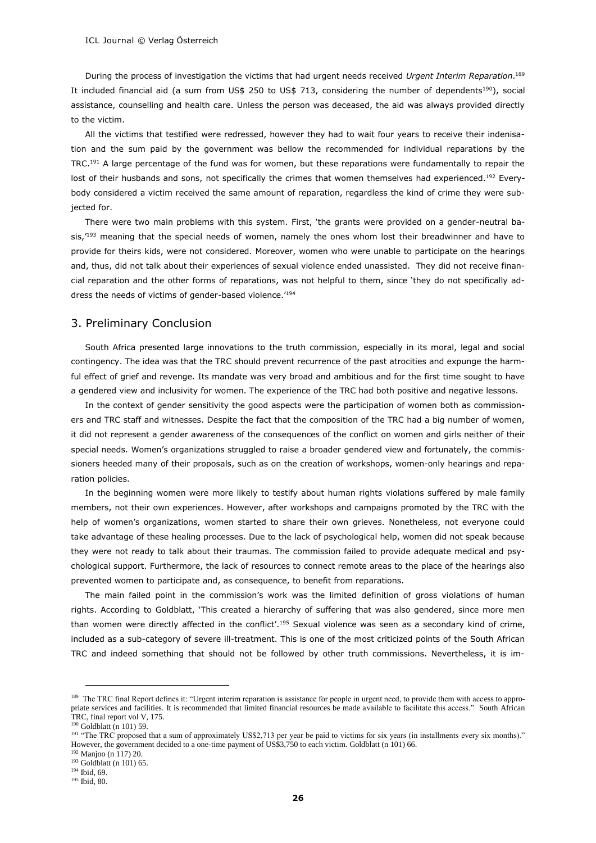During the process of investigation the victims that had urgent needs received *Urgent Interim Reparation*. 189 It included financial aid (a sum from US\$ 250 to US\$ 713, considering the number of dependents<sup>190</sup>), social assistance, counselling and health care. Unless the person was deceased, the aid was always provided directly to the victim.

All the victims that testified were redressed, however they had to wait four years to receive their indenisation and the sum paid by the government was bellow the recommended for individual reparations by the TRC.<sup>191</sup> A large percentage of the fund was for women, but these reparations were fundamentally to repair the lost of their husbands and sons, not specifically the crimes that women themselves had experienced.<sup>192</sup> Everybody considered a victim received the same amount of reparation, regardless the kind of crime they were subjected for.

There were two main problems with this system. First, 'the grants were provided on a gender-neutral basis.<sup>'193</sup> meaning that the special needs of women, namely the ones whom lost their breadwinner and have to provide for theirs kids, were not considered. Moreover, women who were unable to participate on the hearings and, thus, did not talk about their experiences of sexual violence ended unassisted. They did not receive financial reparation and the other forms of reparations, was not helpful to them, since 'they do not specifically address the needs of victims of gender-based violence.'<sup>194</sup>

#### 3. Preliminary Conclusion

South Africa presented large innovations to the truth commission, especially in its moral, legal and social contingency. The idea was that the TRC should prevent recurrence of the past atrocities and expunge the harmful effect of grief and revenge. Its mandate was very broad and ambitious and for the first time sought to have a gendered view and inclusivity for women. The experience of the TRC had both positive and negative lessons.

In the context of gender sensitivity the good aspects were the participation of women both as commissioners and TRC staff and witnesses. Despite the fact that the composition of the TRC had a big number of women, it did not represent a gender awareness of the consequences of the conflict on women and girls neither of their special needs. Women's organizations struggled to raise a broader gendered view and fortunately, the commissioners heeded many of their proposals, such as on the creation of workshops, women-only hearings and reparation policies.

In the beginning women were more likely to testify about human rights violations suffered by male family members, not their own experiences. However, after workshops and campaigns promoted by the TRC with the help of women's organizations, women started to share their own grieves. Nonetheless, not everyone could take advantage of these healing processes. Due to the lack of psychological help, women did not speak because they were not ready to talk about their traumas. The commission failed to provide adequate medical and psychological support. Furthermore, the lack of resources to connect remote areas to the place of the hearings also prevented women to participate and, as consequence, to benefit from reparations.

The main failed point in the commission's work was the limited definition of gross violations of human rights. According to Goldblatt, 'This created a hierarchy of suffering that was also gendered, since more men than women were directly affected in the conflict'.<sup>195</sup> Sexual violence was seen as a secondary kind of crime, included as a sub-category of severe ill-treatment. This is one of the most criticized points of the South African TRC and indeed something that should not be followed by other truth commissions. Nevertheless, it is im-

<sup>&</sup>lt;sup>189</sup> The TRC final Report defines it: "Urgent interim reparation is assistance for people in urgent need, to provide them with access to appropriate services and facilities. It is recommended that limited financial resources be made available to facilitate this access." South African TRC, final report vol V, 175.

 $90$  Goldblatt (n 101) 59.

<sup>&</sup>lt;sup>191</sup> "The TRC proposed that a sum of approximately US\$2,713 per year be paid to victims for six years (in installments every six months)." However, the government decided to a one-time payment of US\$3,750 to each victim. Goldblatt (n 101) 66.

<sup>192</sup> Manjoo (n 117) 20.

<sup>&</sup>lt;sup>193</sup> Goldblatt (n 101) 65.

<sup>194</sup> Ibid, 69.

<sup>195</sup> Ibid, 80.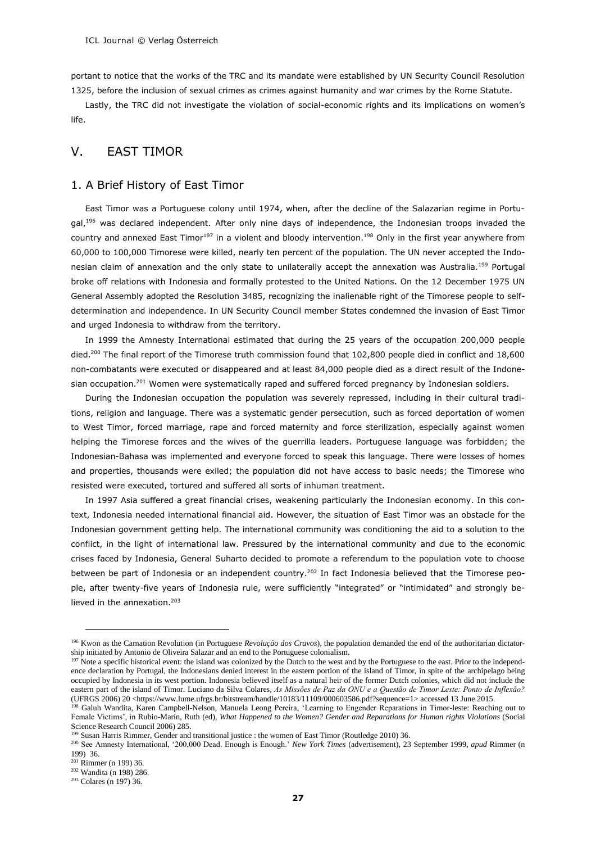portant to notice that the works of the TRC and its mandate were established by UN Security Council Resolution 1325, before the inclusion of sexual crimes as crimes against humanity and war crimes by the Rome Statute.

Lastly, the TRC did not investigate the violation of social-economic rights and its implications on women's life.

# V. EAST TIMOR

#### 1. A Brief History of East Timor

East Timor was a Portuguese colony until 1974, when, after the decline of the Salazarian regime in Portugal,<sup>196</sup> was declared independent. After only nine days of independence, the Indonesian troops invaded the country and annexed East Timor<sup>197</sup> in a violent and bloody intervention.<sup>198</sup> Only in the first year anywhere from 60,000 to 100,000 Timorese were killed, nearly ten percent of the population. The UN never accepted the Indonesian claim of annexation and the only state to unilaterally accept the annexation was Australia.<sup>199</sup> Portugal broke off relations with Indonesia and formally protested to the United Nations. On the 12 December 1975 UN General Assembly adopted the Resolution 3485, recognizing the inalienable right of the Timorese people to selfdetermination and independence. In UN Security Council member States condemned the invasion of East Timor and urged Indonesia to withdraw from the territory.

In 1999 the Amnesty International estimated that during the 25 years of the occupation 200,000 people died.<sup>200</sup> The final report of the Timorese truth commission found that 102,800 people died in conflict and 18,600 non-combatants were executed or disappeared and at least 84,000 people died as a direct result of the Indonesian occupation.<sup>201</sup> Women were systematically raped and suffered forced pregnancy by Indonesian soldiers.

During the Indonesian occupation the population was severely repressed, including in their cultural traditions, religion and language. There was a systematic gender persecution, such as forced deportation of women to West Timor, forced marriage, rape and forced maternity and force sterilization, especially against women helping the Timorese forces and the wives of the guerrilla leaders. Portuguese language was forbidden; the Indonesian-Bahasa was implemented and everyone forced to speak this language. There were losses of homes and properties, thousands were exiled; the population did not have access to basic needs; the Timorese who resisted were executed, tortured and suffered all sorts of inhuman treatment.

In 1997 Asia suffered a great financial crises, weakening particularly the Indonesian economy. In this context, Indonesia needed international financial aid. However, the situation of East Timor was an obstacle for the Indonesian government getting help. The international community was conditioning the aid to a solution to the conflict, in the light of international law. Pressured by the international community and due to the economic crises faced by Indonesia, General Suharto decided to promote a referendum to the population vote to choose between be part of Indonesia or an independent country.<sup>202</sup> In fact Indonesia believed that the Timorese people, after twenty-five years of Indonesia rule, were sufficiently "integrated" or "intimidated" and strongly believed in the annexation.<sup>203</sup>

<sup>&</sup>lt;sup>196</sup> Kwon as the Carnation Revolution (in Portuguese *Revolução dos Cravos*), the population demanded the end of the authoritarian dictatorship initiated by Antonio de Oliveira Salazar and an end to the Portuguese colonialism.

<sup>&</sup>lt;sup>197</sup> Note a specific historical event: the island was colonized by the Dutch to the west and by the Portuguese to the east. Prior to the independence declaration by Portugal, the Indonesians denied interest in the eastern portion of the island of Timor, in spite of the archipelago being occupied by Indonesia in its west portion. Indonesia believed itself as a natural heir of the former Dutch colonies, which did not include the eastern part of the island of Timor. Luciano da Silva Colares, *As Missões de Paz da ONU e a Questão de Timor Leste: Ponto de Inflexão?* (UFRGS 2006) 20 <https://www.lume.ufrgs.br/bitstream/handle/10183/11109/000603586.pdf?sequence=1> accessed 13 June 2015.

<sup>&</sup>lt;sup>198</sup> Galuh Wandita, Karen Campbell-Nelson, Manuela Leong Pereira, 'Learning to Engender Reparations in Timor-leste: Reaching out to Female Victims', in Rubio-Marín, Ruth (ed), *What Happened to the Women? Gender and Reparations for Human rights Violations* (Social Science Research Council 2006) 285.

<sup>&</sup>lt;sup>199</sup> Susan Harris Rimmer, Gender and transitional justice : the women of East Timor (Routledge 2010) 36.

<sup>200</sup> See Amnesty International, '200,000 Dead. Enough is Enough.' *New York Times* (advertisement), 23 September 1999, *apud* Rimmer (n 199) 36.

<sup>201</sup> Rimmer (n 199) 36.

<sup>202</sup> Wandita (n 198) 286.

<sup>203</sup> Colares (n 197) 36.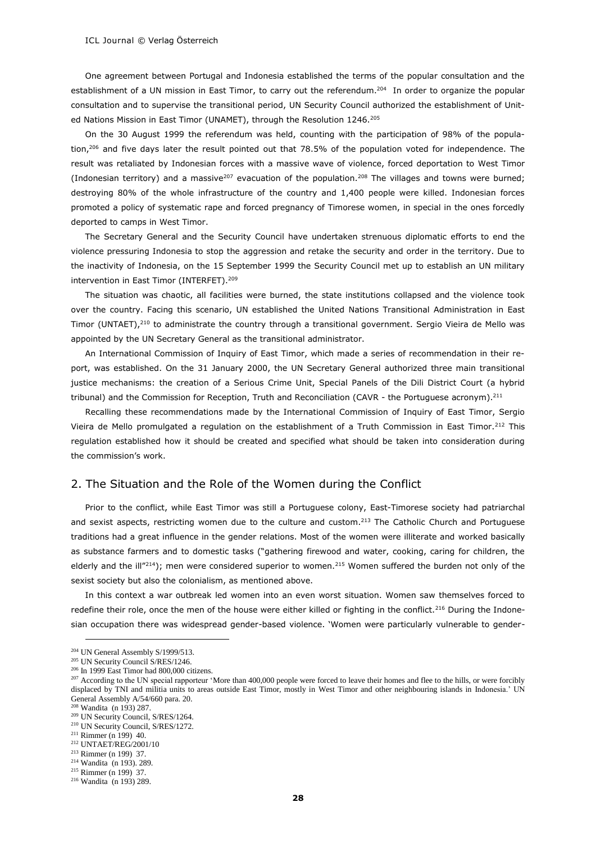One agreement between Portugal and Indonesia established the terms of the popular consultation and the establishment of a UN mission in East Timor, to carry out the referendum.<sup>204</sup> In order to organize the popular consultation and to supervise the transitional period, UN Security Council authorized the establishment of United Nations Mission in East Timor (UNAMET), through the Resolution 1246.<sup>205</sup>

On the 30 August 1999 the referendum was held, counting with the participation of 98% of the population,<sup>206</sup> and five days later the result pointed out that 78.5% of the population voted for independence. The result was retaliated by Indonesian forces with a massive wave of violence, forced deportation to West Timor (Indonesian territory) and a massive<sup>207</sup> evacuation of the population.<sup>208</sup> The villages and towns were burned; destroying 80% of the whole infrastructure of the country and 1,400 people were killed. Indonesian forces promoted a policy of systematic rape and forced pregnancy of Timorese women, in special in the ones forcedly deported to camps in West Timor.

The Secretary General and the Security Council have undertaken strenuous diplomatic efforts to end the violence pressuring Indonesia to stop the aggression and retake the security and order in the territory. Due to the inactivity of Indonesia, on the 15 September 1999 the Security Council met up to establish an UN military intervention in East Timor (INTERFET).<sup>209</sup>

The situation was chaotic, all facilities were burned, the state institutions collapsed and the violence took over the country. Facing this scenario, UN established the United Nations Transitional Administration in East Timor (UNTAET),<sup>210</sup> to administrate the country through a transitional government. Sergio Vieira de Mello was appointed by the UN Secretary General as the transitional administrator.

An International Commission of Inquiry of East Timor, which made a series of recommendation in their report, was established. On the 31 January 2000, the UN Secretary General authorized three main transitional justice mechanisms: the creation of a Serious Crime Unit, Special Panels of the Dili District Court (a hybrid tribunal) and the Commission for Reception, Truth and Reconciliation (CAVR - the Portuguese acronym).<sup>211</sup>

Recalling these recommendations made by the International Commission of Inquiry of East Timor, Sergio Vieira de Mello promulgated a regulation on the establishment of a Truth Commission in East Timor.<sup>212</sup> This regulation established how it should be created and specified what should be taken into consideration during the commission's work.

#### 2. The Situation and the Role of the Women during the Conflict

Prior to the conflict, while East Timor was still a Portuguese colony, East-Timorese society had patriarchal and sexist aspects, restricting women due to the culture and custom.<sup>213</sup> The Catholic Church and Portuguese traditions had a great influence in the gender relations. Most of the women were illiterate and worked basically as substance farmers and to domestic tasks ("gathering firewood and water, cooking, caring for children, the elderly and the ill"214); men were considered superior to women.<sup>215</sup> Women suffered the burden not only of the sexist society but also the colonialism, as mentioned above.

In this context a war outbreak led women into an even worst situation. Women saw themselves forced to redefine their role, once the men of the house were either killed or fighting in the conflict.<sup>216</sup> During the Indonesian occupation there was widespread gender-based violence. 'Women were particularly vulnerable to gender-

<sup>&</sup>lt;sup>204</sup> UN General Assembly S/1999/513.

<sup>205</sup> UN Security Council S/RES/1246.

<sup>206</sup> In 1999 East Timor had 800,000 citizens.

 $^{207}$  According to the UN special rapporteur 'More than 400,000 people were forced to leave their homes and flee to the hills, or were forcibly displaced by TNI and militia units to areas outside East Timor, mostly in West Timor and other neighbouring islands in Indonesia.' UN General Assembly A/54/660 para. 20.

<sup>208</sup> Wandita (n 193) 287.

<sup>209</sup> UN Security Council, S/RES/1264.

<sup>210</sup> UN Security Council, S/RES/1272.  $211$  Rimmer (n 199) 40.

<sup>212</sup> UNTAET/REG/2001/10

<sup>213</sup> Rimmer (n 199) 37.

<sup>214</sup> Wandita (n 193). 289.

<sup>215</sup> Rimmer (n 199) 37.

<sup>216</sup> Wandita (n 193) 289.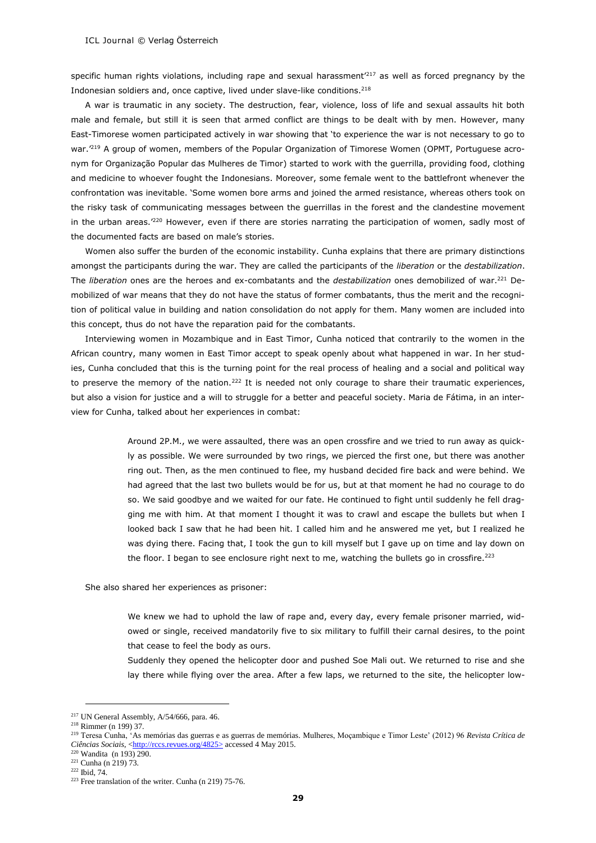specific human rights violations, including rape and sexual harassment<sup>'217</sup> as well as forced pregnancy by the Indonesian soldiers and, once captive, lived under slave-like conditions.<sup>218</sup>

A war is traumatic in any society. The destruction, fear, violence, loss of life and sexual assaults hit both male and female, but still it is seen that armed conflict are things to be dealt with by men. However, many East-Timorese women participated actively in war showing that 'to experience the war is not necessary to go to war.<sup>'219</sup> A group of women, members of the Popular Organization of Timorese Women (OPMT, Portuguese acronym for Organização Popular das Mulheres de Timor) started to work with the guerrilla, providing food, clothing and medicine to whoever fought the Indonesians. Moreover, some female went to the battlefront whenever the confrontation was inevitable. 'Some women bore arms and joined the armed resistance, whereas others took on the risky task of communicating messages between the guerrillas in the forest and the clandestine movement in the urban areas.<sup>'220</sup> However, even if there are stories narrating the participation of women, sadly most of the documented facts are based on male's stories.

Women also suffer the burden of the economic instability. Cunha explains that there are primary distinctions amongst the participants during the war. They are called the participants of the *liberation* or the *destabilization*. The *liberation* ones are the heroes and ex-combatants and the *destabilization* ones demobilized of war.<sup>221</sup> Demobilized of war means that they do not have the status of former combatants, thus the merit and the recognition of political value in building and nation consolidation do not apply for them. Many women are included into this concept, thus do not have the reparation paid for the combatants.

Interviewing women in Mozambique and in East Timor, Cunha noticed that contrarily to the women in the African country, many women in East Timor accept to speak openly about what happened in war. In her studies, Cunha concluded that this is the turning point for the real process of healing and a social and political way to preserve the memory of the nation.<sup>222</sup> It is needed not only courage to share their traumatic experiences, but also a vision for justice and a will to struggle for a better and peaceful society. Maria de Fátima, in an interview for Cunha, talked about her experiences in combat:

> Around 2P.M., we were assaulted, there was an open crossfire and we tried to run away as quickly as possible. We were surrounded by two rings, we pierced the first one, but there was another ring out. Then, as the men continued to flee, my husband decided fire back and were behind. We had agreed that the last two bullets would be for us, but at that moment he had no courage to do so. We said goodbye and we waited for our fate. He continued to fight until suddenly he fell dragging me with him. At that moment I thought it was to crawl and escape the bullets but when I looked back I saw that he had been hit. I called him and he answered me yet, but I realized he was dying there. Facing that, I took the gun to kill myself but I gave up on time and lay down on the floor. I began to see enclosure right next to me, watching the bullets go in crossfire.<sup>223</sup>

She also shared her experiences as prisoner:

We knew we had to uphold the law of rape and, every day, every female prisoner married, widowed or single, received mandatorily five to six military to fulfill their carnal desires, to the point that cease to feel the body as ours.

Suddenly they opened the helicopter door and pushed Soe Mali out. We returned to rise and she lay there while flying over the area. After a few laps, we returned to the site, the helicopter low-

 $217$  UN General Assembly, A/54/666, para. 46.

<sup>218</sup> Rimmer (n 199) 37.

<sup>219</sup> Teresa Cunha, 'As memórias das guerras e as guerras de memórias. Mulheres, Moçambique e Timor Leste' (2012) 96 *Revista Crítica de Ciências Sociais*, [<http://rccs.revues.org/4825>](http://rccs.revues.org/4825) accessed 4 May 2015.

<sup>220</sup> Wandita (n 193) 290.

<sup>221</sup> Cunha (n 219) 73.

<sup>222</sup> Ibid, 74.

 $223$  Free translation of the writer. Cunha (n 219) 75-76.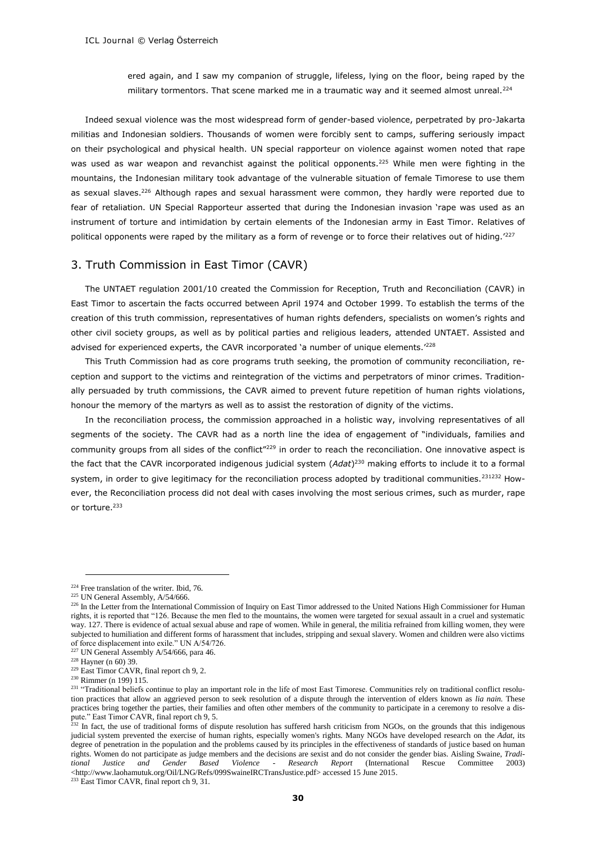ered again, and I saw my companion of struggle, lifeless, lying on the floor, being raped by the military tormentors. That scene marked me in a traumatic way and it seemed almost unreal.<sup>224</sup>

Indeed sexual violence was the most widespread form of gender-based violence, perpetrated by pro-Jakarta militias and Indonesian soldiers. Thousands of women were forcibly sent to camps, suffering seriously impact on their psychological and physical health. UN special rapporteur on violence against women noted that rape was used as war weapon and revanchist against the political opponents.<sup>225</sup> While men were fighting in the mountains, the Indonesian military took advantage of the vulnerable situation of female Timorese to use them as sexual slaves.<sup>226</sup> Although rapes and sexual harassment were common, they hardly were reported due to fear of retaliation. UN Special Rapporteur asserted that during the Indonesian invasion 'rape was used as an instrument of torture and intimidation by certain elements of the Indonesian army in East Timor. Relatives of political opponents were raped by the military as a form of revenge or to force their relatives out of hiding.'<sup>227</sup>

#### 3. Truth Commission in East Timor (CAVR)

The UNTAET regulation 2001/10 created the Commission for Reception, Truth and Reconciliation (CAVR) in East Timor to ascertain the facts occurred between April 1974 and October 1999. To establish the terms of the creation of this truth commission, representatives of human rights defenders, specialists on women's rights and other civil society groups, as well as by political parties and religious leaders, attended UNTAET. Assisted and advised for experienced experts, the CAVR incorporated 'a number of unique elements.'<sup>228</sup>

This Truth Commission had as core programs truth seeking, the promotion of community reconciliation, reception and support to the victims and reintegration of the victims and perpetrators of minor crimes. Traditionally persuaded by truth commissions, the CAVR aimed to prevent future repetition of human rights violations, honour the memory of the martyrs as well as to assist the restoration of dignity of the victims.

In the reconciliation process, the commission approached in a holistic way, involving representatives of all segments of the society. The CAVR had as a north line the idea of engagement of "individuals, families and community groups from all sides of the conflict"<sup>229</sup> in order to reach the reconciliation. One innovative aspect is the fact that the CAVR incorporated indigenous judicial system (*Adat*) <sup>230</sup> making efforts to include it to a formal system, in order to give legitimacy for the reconciliation process adopted by traditional communities.<sup>231232</sup> However, the Reconciliation process did not deal with cases involving the most serious crimes, such as murder, rape or torture.<sup>233</sup>

-

<sup>233</sup> East Timor CAVR, final report ch 9, 31.

 $224$  Free translation of the writer. Ibid, 76.

<sup>225</sup> UN General Assembly, A/54/666.

<sup>&</sup>lt;sup>226</sup> In the Letter from the International Commission of Inquiry on East Timor addressed to the United Nations High Commissioner for Human rights, it is reported that "126. Because the men fled to the mountains, the women were targeted for sexual assault in a cruel and systematic way. 127. There is evidence of actual sexual abuse and rape of women. While in general, the militia refrained from killing women, they were subjected to humiliation and different forms of harassment that includes, stripping and sexual slavery. Women and children were also victims of force displacement into exile." UN A/54/726.

 $227$  UN General Assembly A/54/666, para 46.

<sup>228</sup> Hayner (n 60) 39.

<sup>&</sup>lt;sup>229</sup> East Timor CAVR, final report ch 9, 2.

<sup>230</sup> Rimmer (n 199) 115.

<sup>&</sup>lt;sup>231</sup> "Traditional beliefs continue to play an important role in the life of most East Timorese. Communities rely on traditional conflict resolution practices that allow an aggrieved person to seek resolution of a dispute through the intervention of elders known as *lia nain.* These practices bring together the parties, their families and often other members of the community to participate in a ceremony to resolve a dispute." East Timor CAVR, final report ch 9, 5.

 $^{232}$  In fact, the use of traditional forms of dispute resolution has suffered harsh criticism from NGOs, on the grounds that this indigenous judicial system prevented the exercise of human rights, especially women's rights. Many NGOs have developed research on the *Adat*, its degree of penetration in the population and the problems caused by its principles in the effectiveness of standards of justice based on human rights. Women do not participate as judge members and the decisions are sexist and do not consider the gender bias. Aisling Swaine, *Traditional Justice and Gender Based Violence - Research Report* (International Rescue Committee 2003) <http://www.laohamutuk.org/Oil/LNG/Refs/099SwaineIRCTransJustice.pdf> accessed 15 June 2015.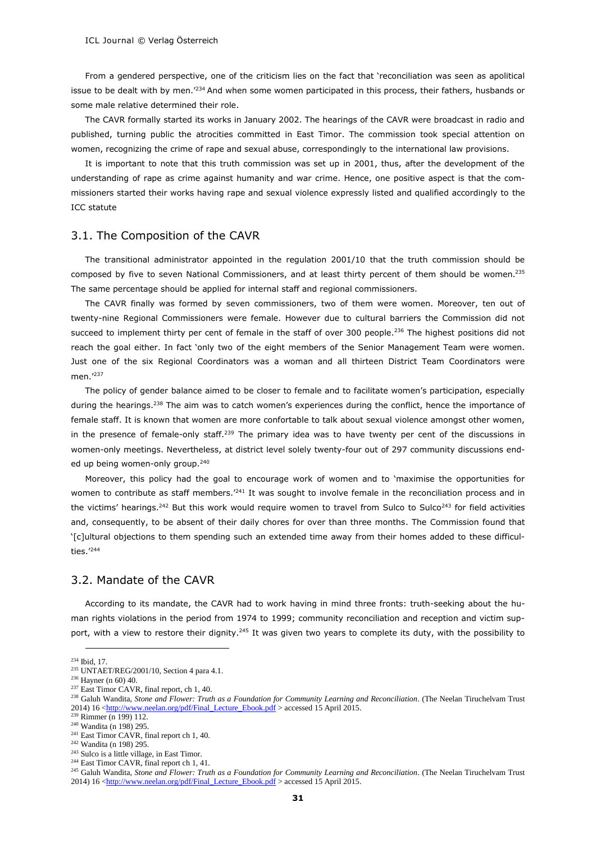From a gendered perspective, one of the criticism lies on the fact that 'reconciliation was seen as apolitical issue to be dealt with by men.<sup>'234</sup> And when some women participated in this process, their fathers, husbands or some male relative determined their role.

The CAVR formally started its works in January 2002. The hearings of the CAVR were broadcast in radio and published, turning public the atrocities committed in East Timor. The commission took special attention on women, recognizing the crime of rape and sexual abuse, correspondingly to the international law provisions.

It is important to note that this truth commission was set up in 2001, thus, after the development of the understanding of rape as crime against humanity and war crime. Hence, one positive aspect is that the commissioners started their works having rape and sexual violence expressly listed and qualified accordingly to the ICC statute

# 3.1. The Composition of the CAVR

The transitional administrator appointed in the regulation 2001/10 that the truth commission should be composed by five to seven National Commissioners, and at least thirty percent of them should be women.<sup>235</sup> The same percentage should be applied for internal staff and regional commissioners.

The CAVR finally was formed by seven commissioners, two of them were women. Moreover, ten out of twenty-nine Regional Commissioners were female. However due to cultural barriers the Commission did not succeed to implement thirty per cent of female in the staff of over 300 people.<sup>236</sup> The highest positions did not reach the goal either. In fact 'only two of the eight members of the Senior Management Team were women. Just one of the six Regional Coordinators was a woman and all thirteen District Team Coordinators were men.<sup>'237</sup>

The policy of gender balance aimed to be closer to female and to facilitate women's participation, especially during the hearings.<sup>238</sup> The aim was to catch women's experiences during the conflict, hence the importance of female staff. It is known that women are more confortable to talk about sexual violence amongst other women, in the presence of female-only staff.<sup>239</sup> The primary idea was to have twenty per cent of the discussions in women-only meetings. Nevertheless, at district level solely twenty-four out of 297 community discussions ended up being women-only group.<sup>240</sup>

Moreover, this policy had the goal to encourage work of women and to 'maximise the opportunities for women to contribute as staff members.<sup>241</sup> It was sought to involve female in the reconciliation process and in the victims' hearings.<sup>242</sup> But this work would require women to travel from Sulco to Sulco<sup>243</sup> for field activities and, consequently, to be absent of their daily chores for over than three months. The Commission found that '[c]ultural objections to them spending such an extended time away from their homes added to these difficulties.'<sup>244</sup>

## 3.2. Mandate of the CAVR

According to its mandate, the CAVR had to work having in mind three fronts: truth-seeking about the human rights violations in the period from 1974 to 1999; community reconciliation and reception and victim support, with a view to restore their dignity.<sup>245</sup> It was given two years to complete its duty, with the possibility to

<sup>-</sup><sup>234</sup> Ibid, 17.

<sup>235</sup> UNTAET/REG/2001/10, Section 4 para 4.1.

<sup>236</sup> Hayner (n 60) 40.

<sup>&</sup>lt;sup>237</sup> East Timor CAVR, final report, ch 1, 40.

<sup>&</sup>lt;sup>238</sup> Galuh Wandita, *Stone and Flower: Truth as a Foundation for Community Learning and Reconciliation*. (The Neelan Tiruchelvam Trust 2014) 16 [<http://www.neelan.org/pdf/Final\\_Lecture\\_Ebook.pdf](http://www.neelan.org/pdf/Final_Lecture_Ebook.pdf) > accessed 15 April 2015.

<sup>&</sup>lt;sup>239</sup> Rimmer (n 199) 112.

<sup>240</sup> Wandita (n 198) 295.

<sup>&</sup>lt;sup>241</sup> East Timor CAVR, final report ch 1, 40.

<sup>242</sup> Wandita (n 198) 295.

<sup>&</sup>lt;sup>243</sup> Sulco is a little village, in East Timor.

<sup>&</sup>lt;sup>244</sup> East Timor CAVR, final report ch 1, 41.

<sup>&</sup>lt;sup>245</sup> Galuh Wandita, *Stone and Flower: Truth as a Foundation for Community Learning and Reconciliation*. (The Neelan Tiruchelvam Trust 2014) 16 [<http://www.neelan.org/pdf/Final\\_Lecture\\_Ebook.pdf](http://www.neelan.org/pdf/Final_Lecture_Ebook.pdf) > accessed 15 April 2015.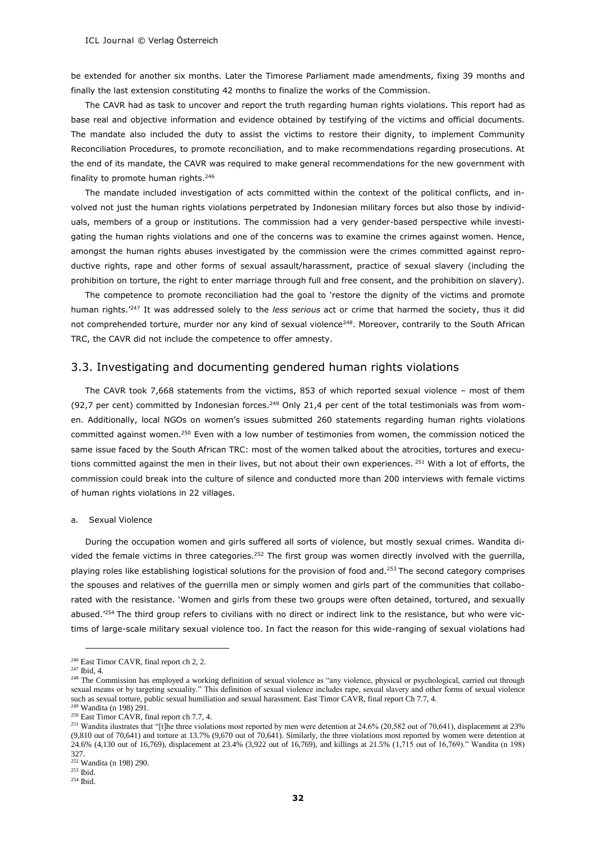be extended for another six months. Later the Timorese Parliament made amendments, fixing 39 months and finally the last extension constituting 42 months to finalize the works of the Commission.

The CAVR had as task to uncover and report the truth regarding human rights violations. This report had as base real and objective information and evidence obtained by testifying of the victims and official documents. The mandate also included the duty to assist the victims to restore their dignity, to implement Community Reconciliation Procedures, to promote reconciliation, and to make recommendations regarding prosecutions. At the end of its mandate, the CAVR was required to make general recommendations for the new government with finality to promote human rights. 246

The mandate included investigation of acts committed within the context of the political conflicts, and involved not just the human rights violations perpetrated by Indonesian military forces but also those by individuals, members of a group or institutions. The commission had a very gender-based perspective while investigating the human rights violations and one of the concerns was to examine the crimes against women. Hence, amongst the human rights abuses investigated by the commission were the crimes committed against reproductive rights, rape and other forms of sexual assault/harassment, practice of sexual slavery (including the prohibition on torture, the right to enter marriage through full and free consent, and the prohibition on slavery).

The competence to promote reconciliation had the goal to 'restore the dignity of the victims and promote human rights.'<sup>247</sup> It was addressed solely to the *less serious* act or crime that harmed the society, thus it did not comprehended torture, murder nor any kind of sexual violence<sup>248</sup>. Moreover, contrarily to the South African TRC, the CAVR did not include the competence to offer amnesty.

## 3.3. Investigating and documenting gendered human rights violations

The CAVR took 7,668 statements from the victims, 853 of which reported sexual violence – most of them (92,7 per cent) committed by Indonesian forces.<sup>249</sup> Only 21,4 per cent of the total testimonials was from women. Additionally, local NGOs on women's issues submitted 260 statements regarding human rights violations committed against women.<sup>250</sup> Even with a low number of testimonies from women, the commission noticed the same issue faced by the South African TRC: most of the women talked about the atrocities, tortures and executions committed against the men in their lives, but not about their own experiences. <sup>251</sup> With a lot of efforts, the commission could break into the culture of silence and conducted more than 200 interviews with female victims of human rights violations in 22 villages.

#### a. Sexual Violence

During the occupation women and girls suffered all sorts of violence, but mostly sexual crimes. Wandita divided the female victims in three categories.<sup>252</sup> The first group was women directly involved with the guerrilla, playing roles like establishing logistical solutions for the provision of food and.<sup>253</sup> The second category comprises the spouses and relatives of the guerrilla men or simply women and girls part of the communities that collaborated with the resistance. 'Women and girls from these two groups were often detained, tortured, and sexually abused.<sup>'254</sup> The third group refers to civilians with no direct or indirect link to the resistance, but who were victims of large-scale military sexual violence too. In fact the reason for this wide-ranging of sexual violations had

<sup>&</sup>lt;sup>246</sup> East Timor CAVR, final report ch 2, 2.

<sup>247</sup> Ibid, 4.

<sup>&</sup>lt;sup>248</sup> The Commission has employed a working definition of sexual violence as "any violence, physical or psychological, carried out through sexual means or by targeting sexuality." This definition of sexual violence includes rape, sexual slavery and other forms of sexual violence such as sexual torture, public sexual humiliation and sexual harassment. East Timor CAVR, final report Ch 7.7, 4.

<sup>249</sup> Wandita (n 198) 291.

<sup>&</sup>lt;sup>250</sup> East Timor CAVR, final report ch 7.7, 4.

<sup>&</sup>lt;sup>251</sup> Wandita ilustrates that "[t]he three violations most reported by men were detention at 24.6% (20,582 out of 70,641), displacement at 23% (9,810 out of 70,641) and torture at 13.7% (9,670 out of 70,641). Similarly, the three violations most reported by women were detention at 24.6% (4,130 out of 16,769), displacement at 23.4% (3,922 out of 16,769), and killings at 21.5% (1,715 out of 16,769)." Wandita (n 198) 327.

 $252 \text{ Wandita}$  (n 198) 290.

<sup>253</sup> Ibid.

<sup>254</sup> Ibid.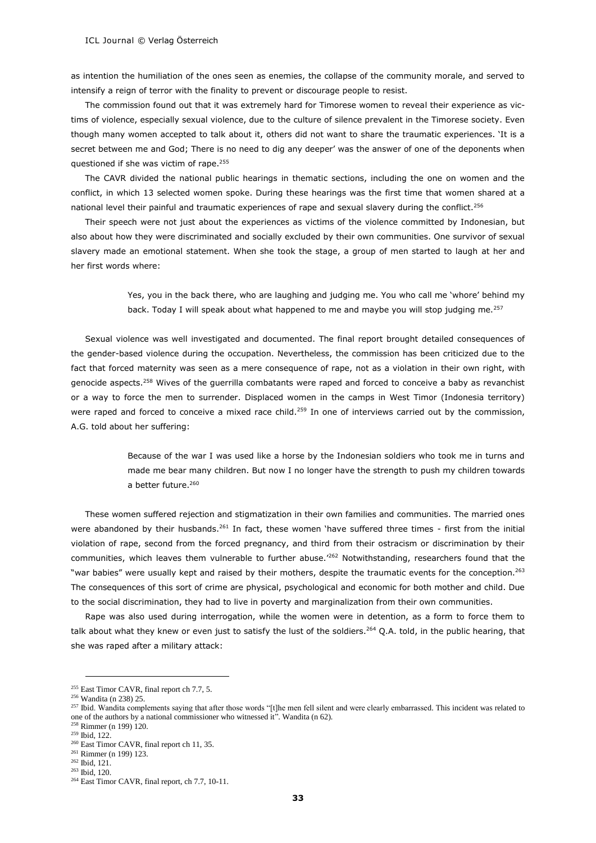as intention the humiliation of the ones seen as enemies, the collapse of the community morale, and served to intensify a reign of terror with the finality to prevent or discourage people to resist.

The commission found out that it was extremely hard for Timorese women to reveal their experience as victims of violence, especially sexual violence, due to the culture of silence prevalent in the Timorese society. Even though many women accepted to talk about it, others did not want to share the traumatic experiences. 'It is a secret between me and God; There is no need to dig any deeper' was the answer of one of the deponents when questioned if she was victim of rape.<sup>255</sup>

The CAVR divided the national public hearings in thematic sections, including the one on women and the conflict, in which 13 selected women spoke. During these hearings was the first time that women shared at a national level their painful and traumatic experiences of rape and sexual slavery during the conflict.<sup>256</sup>

Their speech were not just about the experiences as victims of the violence committed by Indonesian, but also about how they were discriminated and socially excluded by their own communities. One survivor of sexual slavery made an emotional statement. When she took the stage, a group of men started to laugh at her and her first words where:

> Yes, you in the back there, who are laughing and judging me. You who call me 'whore' behind my back. Today I will speak about what happened to me and maybe you will stop judging me.<sup>257</sup>

Sexual violence was well investigated and documented. The final report brought detailed consequences of the gender-based violence during the occupation. Nevertheless, the commission has been criticized due to the fact that forced maternity was seen as a mere consequence of rape, not as a violation in their own right, with genocide aspects.<sup>258</sup> Wives of the guerrilla combatants were raped and forced to conceive a baby as revanchist or a way to force the men to surrender. Displaced women in the camps in West Timor (Indonesia territory) were raped and forced to conceive a mixed race child.<sup>259</sup> In one of interviews carried out by the commission, A.G. told about her suffering:

> Because of the war I was used like a horse by the Indonesian soldiers who took me in turns and made me bear many children. But now I no longer have the strength to push my children towards a better future.<sup>260</sup>

These women suffered rejection and stigmatization in their own families and communities. The married ones were abandoned by their husbands.<sup>261</sup> In fact, these women 'have suffered three times - first from the initial violation of rape, second from the forced pregnancy, and third from their ostracism or discrimination by their communities, which leaves them vulnerable to further abuse.'<sup>262</sup> Notwithstanding, researchers found that the "war babies" were usually kept and raised by their mothers, despite the traumatic events for the conception.<sup>263</sup> The consequences of this sort of crime are physical, psychological and economic for both mother and child. Due to the social discrimination, they had to live in poverty and marginalization from their own communities.

Rape was also used during interrogation, while the women were in detention, as a form to force them to talk about what they knew or even just to satisfy the lust of the soldiers.<sup>264</sup> Q.A. told, in the public hearing, that she was raped after a military attack:

<sup>&</sup>lt;sup>255</sup> East Timor CAVR, final report ch 7.7, 5.

<sup>256</sup> Wandita (n 238) 25.

<sup>&</sup>lt;sup>257</sup> Ibid. Wandita complements saying that after those words "[t]he men fell silent and were clearly embarrassed. This incident was related to one of the authors by a national commissioner who witnessed it". Wandita (n 62).

<sup>258</sup> Rimmer (n 199) 120.

<sup>259</sup> Ibid, 122.

<sup>&</sup>lt;sup>260</sup> East Timor CAVR, final report ch 11, 35.

<sup>261</sup> Rimmer (n 199) 123.

<sup>262</sup> Ibid, 121.

<sup>263</sup> Ibid, 120.

<sup>264</sup> East Timor CAVR, final report, ch 7.7, 10-11.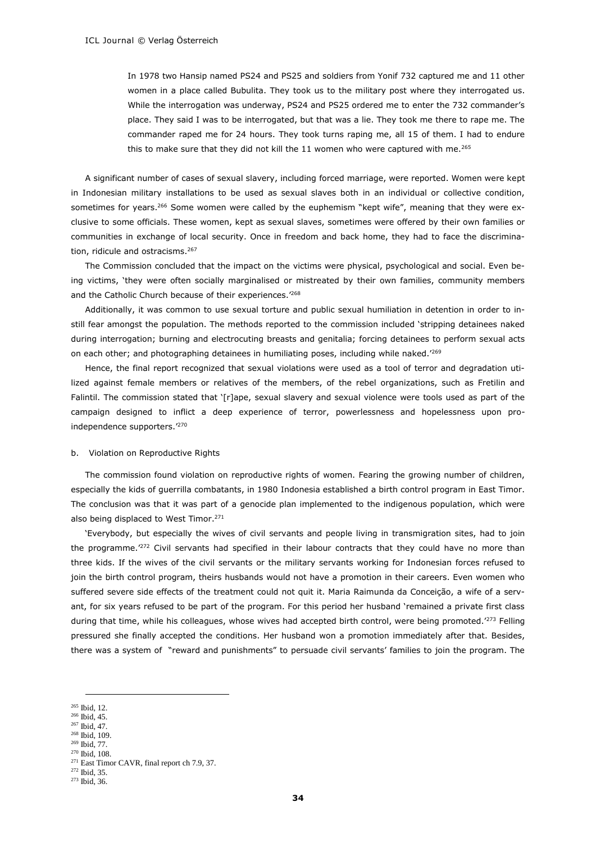In 1978 two Hansip named PS24 and PS25 and soldiers from Yonif 732 captured me and 11 other women in a place called Bubulita. They took us to the military post where they interrogated us. While the interrogation was underway, PS24 and PS25 ordered me to enter the 732 commander's place. They said I was to be interrogated, but that was a lie. They took me there to rape me. The commander raped me for 24 hours. They took turns raping me, all 15 of them. I had to endure this to make sure that they did not kill the 11 women who were captured with me.<sup>265</sup>

A significant number of cases of sexual slavery, including forced marriage, were reported. Women were kept in Indonesian military installations to be used as sexual slaves both in an individual or collective condition, sometimes for years.<sup>266</sup> Some women were called by the euphemism "kept wife", meaning that they were exclusive to some officials. These women, kept as sexual slaves, sometimes were offered by their own families or communities in exchange of local security. Once in freedom and back home, they had to face the discrimination, ridicule and ostracisms.<sup>267</sup>

The Commission concluded that the impact on the victims were physical, psychological and social. Even being victims, 'they were often socially marginalised or mistreated by their own families, community members and the Catholic Church because of their experiences.'<sup>268</sup>

Additionally, it was common to use sexual torture and public sexual humiliation in detention in order to instill fear amongst the population. The methods reported to the commission included 'stripping detainees naked during interrogation; burning and electrocuting breasts and genitalia; forcing detainees to perform sexual acts on each other; and photographing detainees in humiliating poses, including while naked.'<sup>269</sup>

Hence, the final report recognized that sexual violations were used as a tool of terror and degradation utilized against female members or relatives of the members, of the rebel organizations, such as Fretilin and Falintil. The commission stated that '[r]ape, sexual slavery and sexual violence were tools used as part of the campaign designed to inflict a deep experience of terror, powerlessness and hopelessness upon proindependence supporters.'<sup>270</sup>

#### b. Violation on Reproductive Rights

The commission found violation on reproductive rights of women. Fearing the growing number of children, especially the kids of guerrilla combatants, in 1980 Indonesia established a birth control program in East Timor. The conclusion was that it was part of a genocide plan implemented to the indigenous population, which were also being displaced to West Timor.<sup>271</sup>

'Everybody, but especially the wives of civil servants and people living in transmigration sites, had to join the programme.<sup>272</sup> Civil servants had specified in their labour contracts that they could have no more than three kids. If the wives of the civil servants or the military servants working for Indonesian forces refused to join the birth control program, theirs husbands would not have a promotion in their careers. Even women who suffered severe side effects of the treatment could not quit it. Maria Raimunda da Conceição, a wife of a servant, for six years refused to be part of the program. For this period her husband 'remained a private first class during that time, while his colleagues, whose wives had accepted birth control, were being promoted.'<sup>273</sup> Felling pressured she finally accepted the conditions. Her husband won a promotion immediately after that. Besides, there was a system of "reward and punishments" to persuade civil servants' families to join the program. The

<sup>270</sup> Ibid, 108.

<sup>-</sup><sup>265</sup> Ibid, 12.

<sup>266</sup> Ibid, 45. <sup>267</sup> Ibid, 47.

<sup>268</sup> Ibid, 109.

<sup>269</sup> Ibid, 77.

<sup>&</sup>lt;sup>271</sup> East Timor CAVR, final report ch 7.9, 37.

<sup>272</sup> Ibid, 35.

<sup>273</sup> Ibid, 36.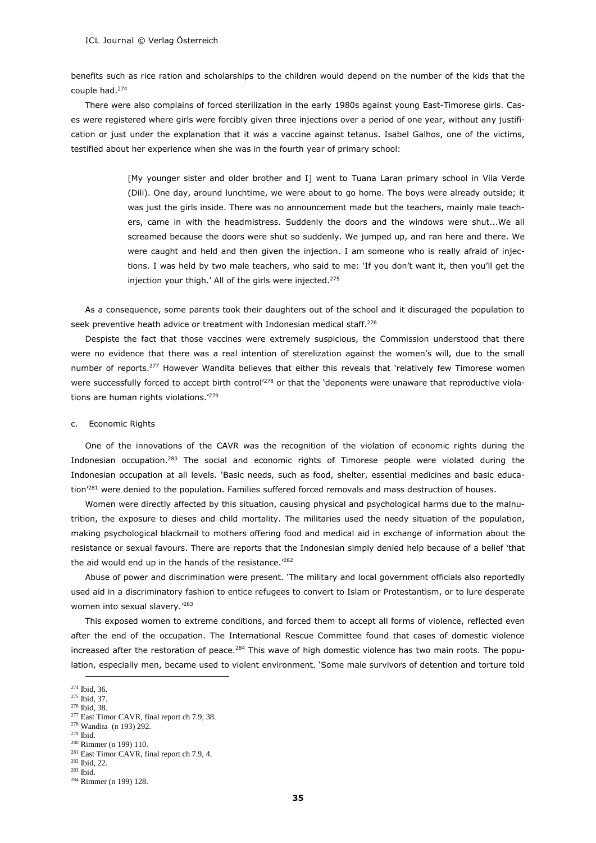benefits such as rice ration and scholarships to the children would depend on the number of the kids that the couple had.<sup>274</sup>

There were also complains of forced sterilization in the early 1980s against young East-Timorese girls. Cases were registered where girls were forcibly given three injections over a period of one year, without any justification or just under the explanation that it was a vaccine against tetanus. Isabel Galhos, one of the victims, testified about her experience when she was in the fourth year of primary school:

> [My younger sister and older brother and I] went to Tuana Laran primary school in Vila Verde (Dili). One day, around lunchtime, we were about to go home. The boys were already outside; it was just the girls inside. There was no announcement made but the teachers, mainly male teachers, came in with the headmistress. Suddenly the doors and the windows were shut...We all screamed because the doors were shut so suddenly. We jumped up, and ran here and there. We were caught and held and then given the injection. I am someone who is really afraid of injections. I was held by two male teachers, who said to me: 'If you don't want it, then you'll get the injection your thigh.' All of the girls were injected.<sup>275</sup>

As a consequence, some parents took their daughters out of the school and it discuraged the population to seek preventive heath advice or treatment with Indonesian medical staff.<sup>276</sup>

Despiste the fact that those vaccines were extremely suspicious, the Commission understood that there were no evidence that there was a real intention of sterelization against the women's will, due to the small number of reports.<sup>277</sup> However Wandita believes that either this reveals that 'relatively few Timorese women were successfully forced to accept birth control<sup>'278</sup> or that the 'deponents were unaware that reproductive violations are human rights violations.'<sup>279</sup>

#### c. Economic Rights

One of the innovations of the CAVR was the recognition of the violation of economic rights during the Indonesian occupation.<sup>280</sup> The social and economic rights of Timorese people were violated during the Indonesian occupation at all levels. 'Basic needs, such as food, shelter, essential medicines and basic education'<sup>281</sup> were denied to the population. Families suffered forced removals and mass destruction of houses.

Women were directly affected by this situation, causing physical and psychological harms due to the malnutrition, the exposure to dieses and child mortality. The militaries used the needy situation of the population, making psychological blackmail to mothers offering food and medical aid in exchange of information about the resistance or sexual favours. There are reports that the Indonesian simply denied help because of a belief 'that the aid would end up in the hands of the resistance.'<sup>282</sup>

Abuse of power and discrimination were present. 'The military and local government officials also reportedly used aid in a discriminatory fashion to entice refugees to convert to Islam or Protestantism, or to lure desperate women into sexual slavery.'<sup>283</sup>

This exposed women to extreme conditions, and forced them to accept all forms of violence, reflected even after the end of the occupation. The International Rescue Committee found that cases of domestic violence increased after the restoration of peace.<sup>284</sup> This wave of high domestic violence has two main roots. The population, especially men, became used to violent environment. 'Some male survivors of detention and torture told

<sup>-</sup><sup>274</sup> Ibid, 36.

<sup>275</sup> Ibid, 37. <sup>276</sup> Ibid, 38.

<sup>&</sup>lt;sup>277</sup> East Timor CAVR, final report ch 7.9, 38.

<sup>278</sup> Wandita (n 193) 292.

 $279$  Ibid.

<sup>280</sup> Rimmer (n 199) 110.

<sup>&</sup>lt;sup>281</sup> East Timor CAVR, final report ch 7.9, 4.

<sup>282</sup> Ibid, 22.

<sup>283</sup> Ibid.

<sup>284</sup> Rimmer (n 199) 128.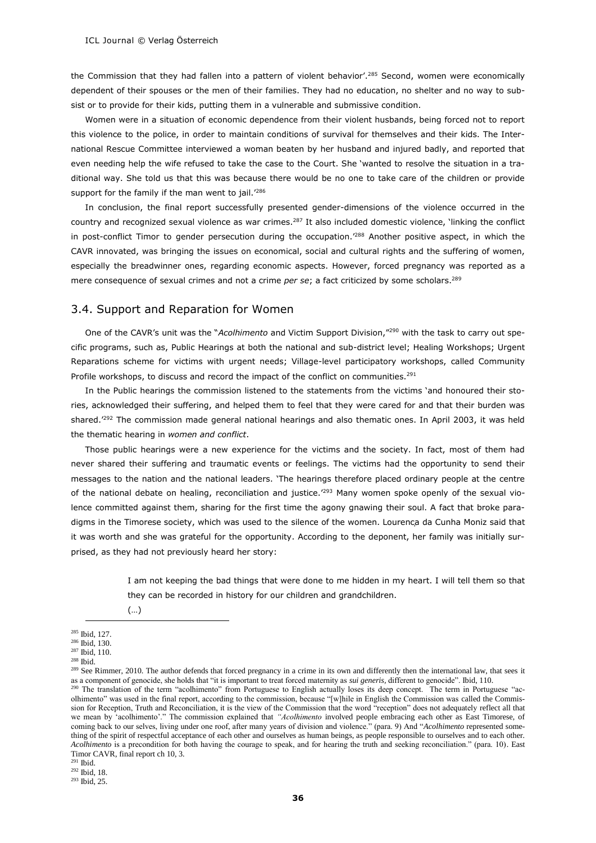the Commission that they had fallen into a pattern of violent behavior'.<sup>285</sup> Second, women were economically dependent of their spouses or the men of their families. They had no education, no shelter and no way to subsist or to provide for their kids, putting them in a vulnerable and submissive condition.

Women were in a situation of economic dependence from their violent husbands, being forced not to report this violence to the police, in order to maintain conditions of survival for themselves and their kids. The International Rescue Committee interviewed a woman beaten by her husband and injured badly, and reported that even needing help the wife refused to take the case to the Court. She 'wanted to resolve the situation in a traditional way. She told us that this was because there would be no one to take care of the children or provide support for the family if the man went to jail.<sup>'286</sup>

In conclusion, the final report successfully presented gender-dimensions of the violence occurred in the country and recognized sexual violence as war crimes.<sup>287</sup> It also included domestic violence, 'linking the conflict in post-conflict Timor to gender persecution during the occupation.<sup>'288</sup> Another positive aspect, in which the CAVR innovated, was bringing the issues on economical, social and cultural rights and the suffering of women, especially the breadwinner ones, regarding economic aspects. However, forced pregnancy was reported as a mere consequence of sexual crimes and not a crime *per se*; a fact criticized by some scholars.<sup>289</sup>

#### 3.4. Support and Reparation for Women

One of the CAVR's unit was the "*Acolhimento* and Victim Support Division,"<sup>290</sup> with the task to carry out specific programs, such as, Public Hearings at both the national and sub-district level; Healing Workshops; Urgent Reparations scheme for victims with urgent needs; Village-level participatory workshops, called Community Profile workshops, to discuss and record the impact of the conflict on communities.<sup>291</sup>

In the Public hearings the commission listened to the statements from the victims 'and honoured their stories, acknowledged their suffering, and helped them to feel that they were cared for and that their burden was shared.'<sup>292</sup> The commission made general national hearings and also thematic ones. In April 2003, it was held the thematic hearing in *women and conflict*.

Those public hearings were a new experience for the victims and the society. In fact, most of them had never shared their suffering and traumatic events or feelings. The victims had the opportunity to send their messages to the nation and the national leaders. 'The hearings therefore placed ordinary people at the centre of the national debate on healing, reconciliation and justice.'293 Many women spoke openly of the sexual violence committed against them, sharing for the first time the agony gnawing their soul. A fact that broke paradigms in the Timorese society, which was used to the silence of the women. Lourenca da Cunha Moniz said that it was worth and she was grateful for the opportunity. According to the deponent, her family was initially surprised, as they had not previously heard her story:

> I am not keeping the bad things that were done to me hidden in my heart. I will tell them so that they can be recorded in history for our children and grandchildren.

(…)

<sup>-</sup><sup>285</sup> Ibid, 127.

<sup>286</sup> Ibid, 130.  $287$  Ibid,  $110$ .

 $^{288}$  Ibid.

<sup>&</sup>lt;sup>289</sup> See Rimmer, 2010. The author defends that forced pregnancy in a crime in its own and differently then the international law, that sees it as a component of genocide, she holds that "it is important to treat forced maternity as *sui generis,* different to genocide". Ibid, 110.

<sup>&</sup>lt;sup>290</sup> The translation of the term "acolhimento" from Portuguese to English actually loses its deep concept. The term in Portuguese "acolhimento" was used in the final report, according to the commission, because "[w]hile in English the Commission was called the Commission for Reception, Truth and Reconciliation, it is the view of the Commission that the word "reception" does not adequately reflect all that we mean by 'acolhimento'." The commission explained that *"Acolhimento* involved people embracing each other as East Timorese, of coming back to our selves, living under one roof, after many years of division and violence." (para. 9) And "*Acolhimento* represented something of the spirit of respectful acceptance of each other and ourselves as human beings, as people responsible to ourselves and to each other. *Acolhimento* is a precondition for both having the courage to speak, and for hearing the truth and seeking reconciliation." (para. 10). East Timor CAVR, final report ch 10, 3.

<sup>291</sup> Ibid.

<sup>292</sup> Ibid, 18.

<sup>293</sup> Ibid, 25.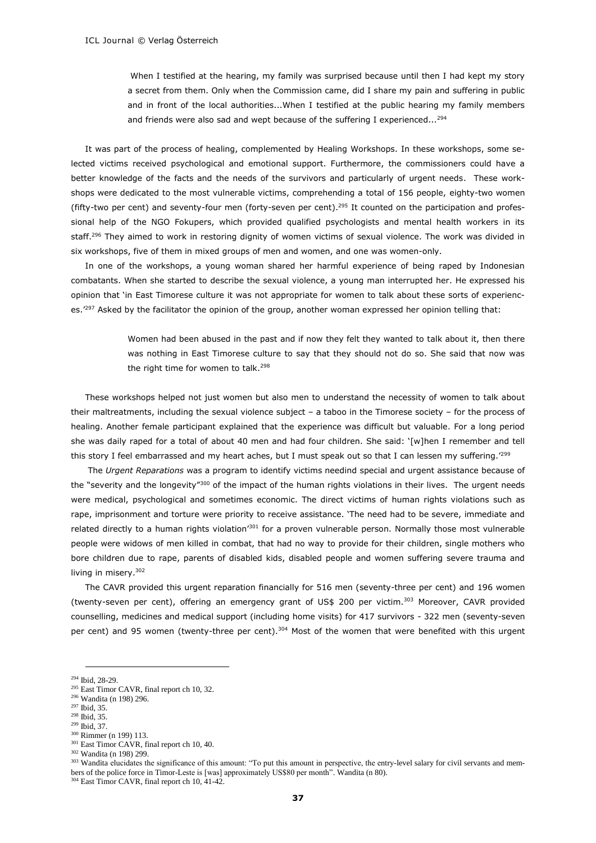When I testified at the hearing, my family was surprised because until then I had kept my story a secret from them. Only when the Commission came, did I share my pain and suffering in public and in front of the local authorities...When I testified at the public hearing my family members and friends were also sad and wept because of the suffering I experienced...<sup>294</sup>

It was part of the process of healing, complemented by Healing Workshops. In these workshops, some selected victims received psychological and emotional support. Furthermore, the commissioners could have a better knowledge of the facts and the needs of the survivors and particularly of urgent needs. These workshops were dedicated to the most vulnerable victims, comprehending a total of 156 people, eighty-two women (fifty-two per cent) and seventy-four men (forty-seven per cent).<sup>295</sup> It counted on the participation and professional help of the NGO Fokupers, which provided qualified psychologists and mental health workers in its staff.<sup>296</sup> They aimed to work in restoring dignity of women victims of sexual violence. The work was divided in six workshops, five of them in mixed groups of men and women, and one was women-only.

In one of the workshops, a young woman shared her harmful experience of being raped by Indonesian combatants. When she started to describe the sexual violence, a young man interrupted her. He expressed his opinion that 'in East Timorese culture it was not appropriate for women to talk about these sorts of experiences.<sup>'297</sup> Asked by the facilitator the opinion of the group, another woman expressed her opinion telling that:

> Women had been abused in the past and if now they felt they wanted to talk about it, then there was nothing in East Timorese culture to say that they should not do so. She said that now was the right time for women to talk.<sup>298</sup>

These workshops helped not just women but also men to understand the necessity of women to talk about their maltreatments, including the sexual violence subject – a taboo in the Timorese society – for the process of healing. Another female participant explained that the experience was difficult but valuable. For a long period she was daily raped for a total of about 40 men and had four children. She said: '[w]hen I remember and tell this story I feel embarrassed and my heart aches, but I must speak out so that I can lessen my suffering.<sup>'299</sup>

The *Urgent Reparations* was a program to identify victims needind special and urgent assistance because of the "severity and the longevity"<sup>300</sup> of the impact of the human rights violations in their lives. The urgent needs were medical, psychological and sometimes economic. The direct victims of human rights violations such as rape, imprisonment and torture were priority to receive assistance. 'The need had to be severe, immediate and related directly to a human rights violation<sup>'301</sup> for a proven vulnerable person. Normally those most vulnerable people were widows of men killed in combat, that had no way to provide for their children, single mothers who bore children due to rape, parents of disabled kids, disabled people and women suffering severe trauma and living in misery.<sup>302</sup>

The CAVR provided this urgent reparation financially for 516 men (seventy-three per cent) and 196 women (twenty-seven per cent), offering an emergency grant of US\$ 200 per victim.<sup>303</sup> Moreover, CAVR provided counselling, medicines and medical support (including home visits) for 417 survivors - 322 men (seventy-seven per cent) and 95 women (twenty-three per cent).<sup>304</sup> Most of the women that were benefited with this urgent

-

<sup>301</sup> East Timor CAVR, final report ch 10, 40.

<sup>303</sup> Wandita elucidates the significance of this amount: "To put this amount in perspective, the entry-level salary for civil servants and members of the police force in Timor-Leste is [was] approximately US\$80 per month". Wandita (n 80).

<sup>304</sup> East Timor CAVR, final report ch 10, 41-42.

<sup>294</sup> Ibid, 28-29.

<sup>&</sup>lt;sup>295</sup> East Timor CAVR, final report ch 10, 32.

<sup>296</sup> Wandita (n 198) 296.

<sup>297</sup> Ibid, 35.

<sup>298</sup> Ibid, 35.

<sup>299</sup> Ibid, 37.

<sup>300</sup> Rimmer (n 199) 113.

<sup>302</sup> Wandita (n 198) 299.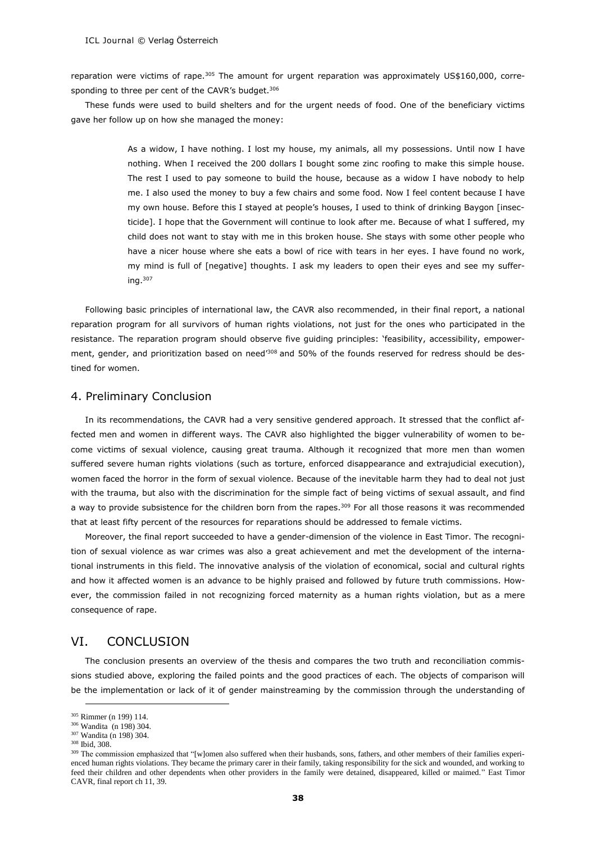reparation were victims of rape.<sup>305</sup> The amount for urgent reparation was approximately US\$160,000, corresponding to three per cent of the CAVR's budget.<sup>306</sup>

These funds were used to build shelters and for the urgent needs of food. One of the beneficiary victims gave her follow up on how she managed the money:

> As a widow, I have nothing. I lost my house, my animals, all my possessions. Until now I have nothing. When I received the 200 dollars I bought some zinc roofing to make this simple house. The rest I used to pay someone to build the house, because as a widow I have nobody to help me. I also used the money to buy a few chairs and some food. Now I feel content because I have my own house. Before this I stayed at people's houses, I used to think of drinking Baygon [insecticide]. I hope that the Government will continue to look after me. Because of what I suffered, my child does not want to stay with me in this broken house. She stays with some other people who have a nicer house where she eats a bowl of rice with tears in her eyes. I have found no work, my mind is full of [negative] thoughts. I ask my leaders to open their eyes and see my suffering. $307$

Following basic principles of international law, the CAVR also recommended, in their final report, a national reparation program for all survivors of human rights violations, not just for the ones who participated in the resistance. The reparation program should observe five guiding principles: 'feasibility, accessibility, empowerment, gender, and prioritization based on need<sup>7308</sup> and 50% of the founds reserved for redress should be destined for women.

#### 4. Preliminary Conclusion

In its recommendations, the CAVR had a very sensitive gendered approach. It stressed that the conflict affected men and women in different ways. The CAVR also highlighted the bigger vulnerability of women to become victims of sexual violence, causing great trauma. Although it recognized that more men than women suffered severe human rights violations (such as torture, enforced disappearance and extrajudicial execution), women faced the horror in the form of sexual violence. Because of the inevitable harm they had to deal not just with the trauma, but also with the discrimination for the simple fact of being victims of sexual assault, and find a way to provide subsistence for the children born from the rapes.<sup>309</sup> For all those reasons it was recommended that at least fifty percent of the resources for reparations should be addressed to female victims.

Moreover, the final report succeeded to have a gender-dimension of the violence in East Timor. The recognition of sexual violence as war crimes was also a great achievement and met the development of the international instruments in this field. The innovative analysis of the violation of economical, social and cultural rights and how it affected women is an advance to be highly praised and followed by future truth commissions. However, the commission failed in not recognizing forced maternity as a human rights violation, but as a mere consequence of rape.

# VI. CONCLUSION

The conclusion presents an overview of the thesis and compares the two truth and reconciliation commissions studied above, exploring the failed points and the good practices of each. The objects of comparison will be the implementation or lack of it of gender mainstreaming by the commission through the understanding of

<sup>305</sup> Rimmer (n 199) 114.

<sup>306</sup> Wandita (n 198) 304.

<sup>307</sup> Wandita (n 198) 304.

<sup>308</sup> Ibid, 308.

<sup>&</sup>lt;sup>309</sup> The commission emphasized that "[w]omen also suffered when their husbands, sons, fathers, and other members of their families experienced human rights violations. They became the primary carer in their family, taking responsibility for the sick and wounded, and working to feed their children and other dependents when other providers in the family were detained, disappeared, killed or maimed." East Timor CAVR, final report ch 11, 39.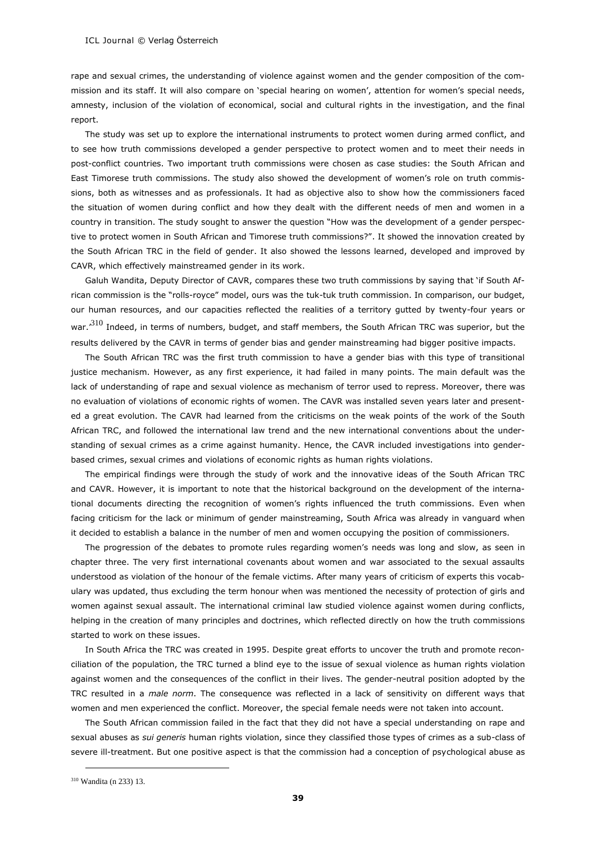rape and sexual crimes, the understanding of violence against women and the gender composition of the commission and its staff. It will also compare on 'special hearing on women', attention for women's special needs, amnesty, inclusion of the violation of economical, social and cultural rights in the investigation, and the final report.

The study was set up to explore the international instruments to protect women during armed conflict, and to see how truth commissions developed a gender perspective to protect women and to meet their needs in post-conflict countries. Two important truth commissions were chosen as case studies: the South African and East Timorese truth commissions. The study also showed the development of women's role on truth commissions, both as witnesses and as professionals. It had as objective also to show how the commissioners faced the situation of women during conflict and how they dealt with the different needs of men and women in a country in transition. The study sought to answer the question "How was the development of a gender perspective to protect women in South African and Timorese truth commissions?". It showed the innovation created by the South African TRC in the field of gender. It also showed the lessons learned, developed and improved by CAVR, which effectively mainstreamed gender in its work.

Galuh Wandita, Deputy Director of CAVR, compares these two truth commissions by saying that 'if South African commission is the "rolls-royce" model, ours was the tuk-tuk truth commission. In comparison, our budget, our human resources, and our capacities reflected the realities of a territory gutted by twenty-four years or war.<sup>310</sup> Indeed, in terms of numbers, budget, and staff members, the South African TRC was superior, but the results delivered by the CAVR in terms of gender bias and gender mainstreaming had bigger positive impacts.

The South African TRC was the first truth commission to have a gender bias with this type of transitional justice mechanism. However, as any first experience, it had failed in many points. The main default was the lack of understanding of rape and sexual violence as mechanism of terror used to repress. Moreover, there was no evaluation of violations of economic rights of women. The CAVR was installed seven years later and presented a great evolution. The CAVR had learned from the criticisms on the weak points of the work of the South African TRC, and followed the international law trend and the new international conventions about the understanding of sexual crimes as a crime against humanity. Hence, the CAVR included investigations into genderbased crimes, sexual crimes and violations of economic rights as human rights violations.

The empirical findings were through the study of work and the innovative ideas of the South African TRC and CAVR. However, it is important to note that the historical background on the development of the international documents directing the recognition of women's rights influenced the truth commissions. Even when facing criticism for the lack or minimum of gender mainstreaming, South Africa was already in vanguard when it decided to establish a balance in the number of men and women occupying the position of commissioners.

The progression of the debates to promote rules regarding women's needs was long and slow, as seen in chapter three. The very first international covenants about women and war associated to the sexual assaults understood as violation of the honour of the female victims. After many years of criticism of experts this vocabulary was updated, thus excluding the term honour when was mentioned the necessity of protection of girls and women against sexual assault. The international criminal law studied violence against women during conflicts, helping in the creation of many principles and doctrines, which reflected directly on how the truth commissions started to work on these issues.

In South Africa the TRC was created in 1995. Despite great efforts to uncover the truth and promote reconciliation of the population, the TRC turned a blind eye to the issue of sexual violence as human rights violation against women and the consequences of the conflict in their lives. The gender-neutral position adopted by the TRC resulted in a *male norm*. The consequence was reflected in a lack of sensitivity on different ways that women and men experienced the conflict. Moreover, the special female needs were not taken into account.

The South African commission failed in the fact that they did not have a special understanding on rape and sexual abuses as *sui generis* human rights violation, since they classified those types of crimes as a sub-class of severe ill-treatment. But one positive aspect is that the commission had a conception of psychological abuse as

<sup>310</sup> Wandita (n 233) 13.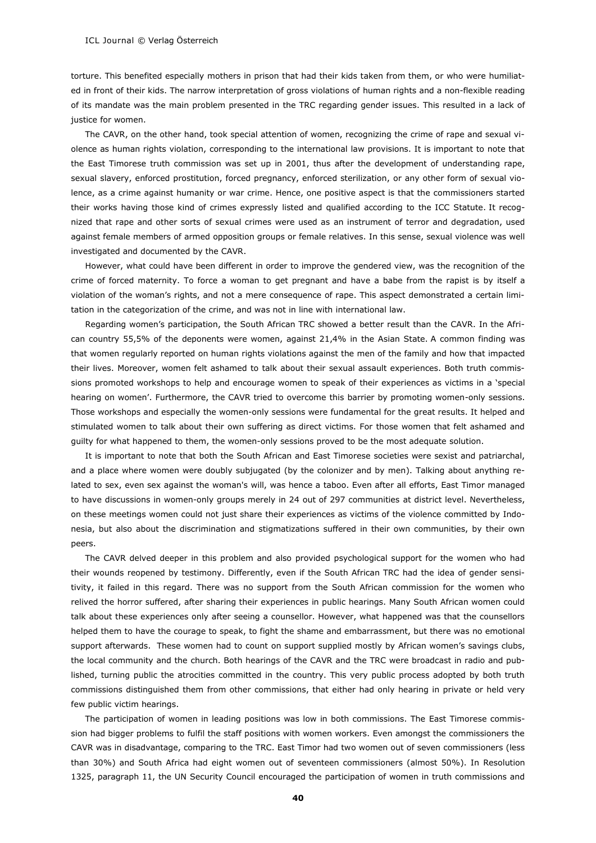torture. This benefited especially mothers in prison that had their kids taken from them, or who were humiliated in front of their kids. The narrow interpretation of gross violations of human rights and a non-flexible reading of its mandate was the main problem presented in the TRC regarding gender issues. This resulted in a lack of justice for women.

The CAVR, on the other hand, took special attention of women, recognizing the crime of rape and sexual violence as human rights violation, corresponding to the international law provisions. It is important to note that the East Timorese truth commission was set up in 2001, thus after the development of understanding rape, sexual slavery, enforced prostitution, forced pregnancy, enforced sterilization, or any other form of sexual violence, as a crime against humanity or war crime. Hence, one positive aspect is that the commissioners started their works having those kind of crimes expressly listed and qualified according to the ICC Statute. It recognized that rape and other sorts of sexual crimes were used as an instrument of terror and degradation, used against female members of armed opposition groups or female relatives. In this sense, sexual violence was well investigated and documented by the CAVR.

However, what could have been different in order to improve the gendered view, was the recognition of the crime of forced maternity. To force a woman to get pregnant and have a babe from the rapist is by itself a violation of the woman's rights, and not a mere consequence of rape. This aspect demonstrated a certain limitation in the categorization of the crime, and was not in line with international law.

Regarding women's participation, the South African TRC showed a better result than the CAVR. In the African country 55,5% of the deponents were women, against 21,4% in the Asian State. A common finding was that women regularly reported on human rights violations against the men of the family and how that impacted their lives. Moreover, women felt ashamed to talk about their sexual assault experiences. Both truth commissions promoted workshops to help and encourage women to speak of their experiences as victims in a 'special hearing on women'. Furthermore, the CAVR tried to overcome this barrier by promoting women-only sessions. Those workshops and especially the women-only sessions were fundamental for the great results. It helped and stimulated women to talk about their own suffering as direct victims. For those women that felt ashamed and guilty for what happened to them, the women-only sessions proved to be the most adequate solution.

It is important to note that both the South African and East Timorese societies were sexist and patriarchal, and a place where women were doubly subjugated (by the colonizer and by men). Talking about anything related to sex, even sex against the woman's will, was hence a taboo. Even after all efforts, East Timor managed to have discussions in women-only groups merely in 24 out of 297 communities at district level. Nevertheless, on these meetings women could not just share their experiences as victims of the violence committed by Indonesia, but also about the discrimination and stigmatizations suffered in their own communities, by their own peers.

The CAVR delved deeper in this problem and also provided psychological support for the women who had their wounds reopened by testimony. Differently, even if the South African TRC had the idea of gender sensitivity, it failed in this regard. There was no support from the South African commission for the women who relived the horror suffered, after sharing their experiences in public hearings. Many South African women could talk about these experiences only after seeing a counsellor. However, what happened was that the counsellors helped them to have the courage to speak, to fight the shame and embarrassment, but there was no emotional support afterwards. These women had to count on support supplied mostly by African women's savings clubs, the local community and the church. Both hearings of the CAVR and the TRC were broadcast in radio and published, turning public the atrocities committed in the country. This very public process adopted by both truth commissions distinguished them from other commissions, that either had only hearing in private or held very few public victim hearings.

The participation of women in leading positions was low in both commissions. The East Timorese commission had bigger problems to fulfil the staff positions with women workers. Even amongst the commissioners the CAVR was in disadvantage, comparing to the TRC. East Timor had two women out of seven commissioners (less than 30%) and South Africa had eight women out of seventeen commissioners (almost 50%). In Resolution 1325, paragraph 11, the UN Security Council encouraged the participation of women in truth commissions and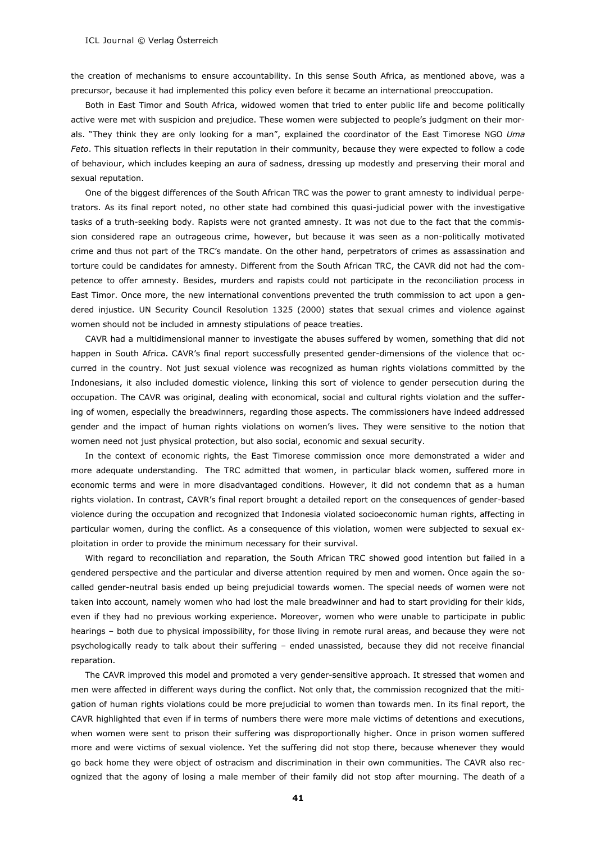the creation of mechanisms to ensure accountability. In this sense South Africa, as mentioned above, was a precursor, because it had implemented this policy even before it became an international preoccupation.

Both in East Timor and South Africa, widowed women that tried to enter public life and become politically active were met with suspicion and prejudice. These women were subjected to people's judgment on their morals. "They think they are only looking for a man", explained the coordinator of the East Timorese NGO *Uma Feto*. This situation reflects in their reputation in their community, because they were expected to follow a code of behaviour, which includes keeping an aura of sadness, dressing up modestly and preserving their moral and sexual reputation.

One of the biggest differences of the South African TRC was the power to grant amnesty to individual perpetrators. As its final report noted, no other state had combined this quasi-judicial power with the investigative tasks of a truth-seeking body. Rapists were not granted amnesty. It was not due to the fact that the commission considered rape an outrageous crime, however, but because it was seen as a non-politically motivated crime and thus not part of the TRC's mandate. On the other hand, perpetrators of crimes as assassination and torture could be candidates for amnesty. Different from the South African TRC, the CAVR did not had the competence to offer amnesty. Besides, murders and rapists could not participate in the reconciliation process in East Timor. Once more, the new international conventions prevented the truth commission to act upon a gendered injustice. UN Security Council Resolution 1325 (2000) states that sexual crimes and violence against women should not be included in amnesty stipulations of peace treaties.

CAVR had a multidimensional manner to investigate the abuses suffered by women, something that did not happen in South Africa. CAVR's final report successfully presented gender-dimensions of the violence that occurred in the country. Not just sexual violence was recognized as human rights violations committed by the Indonesians, it also included domestic violence, linking this sort of violence to gender persecution during the occupation. The CAVR was original, dealing with economical, social and cultural rights violation and the suffering of women, especially the breadwinners, regarding those aspects. The commissioners have indeed addressed gender and the impact of human rights violations on women's lives. They were sensitive to the notion that women need not just physical protection, but also social, economic and sexual security.

In the context of economic rights, the East Timorese commission once more demonstrated a wider and more adequate understanding. The TRC admitted that women, in particular black women, suffered more in economic terms and were in more disadvantaged conditions. However, it did not condemn that as a human rights violation. In contrast, CAVR's final report brought a detailed report on the consequences of gender-based violence during the occupation and recognized that Indonesia violated socioeconomic human rights, affecting in particular women, during the conflict. As a consequence of this violation, women were subjected to sexual exploitation in order to provide the minimum necessary for their survival.

With regard to reconciliation and reparation, the South African TRC showed good intention but failed in a gendered perspective and the particular and diverse attention required by men and women. Once again the socalled gender-neutral basis ended up being prejudicial towards women. The special needs of women were not taken into account, namely women who had lost the male breadwinner and had to start providing for their kids, even if they had no previous working experience. Moreover, women who were unable to participate in public hearings – both due to physical impossibility, for those living in remote rural areas, and because they were not psychologically ready to talk about their suffering – ended unassisted*,* because they did not receive financial reparation.

The CAVR improved this model and promoted a very gender-sensitive approach. It stressed that women and men were affected in different ways during the conflict. Not only that, the commission recognized that the mitigation of human rights violations could be more prejudicial to women than towards men. In its final report, the CAVR highlighted that even if in terms of numbers there were more male victims of detentions and executions, when women were sent to prison their suffering was disproportionally higher. Once in prison women suffered more and were victims of sexual violence. Yet the suffering did not stop there, because whenever they would go back home they were object of ostracism and discrimination in their own communities. The CAVR also recognized that the agony of losing a male member of their family did not stop after mourning. The death of a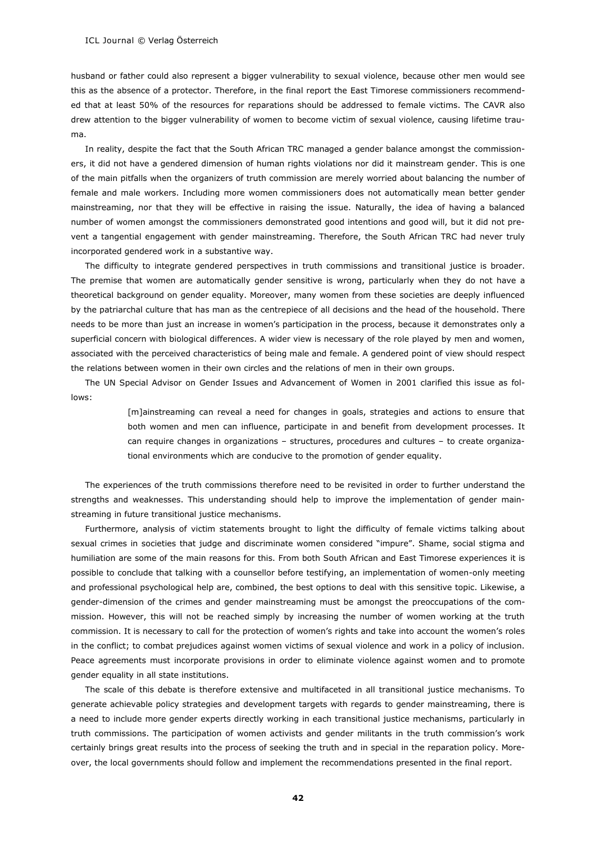husband or father could also represent a bigger vulnerability to sexual violence, because other men would see this as the absence of a protector. Therefore, in the final report the East Timorese commissioners recommended that at least 50% of the resources for reparations should be addressed to female victims. The CAVR also drew attention to the bigger vulnerability of women to become victim of sexual violence, causing lifetime trauma.

In reality, despite the fact that the South African TRC managed a gender balance amongst the commissioners, it did not have a gendered dimension of human rights violations nor did it mainstream gender. This is one of the main pitfalls when the organizers of truth commission are merely worried about balancing the number of female and male workers. Including more women commissioners does not automatically mean better gender mainstreaming, nor that they will be effective in raising the issue. Naturally, the idea of having a balanced number of women amongst the commissioners demonstrated good intentions and good will, but it did not prevent a tangential engagement with gender mainstreaming. Therefore, the South African TRC had never truly incorporated gendered work in a substantive way.

The difficulty to integrate gendered perspectives in truth commissions and transitional justice is broader. The premise that women are automatically gender sensitive is wrong, particularly when they do not have a theoretical background on gender equality. Moreover, many women from these societies are deeply influenced by the patriarchal culture that has man as the centrepiece of all decisions and the head of the household. There needs to be more than just an increase in women's participation in the process, because it demonstrates only a superficial concern with biological differences. A wider view is necessary of the role played by men and women, associated with the perceived characteristics of being male and female. A gendered point of view should respect the relations between women in their own circles and the relations of men in their own groups.

The UN Special Advisor on Gender Issues and Advancement of Women in 2001 clarified this issue as follows:

> [m]ainstreaming can reveal a need for changes in goals, strategies and actions to ensure that both women and men can influence, participate in and benefit from development processes. It can require changes in organizations – structures, procedures and cultures – to create organizational environments which are conducive to the promotion of gender equality.

The experiences of the truth commissions therefore need to be revisited in order to further understand the strengths and weaknesses. This understanding should help to improve the implementation of gender mainstreaming in future transitional justice mechanisms.

Furthermore, analysis of victim statements brought to light the difficulty of female victims talking about sexual crimes in societies that judge and discriminate women considered "impure". Shame, social stigma and humiliation are some of the main reasons for this. From both South African and East Timorese experiences it is possible to conclude that talking with a counsellor before testifying, an implementation of women-only meeting and professional psychological help are, combined, the best options to deal with this sensitive topic. Likewise, a gender-dimension of the crimes and gender mainstreaming must be amongst the preoccupations of the commission. However, this will not be reached simply by increasing the number of women working at the truth commission. It is necessary to call for the protection of women's rights and take into account the women's roles in the conflict; to combat prejudices against women victims of sexual violence and work in a policy of inclusion. Peace agreements must incorporate provisions in order to eliminate violence against women and to promote gender equality in all state institutions.

The scale of this debate is therefore extensive and multifaceted in all transitional justice mechanisms. To generate achievable policy strategies and development targets with regards to gender mainstreaming, there is a need to include more gender experts directly working in each transitional justice mechanisms, particularly in truth commissions. The participation of women activists and gender militants in the truth commission's work certainly brings great results into the process of seeking the truth and in special in the reparation policy. Moreover, the local governments should follow and implement the recommendations presented in the final report.

**42**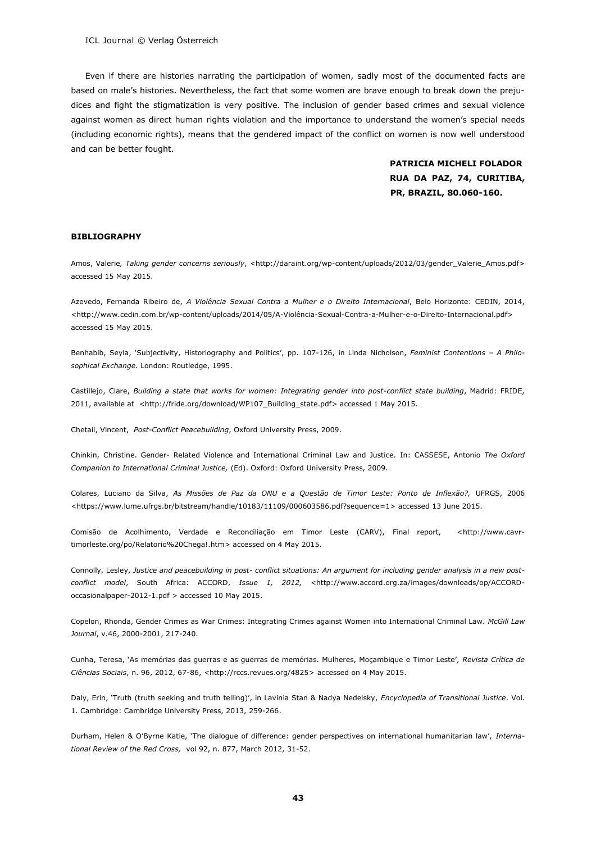Even if there are histories narrating the participation of women, sadly most of the documented facts are based on male's histories. Nevertheless, the fact that some women are brave enough to break down the prejudices and fight the stigmatization is very positive. The inclusion of gender based crimes and sexual violence against women as direct human rights violation and the importance to understand the women's special needs (including economic rights), means that the gendered impact of the conflict on women is now well understood and can be better fought.

> **PATRICIA MICHELI FOLADOR RUA DA PAZ, 74, CURITIBA, PR, BRAZIL, 80.060-160.**

#### **BIBLIOGRAPHY**

Amos, Valerie*, Taking gender concerns seriously*, <http://daraint.org/wp-content/uploads/2012/03/gender\_Valerie\_Amos.pdf> accessed 15 May 2015.

Azevedo, Fernanda Ribeiro de, *A Violência Sexual Contra a Mulher e o Direito Internacional*, Belo Horizonte: CEDIN, 2014, <http://www.cedin.com.br/wp-content/uploads/2014/05/A-Violência-Sexual-Contra-a-Mulher-e-o-Direito-Internacional.pdf> accessed 15 May 2015.

Benhabib, Seyla, 'Subjectivity, Historiography and Politics', pp. 107-126, in Linda Nicholson, *Feminist Contentions – A Philosophical Exchange.* London: Routledge, 1995.

Castillejo, Clare, *Building a state that works for women: Integrating gender into post-conflict state building*, Madrid: FRIDE, 2011, available at <http://fride.org/download/WP107\_Building\_state.pdf> accessed 1 May 2015.

Chetail, Vincent, *Post-Conflict Peacebuilding*, Oxford University Press, 2009.

Chinkin, Christine. Gender- Related Violence and International Criminal Law and Justice*.* In: CASSESE, Antonio *The Oxford Companion to International Criminal Justice,* (Ed). Oxford: Oxford University Press, 2009.

Colares, Luciano da Silva, *As Missões de Paz da ONU e a Questão de Timor Leste: Ponto de Inflexão?,* UFRGS, 2006 <https://www.lume.ufrgs.br/bitstream/handle/10183/11109/000603586.pdf?sequence=1> accessed 13 June 2015.

Comisão de Acolhimento, Verdade e Reconciliação em Timor Leste (CARV), Final report, [<http://www.cavr](http://www.cavr-timorleste.org/po/Relatorio%20Chega!.htm)[timorleste.org/po/Relatorio%20Chega!.htm>](http://www.cavr-timorleste.org/po/Relatorio%20Chega!.htm) accessed on 4 May 2015.

Connolly, Lesley, *Justice and peacebuilding in post- conflict situations: An argument for including gender analysis in a new postconflict model*, South Africa: ACCORD, *Issue 1, 2012, <*[http://www.accord.org.za/images/downloads/op/ACCORD](http://www.accord.org.za/images/downloads/op/ACCORD-occasionalpaper-2012-1.pdf)[occasionalpaper-2012-1.pdf](http://www.accord.org.za/images/downloads/op/ACCORD-occasionalpaper-2012-1.pdf) > accessed 10 May 2015.

Copelon, Rhonda, Gender Crimes as War Crimes: Integrating Crimes against Women into International Criminal Law. *McGill Law Journal*, v.46, 2000-2001, 217-240.

Cunha, Teresa, 'As memórias das guerras e as guerras de memórias. Mulheres, Moçambique e Timor Leste', *Revista Crítica de Ciências Sociais*, n. 96, 2012, 67-86, [<http://rccs.revues.org/4825>](http://rccs.revues.org/4825) accessed on 4 May 2015.

Daly, Erin, 'Truth (truth seeking and truth telling)', in Lavinia Stan & Nadya Nedelsky, *Encyclopedia of Transitional Justice*. Vol. 1. Cambridge: Cambridge University Press, 2013, 259-266.

Durham, Helen & O'Byrne Katie, 'The dialogue of difference: gender perspectives on international humanitarian law', *International Review of the Red Cross,* vol 92, n. 877, March 2012, 31-52.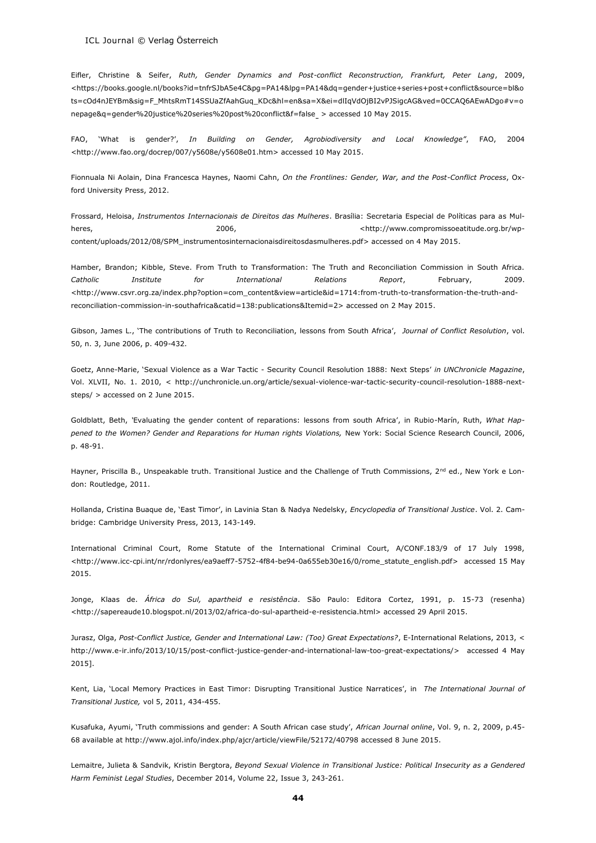Eifler, Christine & Seifer, *Ruth, Gender Dynamics and Post-conflict Reconstruction, Frankfurt, Peter Lang*, 2009, [<https://books.google.nl/books?id=tnfrSJbA5e4C&pg=PA14&lpg=PA14&dq=gender+justice+series+post+conflict&source=bl&o](https://books.google.nl/books?id=tnfrSJbA5e4C&pg=PA14&lpg=PA14&dq=gender+justice+series+post+conflict&source=bl&ots=cOd4nJEYBm&sig=F_MhtsRmT14SSUaZfAahGuq_KDc&hl=en&sa=X&ei=dlIqVdOjBI2vPJSigcAG&ved=0CCAQ6AEwADgo#v=onepage&q=gender%20justice%20series%20post) [ts=cOd4nJEYBm&sig=F\\_MhtsRmT14SSUaZfAahGuq\\_KDc&hl=en&sa=X&ei=dlIqVdOjBI2vPJSigcAG&ved=0CCAQ6AEwADgo#v=o](https://books.google.nl/books?id=tnfrSJbA5e4C&pg=PA14&lpg=PA14&dq=gender+justice+series+post+conflict&source=bl&ots=cOd4nJEYBm&sig=F_MhtsRmT14SSUaZfAahGuq_KDc&hl=en&sa=X&ei=dlIqVdOjBI2vPJSigcAG&ved=0CCAQ6AEwADgo#v=onepage&q=gender%20justice%20series%20post) [nepage&q=gender%20justice%20series%20post%20conflict&f=false](https://books.google.nl/books?id=tnfrSJbA5e4C&pg=PA14&lpg=PA14&dq=gender+justice+series+post+conflict&source=bl&ots=cOd4nJEYBm&sig=F_MhtsRmT14SSUaZfAahGuq_KDc&hl=en&sa=X&ei=dlIqVdOjBI2vPJSigcAG&ved=0CCAQ6AEwADgo#v=onepage&q=gender%20justice%20series%20post) > accessed 10 May 2015.

FAO, 'What is gender?', *In Building on Gender, Agrobiodiversity and Local Knowledge"*, FAO, 2004 <http://www.fao.org/docrep/007/y5608e/y5608e01.htm> accessed 10 May 2015.

Fionnuala Ni Aolain, Dina Francesca Haynes, Naomi Cahn, *On the Frontlines: Gender, War, and the Post-Conflict Process*, Oxford University Press, 2012.

Frossard, Heloisa, *Instrumentos Internacionais de Direitos das Mulheres*. Brasília: Secretaria Especial de Políticas para as Mulheres, 2006, [<http://www.compromissoeatitude.org.br/wp](http://www.compromissoeatitude.org.br/wp-content/uploads/2012/08/SPM_instrumentosinternacionaisdireitosdasmulheres.pdf)[content/uploads/2012/08/SPM\\_instrumentosinternacionaisdireitosdasmulheres.pdf>](http://www.compromissoeatitude.org.br/wp-content/uploads/2012/08/SPM_instrumentosinternacionaisdireitosdasmulheres.pdf) accessed on 4 May 2015.

Hamber, Brandon; Kibble, Steve. From Truth to Transformation: The Truth and Reconciliation Commission in South Africa. *Catholic Institute for International Relations Report*, February, 2009. <http://www.csvr.org.za/index.php?option=com\_content&view=article&id=1714:from-truth-to-transformation-the-truth-andreconciliation-commission-in-southafrica&catid=138:publications&Itemid=2> accessed on 2 May 2015.

Gibson, James L., 'The contributions of Truth to Reconciliation, lessons from South Africa', *Journal of Conflict Resolution*, vol. 50, n. 3, June 2006, p. 409-432.

Goetz, Anne-Marie, 'Sexual Violence as a War Tactic - [Security Council Resolution 1888: Next Steps](http://unchronicle.un.org/article/sexual-violence-war-tactic-security-council-resolution-1888-next-steps)' *in UNChronicle Magazine*, Vol. XLVII, No. 1. 2010, < http://unchronicle.un.org/article/sexual-violence-war-tactic-security-council-resolution-1888-nextsteps/ > accessed on 2 June 2015.

Goldblatt, Beth, *'*Evaluating the gender content of reparations: lessons from south Africa', in Rubio-Marín, Ruth, *What Happened to the Women? Gender and Reparations for Human rights Violations,* New York: Social Science Research Council, 2006, p. 48-91.

Hayner, Priscilla B., Unspeakable truth. Transitional Justice and the Challenge of Truth Commissions, 2<sup>nd</sup> ed., New York e London: Routledge, 2011.

Hollanda, Cristina Buaque de, 'East Timor', in Lavinia Stan & Nadya Nedelsky, *Encyclopedia of Transitional Justice*. Vol. 2. Cambridge: Cambridge University Press, 2013, 143-149.

International Criminal Court, Rome Statute of the International Criminal Court, A/CONF.183/9 of 17 July 1998, [<http://www.icc-cpi.int/nr/rdonlyres/ea9aeff7-5752-4f84-be94-0a655eb30e16/0/rome\\_statute\\_english.pdf>](http://www.icc-cpi.int/nr/rdonlyres/ea9aeff7-5752-4f84-be94-0a655eb30e16/0/rome_statute_english.pdf) accessed 15 May 2015.

Jonge, Klaas de. *África do Sul, apartheid e resistência*. São Paulo: Editora Cortez, 1991, p. 15-73 (resenha) [<http://sapereaude10.blogspot.nl/2013/02/africa-do-sul-apartheid-e-resistencia.html>](http://sapereaude10.blogspot.nl/2013/02/africa-do-sul-apartheid-e-resistencia.html) accessed 29 April 2015.

Jurasz, Olga, *Post-Conflict Justice, Gender and International Law: (Too) Great Expectations?*, E-International Relations, 2013, < http://www.e-ir.info/2013/10/15/post-conflict-justice-gender-and-international-law-too-great-expectations/> accessed 4 May 2015].

Kent, Lia, 'Local Memory Practices in East Timor: Disrupting Transitional Justice Narratices', in *The International Journal of Transitional Justice,* vol 5, 2011, 434-455.

Kusafuka, Ayumi, 'Truth commissions and gender: A South African case study', *African Journal online*, Vol. 9, n. 2, 2009, p.45- 68 available at http://www.ajol.info/index.php/ajcr/article/viewFile/52172/40798 accessed 8 June 2015.

Lemaitre, Julieta & Sandvik, [Kristin Bergtora,](http://link.springer.com/search?facet-author=%22Kristin+Bergtora+Sandvik%22) *Beyond Sexual Violence in Transitional Justice: Political Insecurity as a Gendered Har[m Feminist Legal Studies](http://link.springer.com/journal/10691)*, December 2014, Volume 22, [Issue 3,](http://link.springer.com/journal/10691/22/3/page/1) 243-261.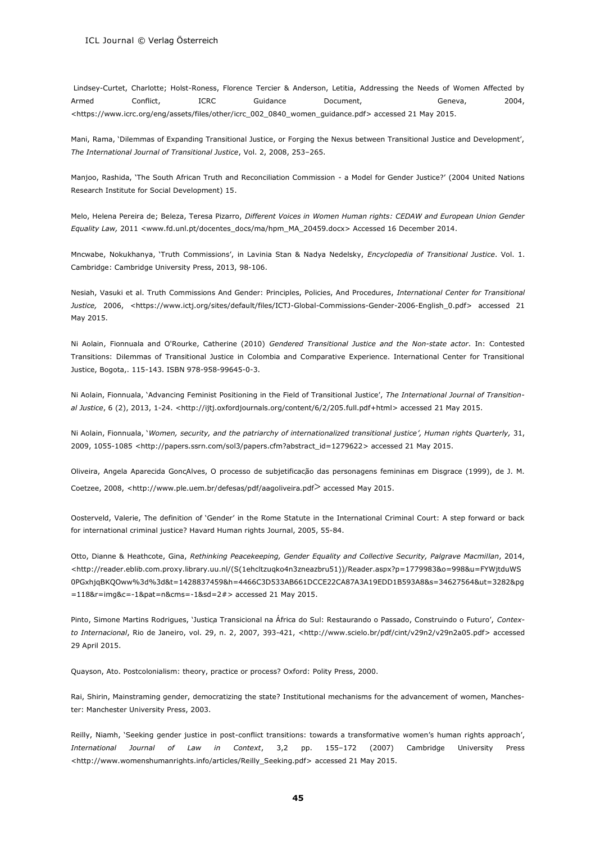Lindsey-Curtet, Charlotte; Holst-Roness, Florence Tercier & Anderson, Letitia, Addressing the Needs of Women Affected by Armed Conflict, ICRC Guidance Document, Geneva, 2004, [<https://www.icrc.org/eng/assets/files/other/icrc\\_002\\_0840\\_women\\_guidance.pdf>](https://www.icrc.org/eng/assets/files/other/icrc_002_0840_women_guidance.pdf) accessed 21 May 2015.

Mani, Rama, 'Dilemmas of Expanding Transitional Justice, or Forging the Nexus between Transitional Justice and Development', *The International Journal of Transitional Justice*, Vol. 2, 2008, 253–265.

Manjoo, Rashida, 'The South African Truth and Reconciliation Commission - a Model for Gender Justice?' (2004 United Nations Research Institute for Social Development) 15.

Melo, Helena Pereira de; Beleza, Teresa Pizarro, *Different Voices in Women Human rights: CEDAW and European Union Gender Equality Law,* 2011 <www.fd.unl.pt/docentes\_docs/ma/hpm\_MA\_20459.docx> Accessed 16 December 2014.

Mncwabe, Nokukhanya, 'Truth Commissions', in Lavinia Stan & Nadya Nedelsky, *Encyclopedia of Transitional Justice*. Vol. 1. Cambridge: Cambridge University Press, 2013, 98-106.

Nesiah, Vasuki et al. Truth Commissions And Gender: Principles, Policies, And Procedures, *International Center for Transitional Justice,* 2006, <https://www.ictj.org/sites/default/files/ICTJ-Global-Commissions-Gender-2006-English\_0.pdf> accessed 21 May 2015.

Ni Aolain, Fionnuala and O'Rourke, Catherine (2010) *[Gendered Transitional Justice and the Non-state actor](http://eprints.ulster.ac.uk/20806)*. In: Contested Transitions: Dilemmas of Transitional Justice in Colombia and Comparative Experience. International Center for Transitional Justice, Bogota,. 115-143. ISBN 978-958-99645-0-3.

Ni Aolain, Fionnuala, ['Advancing Feminist Positioning in the Field of Transitional Justice',](http://eprints.ulster.ac.uk/27471) *The International Journal of Transitional Justice*, 6 (2), 2013, 1-24. [<http://ijtj.oxfordjournals.org/content/6/2/205.full.pdf+html>](http://ijtj.oxfordjournals.org/content/6/2/205.full.pdf+html) accessed 21 May 2015.

Ni Aolain, Fionnuala, '*[Women, security, and the patriarchy of internationalized transitional justice](http://eprints.ulster.ac.uk/9166)', Human rights Quarterly,* 31, 2009, 1055-1085 [<http://papers.ssrn.com/sol3/papers.cfm?abstract\\_id=1279622>](http://papers.ssrn.com/sol3/papers.cfm?abstract_id=1279622) accessed 21 May 2015.

Oliveira, Angela Aparecida GonçAlves, O processo de subjetificação das personagens femininas em Disgrace (1999), de J. M. Coetzee, 2008, [<http://www.ple.uem.br/defesas/pdf/aagoliveira.pdf](http://www.ple.uem.br/defesas/pdf/aagoliveira.pdf)> accessed May 2015.

Oosterveld, Valerie, The definition of 'Gender' in the Rome Statute in the International Criminal Court: A step forward or back for international criminal justice? Havard Human rights Journal, 2005, 55-84.

Otto, Dianne & Heathcote, Gina, *Rethinking Peacekeeping, Gender Equality and Collective Security, Palgrave Macmillan*, 2014, [<http://reader.eblib.com.proxy.library.uu.nl/\(S\(1ehcltzuqko4n3zneazbru51\)\)/Reader.aspx?p=1779983&o=998&u=FYWjtduWS](http://reader.eblib.com.proxy.library.uu.nl/(S(1ehcltzuqko4n3zneazbru51))/Reader.aspx?p=1779983&o=998&u=FYWjtduWS0PGxhjqBKQOww%3d%3d&t=1428837459&h=4466C3D533AB661DCCE22CA87A3A19EDD1B593A8&s=34627564&ut=3282&pg=118&r=img&c=-1&pat=n&cms=-1&sd=2) [0PGxhjqBKQOww%3d%3d&t=1428837459&h=4466C3D533AB661DCCE22CA87A3A19EDD1B593A8&s=34627564&ut=3282&pg](http://reader.eblib.com.proxy.library.uu.nl/(S(1ehcltzuqko4n3zneazbru51))/Reader.aspx?p=1779983&o=998&u=FYWjtduWS0PGxhjqBKQOww%3d%3d&t=1428837459&h=4466C3D533AB661DCCE22CA87A3A19EDD1B593A8&s=34627564&ut=3282&pg=118&r=img&c=-1&pat=n&cms=-1&sd=2) [=118&r=img&c=-1&pat=n&cms=-1&sd=2#>](http://reader.eblib.com.proxy.library.uu.nl/(S(1ehcltzuqko4n3zneazbru51))/Reader.aspx?p=1779983&o=998&u=FYWjtduWS0PGxhjqBKQOww%3d%3d&t=1428837459&h=4466C3D533AB661DCCE22CA87A3A19EDD1B593A8&s=34627564&ut=3282&pg=118&r=img&c=-1&pat=n&cms=-1&sd=2) accessed 21 May 2015.

Pinto, Simone Martins Rodrigues, 'Justiça Transicional na África do Sul: Restaurando o Passado, Construindo o Futuro', *Contexto Internacional*, Rio de Janeiro, vol. 29, n. 2, 2007, 393-421, [<http://www.scielo.br/pdf/cint/v29n2/v29n2a05.pdf>](http://www.scielo.br/pdf/cint/v29n2/v29n2a05.pdf) accessed 29 April 2015.

Quayson, Ato. Postcolonialism: theory, practice or process? Oxford: Polity Press, 2000.

Rai, Shirin, Mainstraming gender, democratizing the state? Institutional mechanisms for the advancement of women, Manchester: Manchester University Press, 2003.

Reilly, Niamh, 'Seeking gender justice in post-conflict transitions: towards a transformative women's human rights approach', *International Journal of Law in Context*, 3,2 pp. 155–172 (2007) Cambridge University Press [<http://www.womenshumanrights.info/articles/Reilly\\_Seeking.pdf>](http://www.womenshumanrights.info/articles/Reilly_Seeking.pdf) accessed 21 May 2015.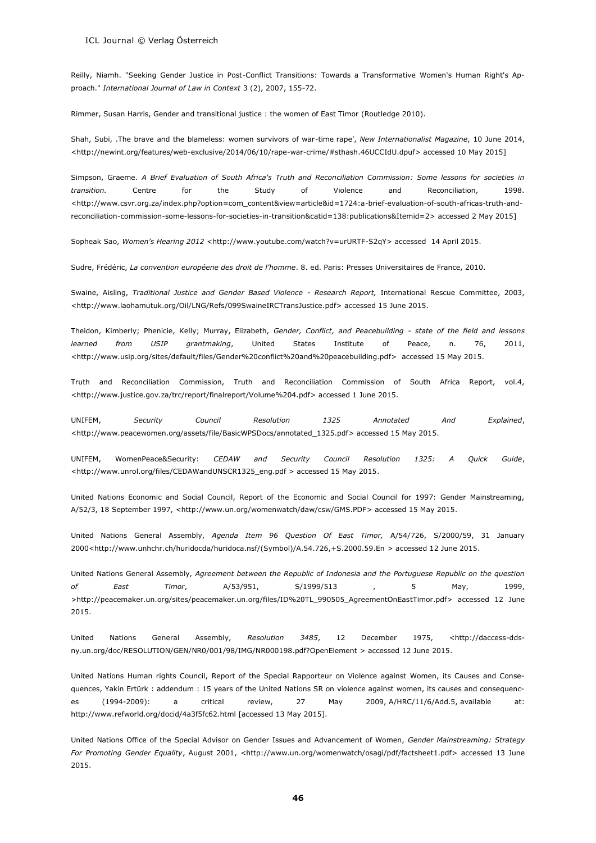Reilly, Niamh. "Seeking Gender Justice in Post-Conflict Transitions: Towards a Transformative Women's Human Right's Approach." *International Journal of Law in Context* 3 (2), 2007, 155-72.

Rimmer, Susan Harris, Gender and transitional justice : the women of East Timor (Routledge 2010).

Shah, Subi, .The brave and the blameless: women survivors of war-time rape', *New Internationalist Magazine*, 10 June 2014, [<http://newint.org/features/web-exclusive/2014/06/10/rape-war-crime/#sthash.46UCCIdU.dpuf>](http://newint.org/features/web-exclusive/2014/06/10/rape-war-crime/#sthash.46UCCIdU.dpuf) accessed 10 May 2015]

Simpson, Graeme. *A Brief Evaluation of South Africa's Truth and Reconciliation Commission: Some lessons for societies in transition.* Centre for the Study of Violence and Reconciliation, 1998. <http://www.csvr.org.za/index.php?option=com\_content&view=article&id=1724:a-brief-evaluation-of-south-africas-truth-andreconciliation-commission-some-lessons-for-societies-in-transition&catid=138:publications&Itemid=2> accessed 2 May 2015]

Sopheak Sao, *Women's Hearing 2012* <http://www.youtube.com/watch?v=urURTF-S2qY> accessed 14 April 2015.

Sudre, Frédéric, *La convention européene des droit de l'homme*. 8. ed. Paris: Presses Universitaires de France, 2010.

Swaine, Aisling, *Traditional Justice and Gender Based Violence - Research Report,* International Rescue Committee, 2003, <http://www.laohamutuk.org/Oil/LNG/Refs/099SwaineIRCTransJustice.pdf> accessed 15 June 2015.

Theidon, Kimberly; Phenicie, Kelly; Murray, Elizabeth, *Gender, Conflict, and Peacebuilding - state of the field and lessons learned from USIP grantmaking*, United States Institute of Peace, n. 76, 2011, <http://www.usip.org/sites/default/files/Gender%20conflict%20and%20peacebuilding.pdf> accessed 15 May 2015.

Truth and Reconciliation Commission, Truth and Reconciliation Commission of South Africa Report, vol.4, <http://www.justice.gov.za/trc/report/finalreport/Volume%204.pdf> accessed 1 June 2015.

UNIFEM, *Security Council Resolution 1325 Annotated And Explained*, [<http://www.peacewomen.org/assets/file/BasicWPSDocs/annotated\\_1325.pdf>](http://www.peacewomen.org/assets/file/BasicWPSDocs/annotated_1325.pdf) accessed 15 May 2015.

UNIFEM, WomenPeace&Security: *CEDAW and Security Council Resolution 1325: A Quick Guide*, <http://www.unrol.org/files/CEDAWandUNSCR1325\_eng.pdf > accessed 15 May 2015.

United Nations Economic and Social Council, Report of the Economic and Social Council for 1997: Gender Mainstreaming, A/52/3, 18 September 1997, <http://www.un.org/womenwatch/daw/csw/GMS.PDF> accessed 15 May 2015.

United Nations General Assembly, *Agenda Item 96 Question Of East Timor,* A/54/726, S/2000/59, 31 January 2000[<http://www.unhchr.ch/huridocda/huridoca.nsf/\(Symbol\)/A.54.726,+S.2000.59.En](http://www.unhchr.ch/huridocda/huridoca.nsf/(Symbol)/A.54.726,+S.2000.59.En) > accessed 12 June 2015.

United Nations General Assembly, *Agreement between the Republic of Indonesia and the Portuguese Republic on the question of East Timor*, A/53/951, S/1999/513 , 5 May, 1999, >http://peacemaker.un.org/sites/peacemaker.un.org/files/ID%20TL\_990505\_AgreementOnEastTimor.pdf> accessed 12 June 2015.

United Nations General Assembly, *Resolution 3485*, 12 December 1975, <http://daccess-ddsny.un.org/doc/RESOLUTION/GEN/NR0/001/98/IMG/NR000198.pdf?OpenElement > accessed 12 June 2015.

United Nations Human rights Council, Report of the Special Rapporteur on Violence against Women, its Causes and Consequences, Yakin Ertürk : addendum : 15 years of the United Nations SR on violence against women, its causes and consequences (1994-2009): a critical review, 27 May 2009, A/HRC/11/6/Add.5, available at: http://www.refworld.org/docid/4a3f5fc62.html [accessed 13 May 2015].

United Nations Office of the Special Advisor on Gender Issues and Advancement of Women, *Gender Mainstreaming: Strategy For Promoting Gender Equality*, August 2001, <http://www.un.org/womenwatch/osagi/pdf/factsheet1.pdf> accessed 13 June 2015.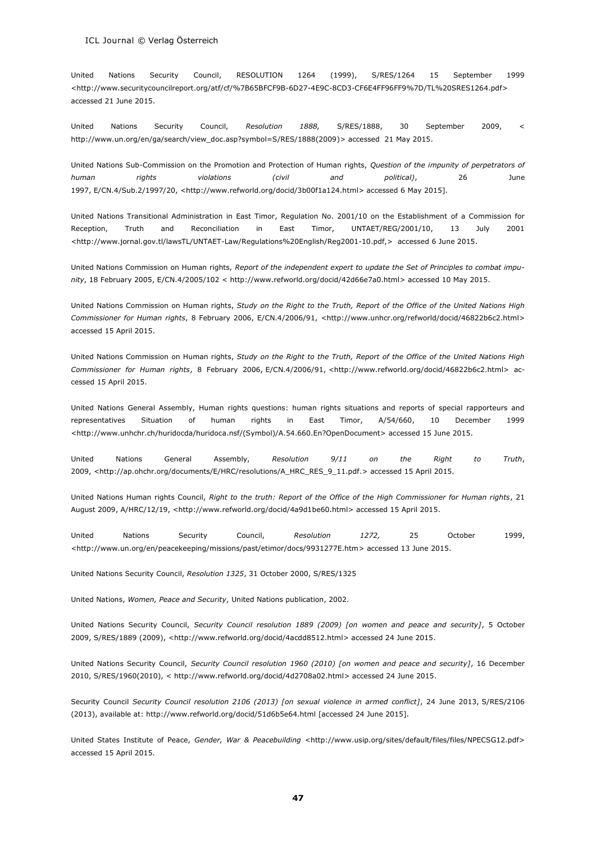United Nations Security Council, RESOLUTION 1264 (1999), S/RES/1264 15 September 1999 <http://www.securitycouncilreport.org/atf/cf/%7B65BFCF9B-6D27-4E9C-8CD3-CF6E4FF96FF9%7D/TL%20SRES1264.pdf> accessed 21 June 2015.

United Nations Security Council, *Resolution 1888,* S/RES/1888, 30 September 2009, < [http://www.un.org/en/ga/search/view\\_doc.asp?symbol=S/RES/1888\(2009\)](http://www.un.org/en/ga/search/view_doc.asp?symbol=S/RES/1888(2009)> accessed 21 May 2015.

United Nations Sub-Commission on the Promotion and Protection of Human rights, *Question of the impunity of perpetrators of human rights violations (civil and political)*, 26 June 1997, E/CN.4/Sub.2/1997/20, <http://www.refworld.org/docid/3b00f1a124.html> accessed 6 May 2015].

United Nations Transitional Administration in East Timor, Regulation No. 2001/10 on the Establishment of a Commission for Reception, Truth and Reconciliation in East Timor, UNTAET/REG/2001/10, 13 July 2001 <http://www.jornal.gov.tl/lawsTL/UNTAET-Law/Regulations%20English/Reg2001-10.pdf,> accessed 6 June 2015.

United Nations Commission on Human rights, *Report of the independent expert to update the Set of Principles to combat impunity*, 18 February 2005, E/CN.4/2005/102 < http://www.refworld.org/docid/42d66e7a0.html> accessed 10 May 2015.

United Nations Commission on Human rights, *Study on the Right to the Truth, Report of the Office of the United Nations High Commissioner for Human rights*, 8 February 2006, E/CN.4/2006/91, [<http://www.unhcr.org/refworld/docid/46822b6c2.html>](http://www.unhcr.org/refworld/docid/46822b6c2.html) accessed 15 April 2015.

United Nations Commission on Human rights, *Study on the Right to the Truth, Report of the Office of the United Nations High Commissioner for Human rights*, 8 February 2006, E/CN.4/2006/91, <http://www.refworld.org/docid/46822b6c2.html> accessed 15 April 2015.

United Nations General Assembly, Human rights questions: human rights situations and reports of special rapporteurs and representatives Situation of human rights in East Timor, A/54/660, 10 December 1999 <http://www.unhchr.ch/huridocda/huridoca.nsf/(Symbol)/A.54.660.En?OpenDocument> accessed 15 June 2015.

United Nations General Assembly, *Resolution 9/11 on the Right to Truth*, 2009, [<http://ap.ohchr.org/documents/E/HRC/resolutions/A\\_HRC\\_RES\\_9\\_11.pdf.>](http://ap.ohchr.org/documents/E/HRC/resolutions/A_HRC_RES_9_11.pdf) accessed 15 April 2015.

United Nations Human rights Council, *Right to the truth: Report of the Office of the High Commissioner for Human rights*, 21 August 2009, A/HRC/12/19, <http://www.refworld.org/docid/4a9d1be60.html> accessed 15 April 2015.

United Nations Security Council, *Resolution 1272,* 25 October 1999, <http://www.un.org/en/peacekeeping/missions/past/etimor/docs/9931277E.htm> accessed 13 June 2015.

United Nations Security Council, *Resolution 1325*, 31 October 2000, S/RES/1325

United Nations, *Women, Peace and Security*, United Nations publication, 2002.

United Nations Security Council, *Security Council resolution 1889 (2009) [on women and peace and security]*, 5 October 2009, S/RES/1889 (2009), <http://www.refworld.org/docid/4acdd8512.html> accessed 24 June 2015.

United Nations Security Council, *Security Council resolution 1960 (2010) [on women and peace and security]*, 16 December 2010, S/RES/1960(2010), < http://www.refworld.org/docid/4d2708a02.html> accessed 24 June 2015.

Security Council *Security Council resolution 2106 (2013) [on sexual violence in armed conflict]*, 24 June 2013, S/RES/2106 (2013), available at: http://www.refworld.org/docid/51d6b5e64.html [accessed 24 June 2015].

United States Institute of Peace, *Gender, War & Peacebuilding* <http://www.usip.org/sites/default/files/files/NPECSG12.pdf> accessed 15 April 2015.